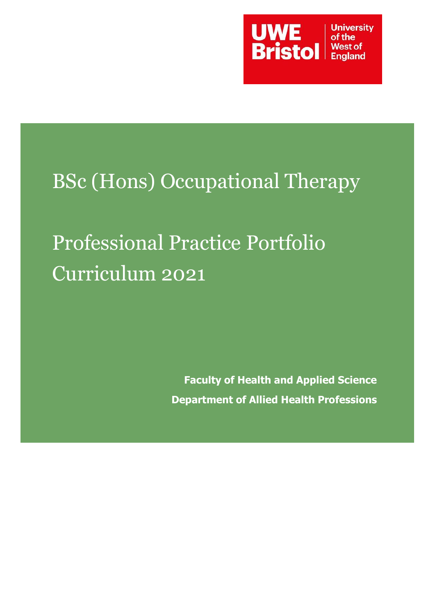

# BSc (Hons) Occupational Therapy

Professional Practice Portfolio Curriculum 2021

> **Faculty of Health and Applied Science Department of Allied Health Professions**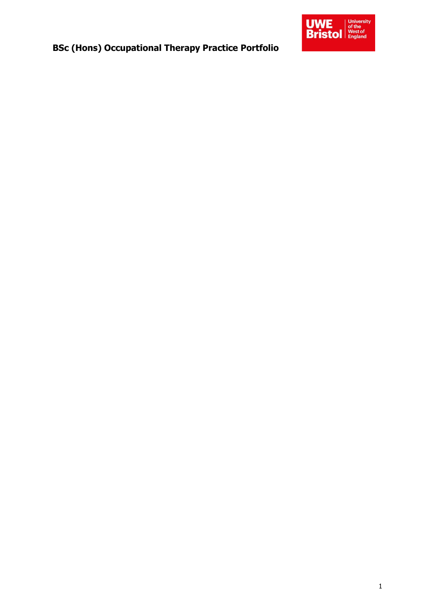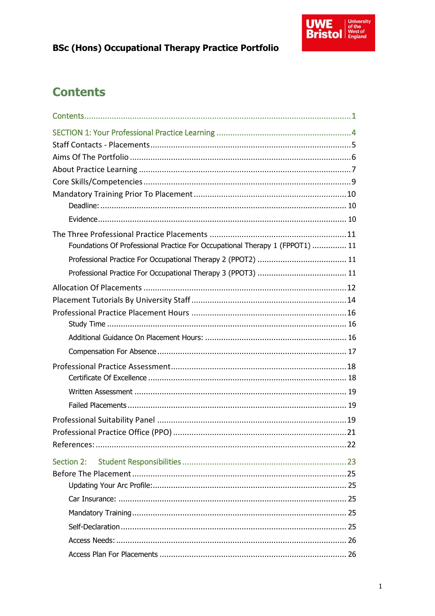

## <span id="page-2-0"></span>**Contents**

| Foundations Of Professional Practice For Occupational Therapy 1 (FPPOT1)  11 |  |
|------------------------------------------------------------------------------|--|
|                                                                              |  |
|                                                                              |  |
|                                                                              |  |
|                                                                              |  |
|                                                                              |  |
|                                                                              |  |
|                                                                              |  |
|                                                                              |  |
|                                                                              |  |
|                                                                              |  |
|                                                                              |  |
|                                                                              |  |
|                                                                              |  |
|                                                                              |  |
|                                                                              |  |
| Section 2:                                                                   |  |
|                                                                              |  |
|                                                                              |  |
|                                                                              |  |
|                                                                              |  |
|                                                                              |  |
|                                                                              |  |
|                                                                              |  |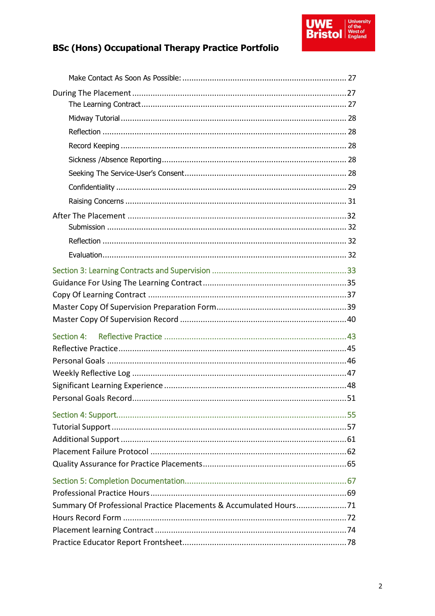

| Summary Of Professional Practice Placements & Accumulated Hours71 |
|-------------------------------------------------------------------|
|                                                                   |
|                                                                   |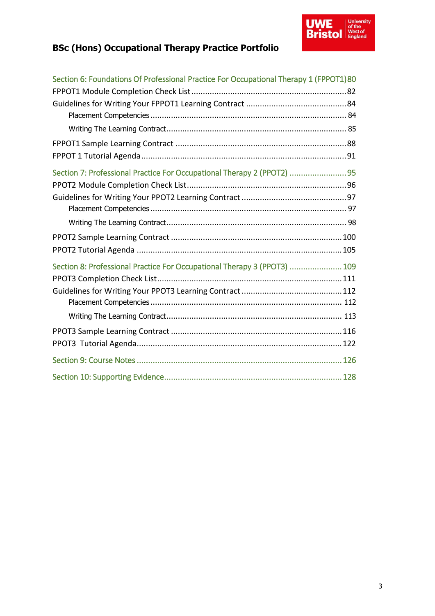

| Section 6: Foundations Of Professional Practice For Occupational Therapy 1 (FPPOT1)80 |  |
|---------------------------------------------------------------------------------------|--|
|                                                                                       |  |
|                                                                                       |  |
|                                                                                       |  |
|                                                                                       |  |
| Section 7: Professional Practice For Occupational Therapy 2 (PPOT2) 95                |  |
|                                                                                       |  |
|                                                                                       |  |
|                                                                                       |  |
| Section 8: Professional Practice For Occupational Therapy 3 (PPOT3)  109              |  |
|                                                                                       |  |
|                                                                                       |  |
|                                                                                       |  |
|                                                                                       |  |
|                                                                                       |  |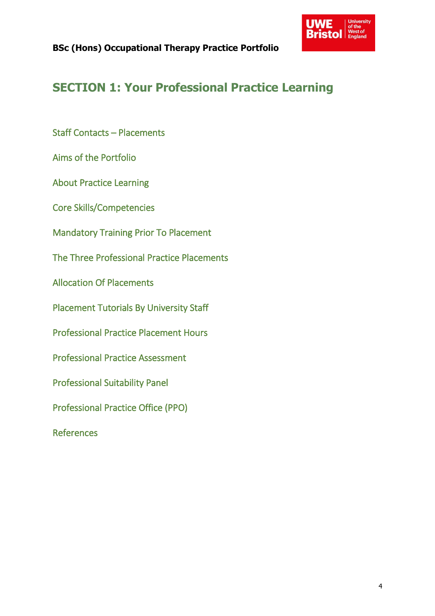

## <span id="page-5-0"></span>**SECTION 1: Your Professional Practice Learning**

Staff Contacts – Placements

Aims of the Portfolio

About Practice Learning

Core Skills/Competencies

Mandatory Training Prior To Placement

The Three Professional Practice Placements

Allocation Of Placements

Placement Tutorials By University Staff

Professional Practice Placement Hours

Professional Practice Assessment

Professional Suitability Panel

Professional Practice Office (PPO)

References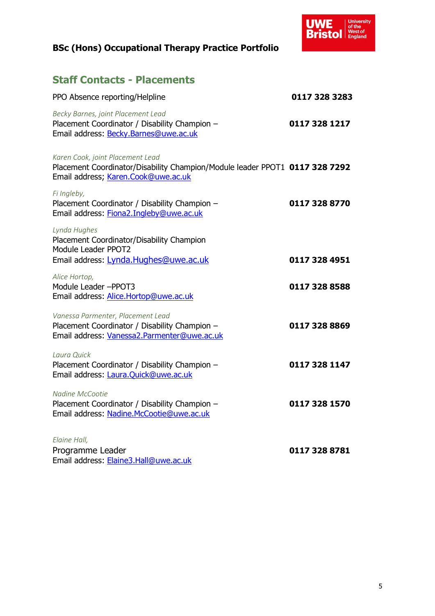

<span id="page-6-0"></span>

| <b>Staff Contacts - Placements</b>                                                                                                                     |               |
|--------------------------------------------------------------------------------------------------------------------------------------------------------|---------------|
| PPO Absence reporting/Helpline                                                                                                                         | 0117 328 3283 |
| Becky Barnes, joint Placement Lead<br>Placement Coordinator / Disability Champion -<br>Email address: Becky.Barnes@uwe.ac.uk                           | 0117 328 1217 |
| Karen Cook, joint Placement Lead<br>Placement Coordinator/Disability Champion/Module leader PPOT1 0117 328 7292<br>Email address; Karen.Cook@uwe.ac.uk |               |
| Fi Ingleby,<br>Placement Coordinator / Disability Champion -<br>Email address: Fiona2.Ingleby@uwe.ac.uk                                                | 0117 328 8770 |
| Lynda Hughes<br>Placement Coordinator/Disability Champion<br>Module Leader PPOT2<br>Email address: Lynda.Hughes@uwe.ac.uk                              | 0117 328 4951 |
| Alice Hortop,<br>Module Leader - PPOT3<br>Email address: Alice.Hortop@uwe.ac.uk                                                                        | 0117 328 8588 |
| Vanessa Parmenter, Placement Lead<br>Placement Coordinator / Disability Champion -<br>Email address: Vanessa2.Parmenter@uwe.ac.uk                      | 0117 328 8869 |
| Laura Quick<br>Placement Coordinator / Disability Champion -<br>Email address: Laura.Quick@uwe.ac.uk                                                   | 0117 328 1147 |
| Nadine McCootie<br>Placement Coordinator / Disability Champion -<br>Email address: Nadine.McCootie@uwe.ac.uk                                           | 0117 328 1570 |
| Elaine Hall,<br>Programme Leader<br>Email address: Elaine3.Hall@uwe.ac.uk                                                                              | 0117 328 8781 |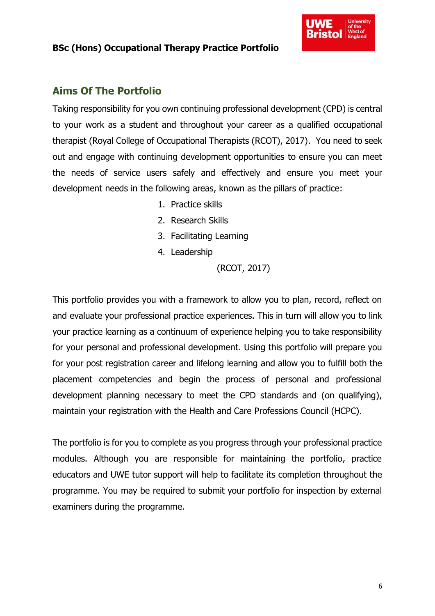

## <span id="page-7-0"></span>**Aims Of The Portfolio**

Taking responsibility for you own continuing professional development (CPD) is central to your work as a student and throughout your career as a qualified occupational therapist (Royal College of Occupational Therapists (RCOT), 2017). You need to seek out and engage with continuing development opportunities to ensure you can meet the needs of service users safely and effectively and ensure you meet your development needs in the following areas, known as the pillars of practice:

- 1. Practice skills
- 2. Research Skills
- 3. Facilitating Learning
- 4. Leadership

(RCOT, 2017)

This portfolio provides you with a framework to allow you to plan, record, reflect on and evaluate your professional practice experiences. This in turn will allow you to link your practice learning as a continuum of experience helping you to take responsibility for your personal and professional development. Using this portfolio will prepare you for your post registration career and lifelong learning and allow you to fulfill both the placement competencies and begin the process of personal and professional development planning necessary to meet the CPD standards and (on qualifying), maintain your registration with the Health and Care Professions Council (HCPC).

The portfolio is for you to complete as you progress through your professional practice modules. Although you are responsible for maintaining the portfolio, practice educators and UWE tutor support will help to facilitate its completion throughout the programme. You may be required to submit your portfolio for inspection by external examiners during the programme.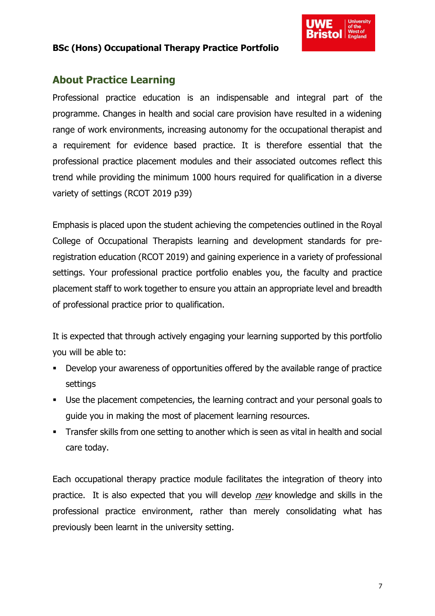

## <span id="page-8-0"></span>**About Practice Learning**

Professional practice education is an indispensable and integral part of the programme. Changes in health and social care provision have resulted in a widening range of work environments, increasing autonomy for the occupational therapist and a requirement for evidence based practice. It is therefore essential that the professional practice placement modules and their associated outcomes reflect this trend while providing the minimum 1000 hours required for qualification in a diverse variety of settings (RCOT 2019 p39)

Emphasis is placed upon the student achieving the competencies outlined in the Royal College of Occupational Therapists learning and development standards for preregistration education (RCOT 2019) and gaining experience in a variety of professional settings. Your professional practice portfolio enables you, the faculty and practice placement staff to work together to ensure you attain an appropriate level and breadth of professional practice prior to qualification.

It is expected that through actively engaging your learning supported by this portfolio you will be able to:

- **•** Develop your awareness of opportunities offered by the available range of practice settings
- Use the placement competencies, the learning contract and your personal goals to guide you in making the most of placement learning resources.
- **•** Transfer skills from one setting to another which is seen as vital in health and social care today.

Each occupational therapy practice module facilitates the integration of theory into practice. It is also expected that you will develop new knowledge and skills in the professional practice environment, rather than merely consolidating what has previously been learnt in the university setting.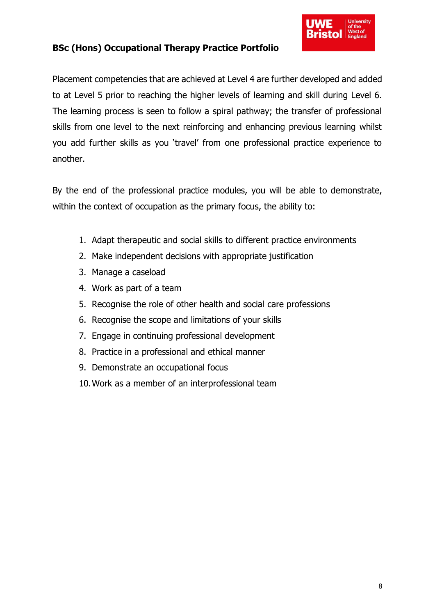

Placement competencies that are achieved at Level 4 are further developed and added to at Level 5 prior to reaching the higher levels of learning and skill during Level 6. The learning process is seen to follow a spiral pathway; the transfer of professional skills from one level to the next reinforcing and enhancing previous learning whilst you add further skills as you 'travel' from one professional practice experience to another.

By the end of the professional practice modules, you will be able to demonstrate, within the context of occupation as the primary focus, the ability to:

- 1. Adapt therapeutic and social skills to different practice environments
- 2. Make independent decisions with appropriate justification
- 3. Manage a caseload
- 4. Work as part of a team
- 5. Recognise the role of other health and social care professions
- 6. Recognise the scope and limitations of your skills
- 7. Engage in continuing professional development
- 8. Practice in a professional and ethical manner
- 9. Demonstrate an occupational focus
- 10.Work as a member of an interprofessional team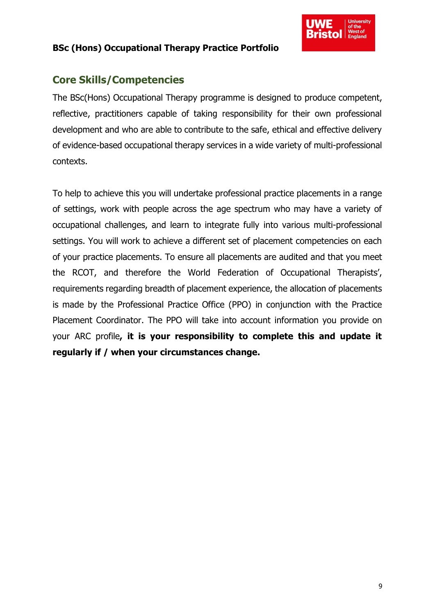

## <span id="page-10-0"></span>**Core Skills/Competencies**

The BSc(Hons) Occupational Therapy programme is designed to produce competent, reflective, practitioners capable of taking responsibility for their own professional development and who are able to contribute to the safe, ethical and effective delivery of evidence-based occupational therapy services in a wide variety of multi-professional contexts.

To help to achieve this you will undertake professional practice placements in a range of settings, work with people across the age spectrum who may have a variety of occupational challenges, and learn to integrate fully into various multi-professional settings. You will work to achieve a different set of placement competencies on each of your practice placements. To ensure all placements are audited and that you meet the RCOT, and therefore the World Federation of Occupational Therapists', requirements regarding breadth of placement experience, the allocation of placements is made by the Professional Practice Office (PPO) in conjunction with the Practice Placement Coordinator. The PPO will take into account information you provide on your ARC profile**, it is your responsibility to complete this and update it regularly if / when your circumstances change.**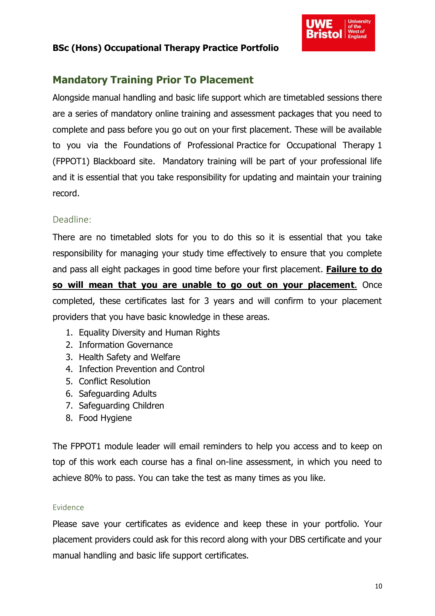

## <span id="page-11-0"></span>**Mandatory Training Prior To Placement**

Alongside manual handling and basic life support which are timetabled sessions there are a series of mandatory online training and assessment packages that you need to complete and pass before you go out on your first placement. These will be available to you via the Foundations of Professional Practice for Occupational Therapy 1 (FPPOT1) Blackboard site. Mandatory training will be part of your professional life and it is essential that you take responsibility for updating and maintain your training record.

#### <span id="page-11-1"></span>Deadline:

There are no timetabled slots for you to do this so it is essential that you take responsibility for managing your study time effectively to ensure that you complete and pass all eight packages in good time before your first placement. **Failure to do so will mean that you are unable to go out on your placement**. Once completed, these certificates last for 3 years and will confirm to your placement providers that you have basic knowledge in these areas.

- 1. Equality Diversity and Human Rights
- 2. Information Governance
- 3. Health Safety and Welfare
- 4. Infection Prevention and Control
- 5. Conflict Resolution
- 6. Safeguarding Adults
- 7. Safeguarding Children
- 8. Food Hygiene

The FPPOT1 module leader will email reminders to help you access and to keep on top of this work each course has a final on-line assessment, in which you need to achieve 80% to pass. You can take the test as many times as you like.

#### <span id="page-11-2"></span>Evidence

Please save your certificates as evidence and keep these in your portfolio. Your placement providers could ask for this record along with your DBS certificate and your manual handling and basic life support certificates.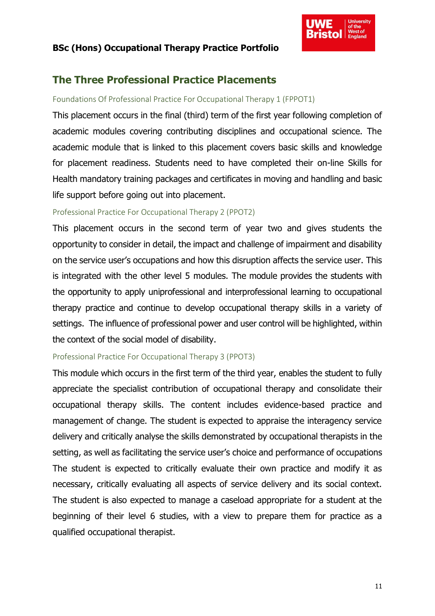

## <span id="page-12-0"></span>**The Three Professional Practice Placements**

#### <span id="page-12-1"></span>Foundations Of Professional Practice For Occupational Therapy 1 (FPPOT1)

This placement occurs in the final (third) term of the first year following completion of academic modules covering contributing disciplines and occupational science. The academic module that is linked to this placement covers basic skills and knowledge for placement readiness. Students need to have completed their on-line Skills for Health mandatory training packages and certificates in moving and handling and basic life support before going out into placement.

#### <span id="page-12-2"></span>Professional Practice For Occupational Therapy 2 (PPOT2)

This placement occurs in the second term of year two and gives students the opportunity to consider in detail, the impact and challenge of impairment and disability on the service user's occupations and how this disruption affects the service user. This is integrated with the other level 5 modules. The module provides the students with the opportunity to apply uniprofessional and interprofessional learning to occupational therapy practice and continue to develop occupational therapy skills in a variety of settings. The influence of professional power and user control will be highlighted, within the context of the social model of disability.

#### <span id="page-12-3"></span>Professional Practice For Occupational Therapy 3 (PPOT3)

This module which occurs in the first term of the third year, enables the student to fully appreciate the specialist contribution of occupational therapy and consolidate their occupational therapy skills. The content includes evidence-based practice and management of change. The student is expected to appraise the interagency service delivery and critically analyse the skills demonstrated by occupational therapists in the setting, as well as facilitating the service user's choice and performance of occupations The student is expected to critically evaluate their own practice and modify it as necessary, critically evaluating all aspects of service delivery and its social context. The student is also expected to manage a caseload appropriate for a student at the beginning of their level 6 studies, with a view to prepare them for practice as a qualified occupational therapist.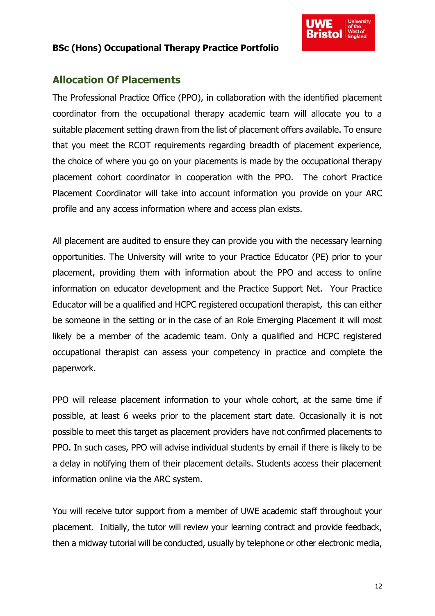

## <span id="page-13-0"></span>**Allocation Of Placements**

The Professional Practice Office (PPO), in collaboration with the identified placement coordinator from the occupational therapy academic team will allocate you to a suitable placement setting drawn from the list of placement offers available. To ensure that you meet the RCOT requirements regarding breadth of placement experience, the choice of where you go on your placements is made by the occupational therapy placement cohort coordinator in cooperation with the PPO. The cohort Practice Placement Coordinator will take into account information you provide on your ARC profile and any access information where and access plan exists.

All placement are audited to ensure they can provide you with the necessary learning opportunities. The University will write to your Practice Educator (PE) prior to your placement, providing them with information about the PPO and access to online information on educator development and the Practice Support Net. Your Practice Educator will be a qualified and HCPC registered occupationl therapist, this can either be someone in the setting or in the case of an Role Emerging Placement it will most likely be a member of the academic team. Only a qualified and HCPC registered occupational therapist can assess your competency in practice and complete the paperwork.

PPO will release placement information to your whole cohort, at the same time if possible, at least 6 weeks prior to the placement start date. Occasionally it is not possible to meet this target as placement providers have not confirmed placements to PPO. In such cases, PPO will advise individual students by email if there is likely to be a delay in notifying them of their placement details. Students access their placement information online via the ARC system.

You will receive tutor support from a member of UWE academic staff throughout your placement. Initially, the tutor will review your learning contract and provide feedback, then a midway tutorial will be conducted, usually by telephone or other electronic media,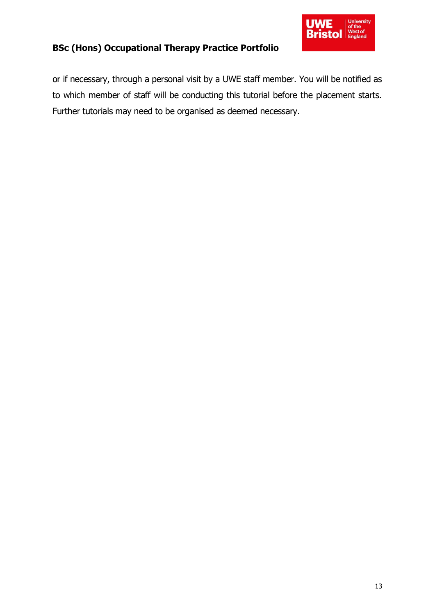

or if necessary, through a personal visit by a UWE staff member. You will be notified as to which member of staff will be conducting this tutorial before the placement starts. Further tutorials may need to be organised as deemed necessary.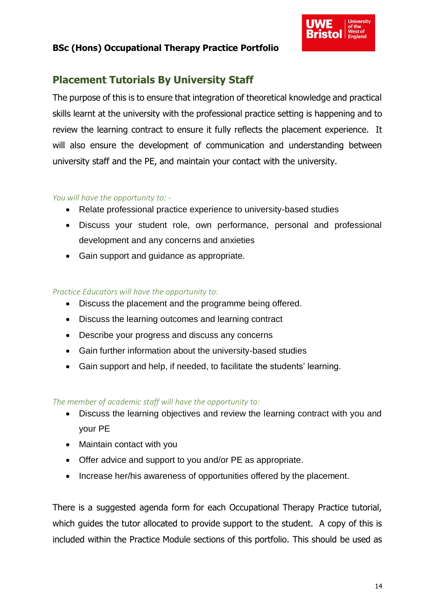

## <span id="page-15-0"></span>**Placement Tutorials By University Staff**

The purpose of this is to ensure that integration of theoretical knowledge and practical skills learnt at the university with the professional practice setting is happening and to review the learning contract to ensure it fully reflects the placement experience. It will also ensure the development of communication and understanding between university staff and the PE, and maintain your contact with the university.

#### *You will have the opportunity to: -*

- Relate professional practice experience to university-based studies
- Discuss your student role, own performance, personal and professional development and any concerns and anxieties
- Gain support and guidance as appropriate.

#### *Practice Educators will have the opportunity to:*

- Discuss the placement and the programme being offered.
- Discuss the learning outcomes and learning contract
- Describe your progress and discuss any concerns
- Gain further information about the university-based studies
- Gain support and help, if needed, to facilitate the students' learning.

#### *The member of academic staff will have the opportunity to:*

- Discuss the learning objectives and review the learning contract with you and your PE
- Maintain contact with you
- Offer advice and support to you and/or PE as appropriate.
- Increase her/his awareness of opportunities offered by the placement.

There is a suggested agenda form for each Occupational Therapy Practice tutorial, which guides the tutor allocated to provide support to the student. A copy of this is included within the Practice Module sections of this portfolio. This should be used as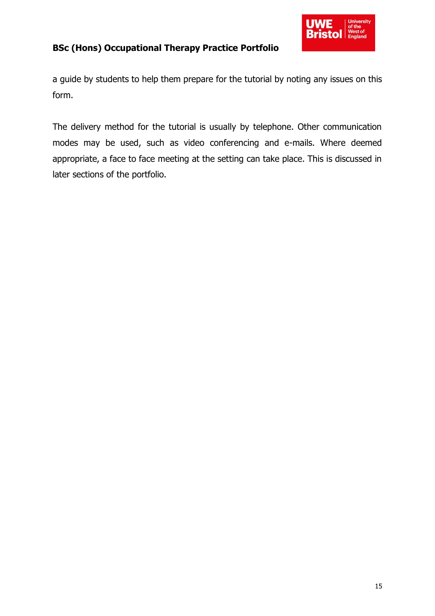

a guide by students to help them prepare for the tutorial by noting any issues on this form.

The delivery method for the tutorial is usually by telephone. Other communication modes may be used, such as video conferencing and e-mails. Where deemed appropriate, a face to face meeting at the setting can take place. This is discussed in later sections of the portfolio.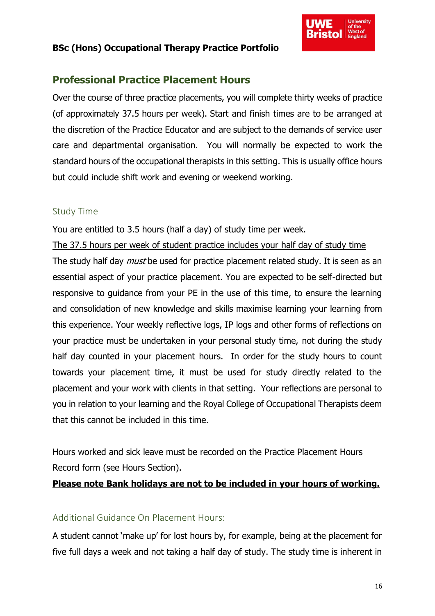

## <span id="page-17-0"></span>**Professional Practice Placement Hours**

Over the course of three practice placements, you will complete thirty weeks of practice (of approximately 37.5 hours per week). Start and finish times are to be arranged at the discretion of the Practice Educator and are subject to the demands of service user care and departmental organisation. You will normally be expected to work the standard hours of the occupational therapists in this setting. This is usually office hours but could include shift work and evening or weekend working.

#### <span id="page-17-1"></span>Study Time

You are entitled to 3.5 hours (half a day) of study time per week.

The 37.5 hours per week of student practice includes your half day of study time The study half day *must* be used for practice placement related study. It is seen as an essential aspect of your practice placement. You are expected to be self-directed but responsive to guidance from your PE in the use of this time, to ensure the learning and consolidation of new knowledge and skills maximise learning your learning from this experience. Your weekly reflective logs, IP logs and other forms of reflections on your practice must be undertaken in your personal study time, not during the study half day counted in your placement hours. In order for the study hours to count towards your placement time, it must be used for study directly related to the placement and your work with clients in that setting. Your reflections are personal to you in relation to your learning and the Royal College of Occupational Therapists deem that this cannot be included in this time.

Hours worked and sick leave must be recorded on the Practice Placement Hours Record form (see Hours Section).

### **Please note Bank holidays are not to be included in your hours of working.**

### <span id="page-17-2"></span>Additional Guidance On Placement Hours:

A student cannot 'make up' for lost hours by, for example, being at the placement for five full days a week and not taking a half day of study. The study time is inherent in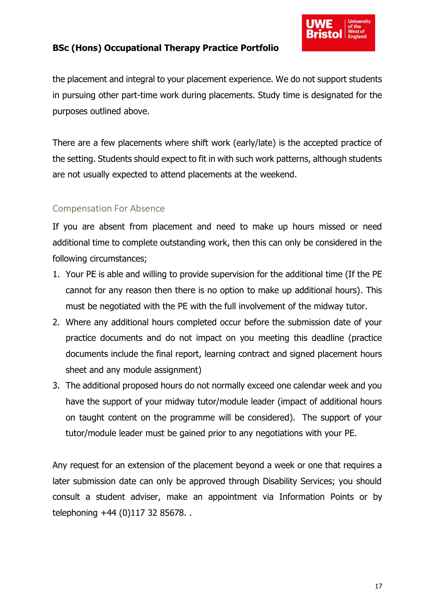

the placement and integral to your placement experience. We do not support students in pursuing other part-time work during placements. Study time is designated for the purposes outlined above.

There are a few placements where shift work (early/late) is the accepted practice of the setting. Students should expect to fit in with such work patterns, although students are not usually expected to attend placements at the weekend.

### <span id="page-18-0"></span>Compensation For Absence

If you are absent from placement and need to make up hours missed or need additional time to complete outstanding work, then this can only be considered in the following circumstances;

- 1. Your PE is able and willing to provide supervision for the additional time (If the PE cannot for any reason then there is no option to make up additional hours). This must be negotiated with the PE with the full involvement of the midway tutor.
- 2. Where any additional hours completed occur before the submission date of your practice documents and do not impact on you meeting this deadline (practice documents include the final report, learning contract and signed placement hours sheet and any module assignment)
- 3. The additional proposed hours do not normally exceed one calendar week and you have the support of your midway tutor/module leader (impact of additional hours on taught content on the programme will be considered). The support of your tutor/module leader must be gained prior to any negotiations with your PE.

Any request for an extension of the placement beyond a week or one that requires a later submission date can only be approved through Disability Services; you should consult a student adviser, make an appointment via [Information Points](http://www1.uwe.ac.uk/students/informationpoints.aspx) or by telephoning +44 (0)117 32 85678. .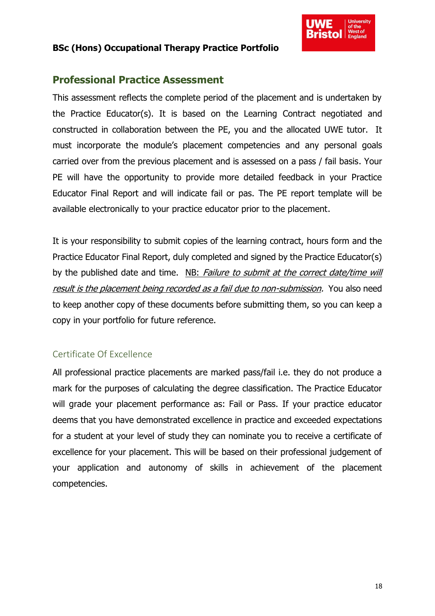

## <span id="page-19-0"></span>**Professional Practice Assessment**

This assessment reflects the complete period of the placement and is undertaken by the Practice Educator(s). It is based on the Learning Contract negotiated and constructed in collaboration between the PE, you and the allocated UWE tutor. It must incorporate the module's placement competencies and any personal goals carried over from the previous placement and is assessed on a pass / fail basis. Your PE will have the opportunity to provide more detailed feedback in your Practice Educator Final Report and will indicate fail or pas. The PE report template will be available electronically to your practice educator prior to the placement.

It is your responsibility to submit copies of the learning contract, hours form and the Practice Educator Final Report, duly completed and signed by the Practice Educator(s) by the published date and time. NB: Failure to submit at the correct date/time will result is the placement being recorded as a fail due to non-submission. You also need to keep another copy of these documents before submitting them, so you can keep a copy in your portfolio for future reference.

### <span id="page-19-1"></span>Certificate Of Excellence

All professional practice placements are marked pass/fail i.e. they do not produce a mark for the purposes of calculating the degree classification. The Practice Educator will grade your placement performance as: Fail or Pass. If your practice educator deems that you have demonstrated excellence in practice and exceeded expectations for a student at your level of study they can nominate you to receive a certificate of excellence for your placement. This will be based on their professional judgement of your application and autonomy of skills in achievement of the placement competencies.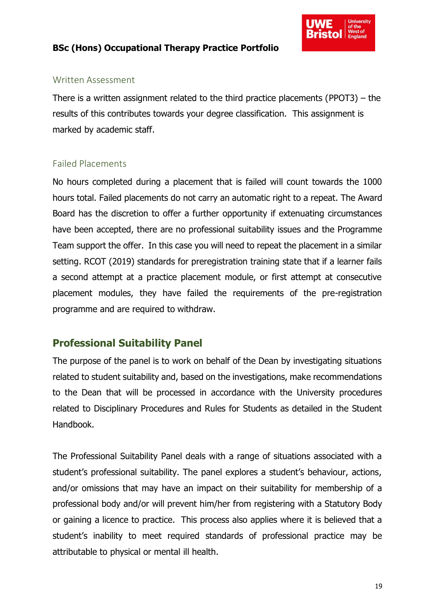

#### <span id="page-20-0"></span>Written Assessment

There is a written assignment related to the third practice placements (PPOT3) – the results of this contributes towards your degree classification. This assignment is marked by academic staff.

### <span id="page-20-1"></span>Failed Placements

No hours completed during a placement that is failed will count towards the 1000 hours total. Failed placements do not carry an automatic right to a repeat. The Award Board has the discretion to offer a further opportunity if extenuating circumstances have been accepted, there are no professional suitability issues and the Programme Team support the offer. In this case you will need to repeat the placement in a similar setting. RCOT (2019) standards for preregistration training state that if a learner fails a second attempt at a practice placement module, or first attempt at consecutive placement modules, they have failed the requirements of the pre-registration programme and are required to withdraw.

## <span id="page-20-2"></span>**Professional Suitability Panel**

The purpose of the panel is to work on behalf of the Dean by investigating situations related to student suitability and, based on the investigations, make recommendations to the Dean that will be processed in accordance with the University procedures related to Disciplinary Procedures and Rules for Students as detailed in the Student Handbook.

The Professional Suitability Panel deals with a range of situations associated with a student's professional suitability. The panel explores a student's behaviour, actions, and/or omissions that may have an impact on their suitability for membership of a professional body and/or will prevent him/her from registering with a Statutory Body or gaining a licence to practice. This process also applies where it is believed that a student's inability to meet required standards of professional practice may be attributable to physical or mental ill health.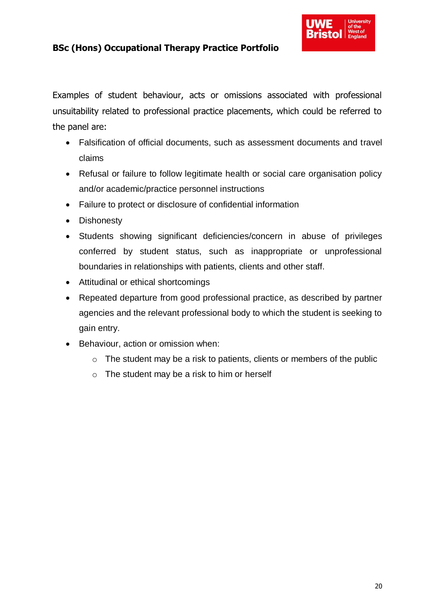

Examples of student behaviour, acts or omissions associated with professional unsuitability related to professional practice placements, which could be referred to the panel are:

- Falsification of official documents, such as assessment documents and travel claims
- Refusal or failure to follow legitimate health or social care organisation policy and/or academic/practice personnel instructions
- Failure to protect or disclosure of confidential information
- Dishonesty
- Students showing significant deficiencies/concern in abuse of privileges conferred by student status, such as inappropriate or unprofessional boundaries in relationships with patients, clients and other staff.
- Attitudinal or ethical shortcomings
- Repeated departure from good professional practice, as described by partner agencies and the relevant professional body to which the student is seeking to gain entry.
- Behaviour, action or omission when:
	- o The student may be a risk to patients, clients or members of the public
	- $\circ$  The student may be a risk to him or herself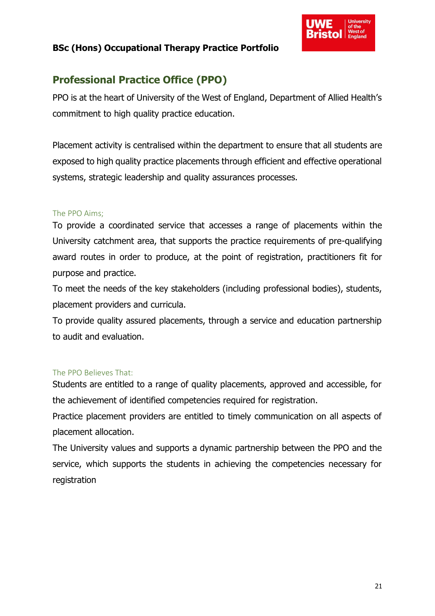

## <span id="page-22-0"></span>**Professional Practice Office (PPO)**

PPO is at the heart of University of the West of England, Department of Allied Health's commitment to high quality practice education.

Placement activity is centralised within the department to ensure that all students are exposed to high quality practice placements through efficient and effective operational systems, strategic leadership and quality assurances processes.

#### The PPO Aims;

To provide a coordinated service that accesses a range of placements within the University catchment area, that supports the practice requirements of pre-qualifying award routes in order to produce, at the point of registration, practitioners fit for purpose and practice.

To meet the needs of the key stakeholders (including professional bodies), students, placement providers and curricula.

To provide quality assured placements, through a service and education partnership to audit and evaluation.

#### The PPO Believes That:

Students are entitled to a range of quality placements, approved and accessible, for the achievement of identified competencies required for registration.

Practice placement providers are entitled to timely communication on all aspects of placement allocation.

The University values and supports a dynamic partnership between the PPO and the service, which supports the students in achieving the competencies necessary for registration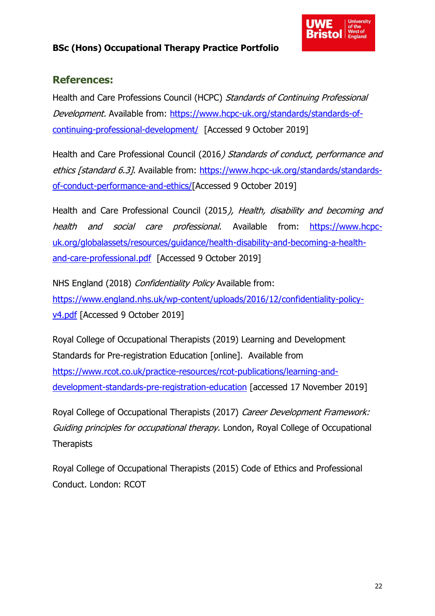

## <span id="page-23-0"></span>**References:**

Health and Care Professions Council (HCPC) Standards of Continuing Professional Development. Available from: [https://www.hcpc-uk.org/standards/standards-of](https://www.hcpc-uk.org/standards/standards-of-continuing-professional-development/)[continuing-professional-development/](https://www.hcpc-uk.org/standards/standards-of-continuing-professional-development/) [Accessed 9 October 2019]

Health and Care Professional Council (2016) Standards of conduct, performance and ethics [standard 6.3]. Available from: [https://www.hcpc-uk.org/standards/standards](https://www.hcpc-uk.org/standards/standards-of-conduct-performance-and-ethics/)[of-conduct-performance-and-ethics/\[](https://www.hcpc-uk.org/standards/standards-of-conduct-performance-and-ethics/)Accessed 9 October 2019]

Health and Care Professional Council (2015), Health, disability and becoming and health and social care professional. Available from: [https://www.hcpc](https://www.hcpc-uk.org/globalassets/resources/guidance/health-disability-and-becoming-a-health-and-care-professional.pdf)[uk.org/globalassets/resources/guidance/health-disability-and-becoming-a-health](https://www.hcpc-uk.org/globalassets/resources/guidance/health-disability-and-becoming-a-health-and-care-professional.pdf)[and-care-professional.pdf](https://www.hcpc-uk.org/globalassets/resources/guidance/health-disability-and-becoming-a-health-and-care-professional.pdf) [Accessed 9 October 2019]

NHS England (2018) Confidentiality Policy Available from: [https://www.england.nhs.uk/wp-content/uploads/2016/12/confidentiality-policy](https://www.england.nhs.uk/wp-content/uploads/2016/12/confidentiality-policy-v4.pdf)[v4.pdf](https://www.england.nhs.uk/wp-content/uploads/2016/12/confidentiality-policy-v4.pdf) [Accessed 9 October 2019]

Royal College of Occupational Therapists (2019) Learning and Development Standards for Pre-registration Education [online]. Available from [https://www.rcot.co.uk/practice-resources/rcot-publications/learning-and](https://www.rcot.co.uk/practice-resources/rcot-publications/learning-and-development-standards-pre-registration-education)[development-standards-pre-registration-education](https://www.rcot.co.uk/practice-resources/rcot-publications/learning-and-development-standards-pre-registration-education) [accessed 17 November 2019]

Royal College of Occupational Therapists (2017) Career Development Framework: Guiding principles for occupational therapy. London, Royal College of Occupational **Therapists** 

Royal College of Occupational Therapists (2015) Code of Ethics and Professional Conduct. London: RCOT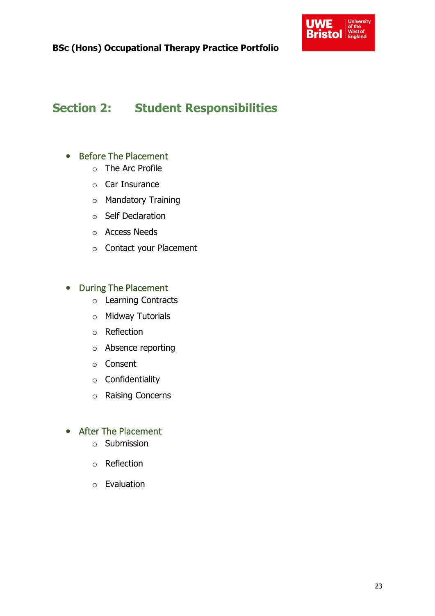

## <span id="page-24-0"></span>**Section 2: Student Responsibilities**

## • Before The Placement

- o The Arc Profile
- o Car Insurance
- o Mandatory Training
- o Self Declaration
- o Access Needs
- o Contact your Placement

## • During The Placement

- o Learning Contracts
- o Midway Tutorials
- o Reflection
- o Absence reporting
- o Consent
- o Confidentiality
- o Raising Concerns

## • After The Placement

- o Submission
- o Reflection
- o Evaluation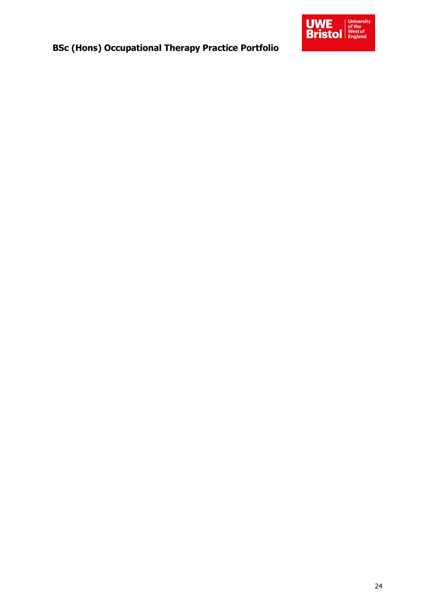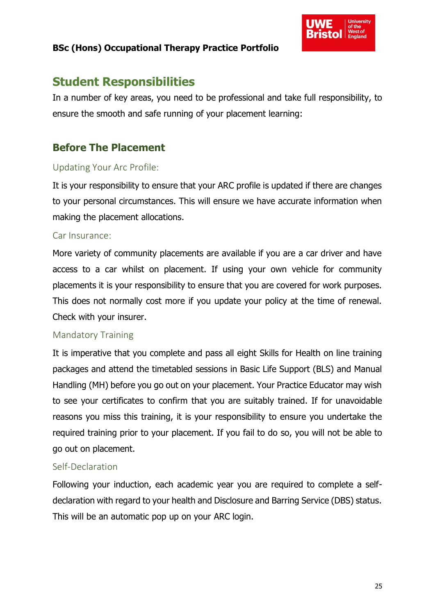

## **Student Responsibilities**

In a number of key areas, you need to be professional and take full responsibility, to ensure the smooth and safe running of your placement learning:

## <span id="page-26-0"></span>**Before The Placement**

#### <span id="page-26-1"></span>Updating Your Arc Profile:

It is your responsibility to ensure that your ARC profile is updated if there are changes to your personal circumstances. This will ensure we have accurate information when making the placement allocations.

#### <span id="page-26-2"></span>Car Insurance:

More variety of community placements are available if you are a car driver and have access to a car whilst on placement. If using your own vehicle for community placements it is your responsibility to ensure that you are covered for work purposes. This does not normally cost more if you update your policy at the time of renewal. Check with your insurer.

#### <span id="page-26-3"></span>Mandatory Training

It is imperative that you complete and pass all eight Skills for Health on line training packages and attend the timetabled sessions in Basic Life Support (BLS) and Manual Handling (MH) before you go out on your placement. Your Practice Educator may wish to see your certificates to confirm that you are suitably trained. If for unavoidable reasons you miss this training, it is your responsibility to ensure you undertake the required training prior to your placement. If you fail to do so, you will not be able to go out on placement.

#### <span id="page-26-4"></span>Self-Declaration

Following your induction, each academic year you are required to complete a selfdeclaration with regard to your health and Disclosure and Barring Service (DBS) status. This will be an automatic pop up on your ARC login.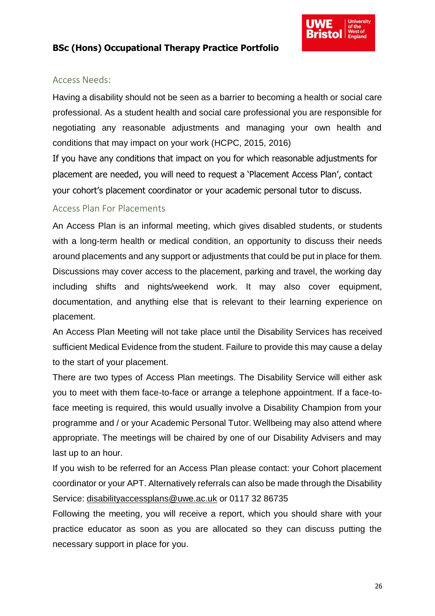

#### <span id="page-27-0"></span>Access Needs:

Having a disability should not be seen as a barrier to becoming a health or social care professional. As a student health and social care professional you are responsible for negotiating any reasonable adjustments and managing your own health and conditions that may impact on your work (HCPC, 2015, 2016)

If you have any conditions that impact on you for which reasonable adjustments for placement are needed, you will need to request a 'Placement Access Plan', contact your cohort's placement coordinator or your academic personal tutor to discuss.

#### <span id="page-27-1"></span>Access Plan For Placements

An Access Plan is an informal meeting, which gives disabled students, or students with a long-term health or medical condition, an opportunity to discuss their needs around placements and any support or adjustments that could be put in place for them. Discussions may cover access to the placement, parking and travel, the working day including shifts and nights/weekend work. It may also cover equipment, documentation, and anything else that is relevant to their learning experience on placement.

An Access Plan Meeting will not take place until the Disability Services has received sufficient Medical Evidence from the student. Failure to provide this may cause a delay to the start of your placement.

There are two types of Access Plan meetings. The Disability Service will either ask you to meet with them face-to-face or arrange a telephone appointment. If a face-toface meeting is required, this would usually involve a Disability Champion from your programme and / or your Academic Personal Tutor. Wellbeing may also attend where appropriate. The meetings will be chaired by one of our Disability Advisers and may last up to an hour.

If you wish to be referred for an Access Plan please contact: your Cohort placement coordinator or your APT. Alternatively referrals can also be made through the Disability Service: [disabilityaccessplans@uwe.ac.uk](mailto:disabilityaccessplans@uwe.ac.uk) or 0117 32 86735

Following the meeting, you will receive a report, which you should share with your practice educator as soon as you are allocated so they can discuss putting the necessary support in place for you.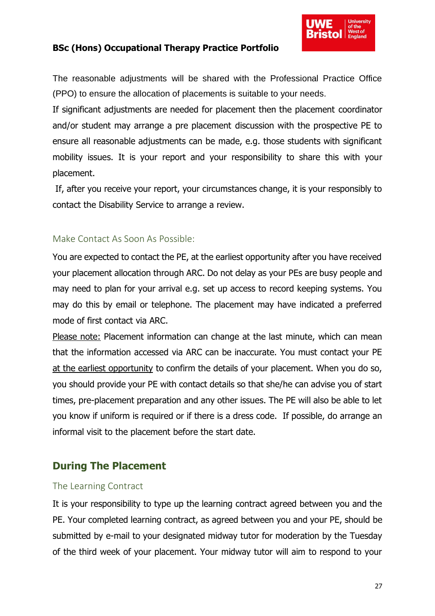

The reasonable adjustments will be shared with the Professional Practice Office (PPO) to ensure the allocation of placements is suitable to your needs.

If significant adjustments are needed for placement then the placement coordinator and/or student may arrange a pre placement discussion with the prospective PE to ensure all reasonable adjustments can be made, e.g. those students with significant mobility issues. It is your report and your responsibility to share this with your placement.

If, after you receive your report, your circumstances change, it is your responsibly to contact the Disability Service to arrange a review.

### <span id="page-28-0"></span>Make Contact As Soon As Possible:

You are expected to contact the PE, at the earliest opportunity after you have received your placement allocation through ARC. Do not delay as your PEs are busy people and may need to plan for your arrival e.g. set up access to record keeping systems. You may do this by email or telephone. The placement may have indicated a preferred mode of first contact via ARC.

Please note: Placement information can change at the last minute, which can mean that the information accessed via ARC can be inaccurate. You must contact your PE at the earliest opportunity to confirm the details of your placement. When you do so, you should provide your PE with contact details so that she/he can advise you of start times, pre-placement preparation and any other issues. The PE will also be able to let you know if uniform is required or if there is a dress code. If possible, do arrange an informal visit to the placement before the start date.

## <span id="page-28-1"></span>**During The Placement**

#### <span id="page-28-2"></span>The Learning Contract

It is your responsibility to type up the learning contract agreed between you and the PE. Your completed learning contract, as agreed between you and your PE, should be submitted by e-mail to your designated midway tutor for moderation by the Tuesday of the third week of your placement. Your midway tutor will aim to respond to your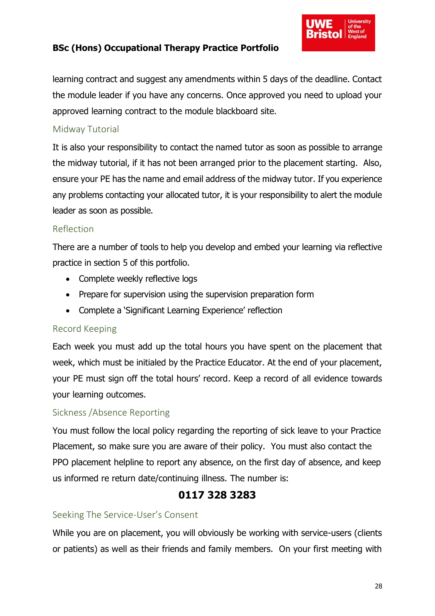

#### <span id="page-29-0"></span>Midway Tutorial

It is also your responsibility to contact the named tutor as soon as possible to arrange the midway tutorial, if it has not been arranged prior to the placement starting. Also, ensure your PE has the name and email address of the midway tutor. If you experience any problems contacting your allocated tutor, it is your responsibility to alert the module leader as soon as possible.

#### <span id="page-29-1"></span>Reflection

There are a number of tools to help you develop and embed your learning via reflective practice in section 5 of this portfolio.

- Complete weekly reflective logs
- Prepare for supervision using the supervision preparation form
- Complete a 'Significant Learning Experience' reflection

#### <span id="page-29-2"></span>Record Keeping

Each week you must add up the total hours you have spent on the placement that week, which must be initialed by the Practice Educator. At the end of your placement, your PE must sign off the total hours' record. Keep a record of all evidence towards your learning outcomes.

#### <span id="page-29-3"></span>Sickness /Absence Reporting

You must follow the local policy regarding the reporting of sick leave to your Practice Placement, so make sure you are aware of their policy. You must also contact the PPO placement helpline to report any absence, on the first day of absence, and keep us informed re return date/continuing illness. The number is:

## **0117 328 3283**

#### <span id="page-29-4"></span>Seeking The Service-User's Consent

While you are on placement, you will obviously be working with service-users (clients or patients) as well as their friends and family members. On your first meeting with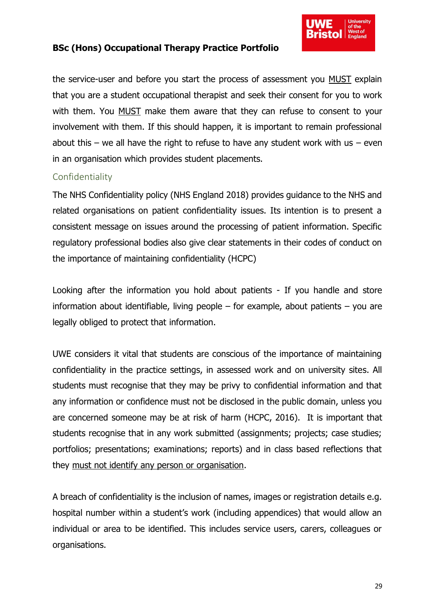

the service-user and before you start the process of assessment you MUST explain that you are a student occupational therapist and seek their consent for you to work with them. You MUST make them aware that they can refuse to consent to your involvement with them. If this should happen, it is important to remain professional about this – we all have the right to refuse to have any student work with us – even in an organisation which provides student placements.

#### <span id="page-30-0"></span>Confidentiality

The NHS Confidentiality policy (NHS England 2018) provides guidance to the NHS and related organisations on patient confidentiality issues. Its intention is to present a consistent message on issues around the processing of patient information. Specific regulatory professional bodies also give clear statements in their codes of conduct on the importance of maintaining confidentiality (HCPC)

Looking after the information you hold about patients - If you handle and store information about identifiable, living people – for example, about patients – you are legally obliged to protect that information.

UWE considers it vital that students are conscious of the importance of maintaining confidentiality in the practice settings, in assessed work and on university sites. All students must recognise that they may be privy to confidential information and that any information or confidence must not be disclosed in the public domain, unless you are concerned someone may be at risk of harm (HCPC, 2016). It is important that students recognise that in any work submitted (assignments; projects; case studies; portfolios; presentations; examinations; reports) and in class based reflections that they must not identify any person or organisation.

A breach of confidentiality is the inclusion of names, images or registration details e.g. hospital number within a student's work (including appendices) that would allow an individual or area to be identified. This includes service users, carers, colleagues or organisations.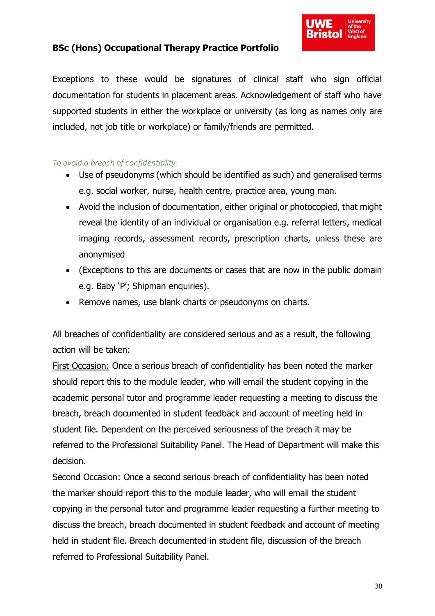

Exceptions to these would be signatures of clinical staff who sign official documentation for students in placement areas. Acknowledgement of staff who have supported students in either the workplace or university (as long as names only are included, not job title or workplace) or family/friends are permitted.

#### *To avoid a breach of confidentiality:*

- Use of pseudonyms (which should be identified as such) and generalised terms e.g. social worker, nurse, health centre, practice area, young man.
- Avoid the inclusion of documentation, either original or photocopied, that might reveal the identity of an individual or organisation e.g. referral letters, medical imaging records, assessment records, prescription charts, unless these are anonymised
- (Exceptions to this are documents or cases that are now in the public domain e.g. Baby 'P'; Shipman enquiries).
- Remove names, use blank charts or pseudonyms on charts.

All breaches of confidentiality are considered serious and as a result, the following action will be taken:

First Occasion: Once a serious breach of confidentiality has been noted the marker should report this to the module leader, who will email the student copying in the academic personal tutor and programme leader requesting a meeting to discuss the breach, breach documented in student feedback and account of meeting held in student file. Dependent on the perceived seriousness of the breach it may be referred to the Professional Suitability Panel. The Head of Department will make this decision.

Second Occasion: Once a second serious breach of confidentiality has been noted the marker should report this to the module leader, who will email the student copying in the personal tutor and programme leader requesting a further meeting to discuss the breach, breach documented in student feedback and account of meeting held in student file. Breach documented in student file, discussion of the breach referred to Professional Suitability Panel.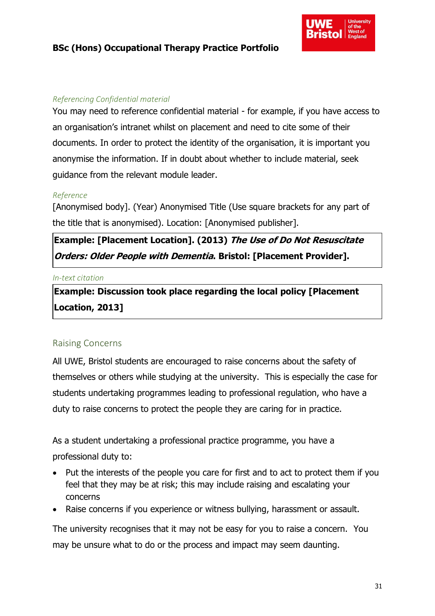

#### *Referencing Confidential material*

You may need to reference confidential material - for example, if you have access to an organisation's intranet whilst on placement and need to cite some of their documents. In order to protect the identity of the organisation, it is important you anonymise the information. If in doubt about whether to include material, seek guidance from the relevant module leader.

#### *Reference*

[Anonymised body]. (Year) Anonymised Title (Use square brackets for any part of the title that is anonymised). Location: [Anonymised publisher].

**Example: [Placement Location]. (2013) The Use of Do Not Resuscitate Orders: Older People with Dementia. Bristol: [Placement Provider].**

#### *In-text citation*

**Example: Discussion took place regarding the local policy [Placement Location, 2013]**

#### <span id="page-32-0"></span>Raising Concerns

All UWE, Bristol students are encouraged to raise concerns about the safety of themselves or others while studying at the university. This is especially the case for students undertaking programmes leading to professional regulation, who have a duty to raise concerns to protect the people they are caring for in practice.

As a student undertaking a professional practice programme, you have a professional duty to:

- Put the interests of the people you care for first and to act to protect them if you feel that they may be at risk; this may include raising and escalating your concerns
- Raise concerns if you experience or witness bullying, harassment or assault.

The university recognises that it may not be easy for you to raise a concern. You may be unsure what to do or the process and impact may seem daunting.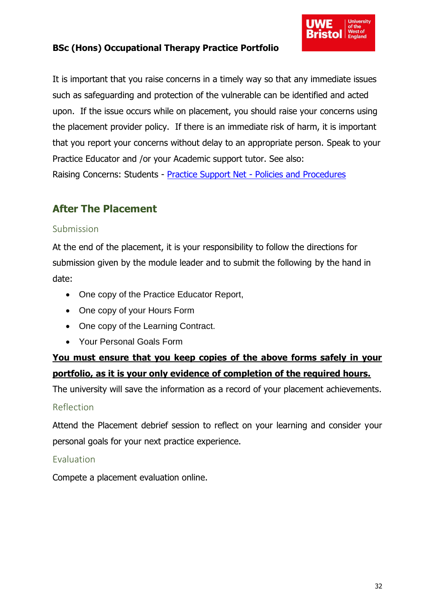

It is important that you raise concerns in a timely way so that any immediate issues such as safeguarding and protection of the vulnerable can be identified and acted upon. If the issue occurs while on placement, you should raise your concerns using the placement provider policy. If there is an immediate risk of harm, it is important that you report your concerns without delay to an appropriate person. Speak to your Practice Educator and /or your Academic support tutor. See also:

Raising Concerns: Students - Practice Support Net - [Policies and Procedures](http://www1.uwe.ac.uk/students/practicesupportnet/policiesandprocedures.aspx)

## <span id="page-33-0"></span>**After The Placement**

#### <span id="page-33-1"></span>Submission

At the end of the placement, it is your responsibility to follow the directions for submission given by the module leader and to submit the following by the hand in date:

- One copy of the Practice Educator Report,
- One copy of your Hours Form
- One copy of the Learning Contract.
- Your Personal Goals Form

## **You must ensure that you keep copies of the above forms safely in your portfolio, as it is your only evidence of completion of the required hours.**

The university will save the information as a record of your placement achievements.

#### <span id="page-33-2"></span>Reflection

Attend the Placement debrief session to reflect on your learning and consider your personal goals for your next practice experience.

#### <span id="page-33-3"></span>Evaluation

Compete a placement evaluation online.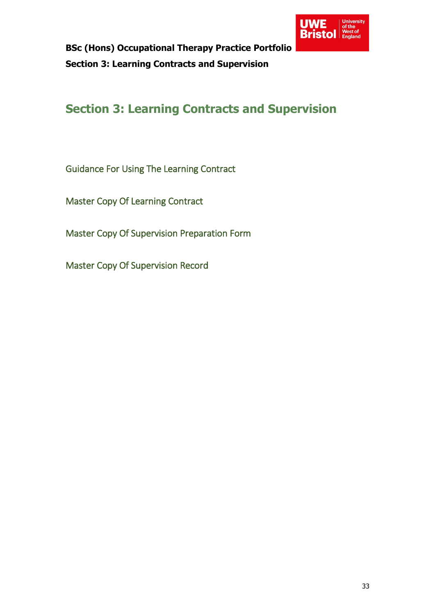

**BSc (Hons) Occupational Therapy Practice Portfolio Section 3: Learning Contracts and Supervision** 

## <span id="page-34-0"></span>**Section 3: Learning Contracts and Supervision**

Guidance For Using The Learning Contract

Master Copy Of Learning Contract

Master Copy Of Supervision Preparation Form

Master Copy Of Supervision Record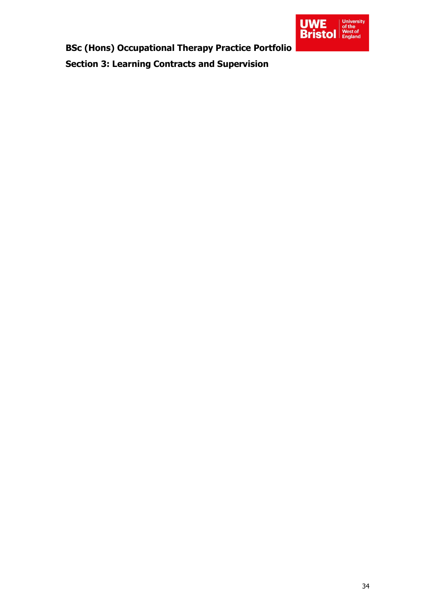

**BSc (Hons) Occupational Therapy Practice Portfolio Section 3: Learning Contracts and Supervision**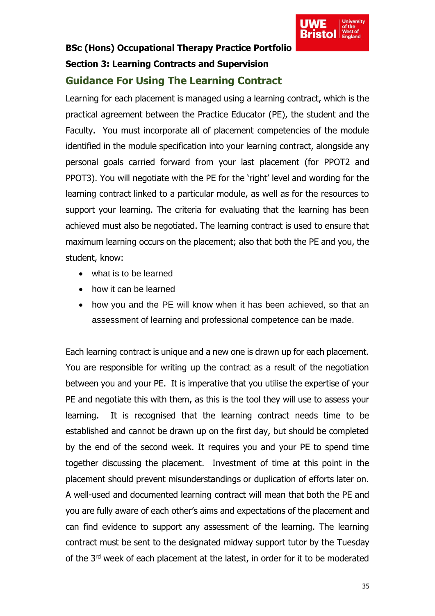

## **BSc (Hons) Occupational Therapy Practice Portfolio Section 3: Learning Contracts and Supervision Guidance For Using The Learning Contract**

Learning for each placement is managed using a learning contract, which is the practical agreement between the Practice Educator (PE), the student and the Faculty. You must incorporate all of placement competencies of the module identified in the module specification into your learning contract, alongside any personal goals carried forward from your last placement (for PPOT2 and PPOT3). You will negotiate with the PE for the 'right' level and wording for the learning contract linked to a particular module, as well as for the resources to support your learning. The criteria for evaluating that the learning has been achieved must also be negotiated. The learning contract is used to ensure that maximum learning occurs on the placement; also that both the PE and you, the student, know:

- what is to be learned
- how it can be learned
- how you and the PE will know when it has been achieved, so that an assessment of learning and professional competence can be made.

Each learning contract is unique and a new one is drawn up for each placement. You are responsible for writing up the contract as a result of the negotiation between you and your PE. It is imperative that you utilise the expertise of your PE and negotiate this with them, as this is the tool they will use to assess your learning. It is recognised that the learning contract needs time to be established and cannot be drawn up on the first day, but should be completed by the end of the second week. It requires you and your PE to spend time together discussing the placement. Investment of time at this point in the placement should prevent misunderstandings or duplication of efforts later on. A well-used and documented learning contract will mean that both the PE and you are fully aware of each other's aims and expectations of the placement and can find evidence to support any assessment of the learning. The learning contract must be sent to the designated midway support tutor by the Tuesday of the 3<sup>rd</sup> week of each placement at the latest, in order for it to be moderated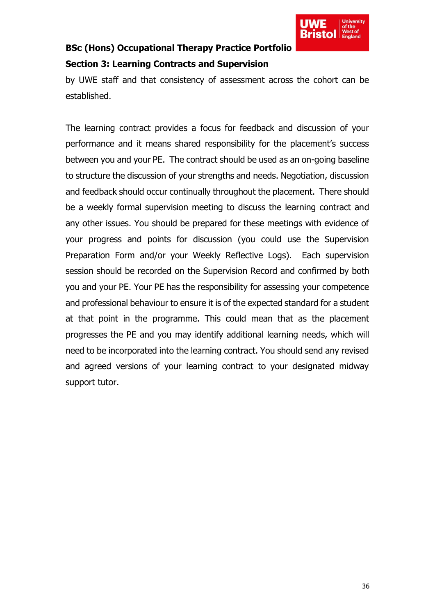

## **BSc (Hons) Occupational Therapy Practice Portfolio Section 3: Learning Contracts and Supervision**

by UWE staff and that consistency of assessment across the cohort can be established.

The learning contract provides a focus for feedback and discussion of your performance and it means shared responsibility for the placement's success between you and your PE. The contract should be used as an on-going baseline to structure the discussion of your strengths and needs. Negotiation, discussion and feedback should occur continually throughout the placement. There should be a weekly formal supervision meeting to discuss the learning contract and any other issues. You should be prepared for these meetings with evidence of your progress and points for discussion (you could use the Supervision Preparation Form and/or your Weekly Reflective Logs). Each supervision session should be recorded on the Supervision Record and confirmed by both you and your PE. Your PE has the responsibility for assessing your competence and professional behaviour to ensure it is of the expected standard for a student at that point in the programme. This could mean that as the placement progresses the PE and you may identify additional learning needs, which will need to be incorporated into the learning contract. You should send any revised and agreed versions of your learning contract to your designated midway support tutor.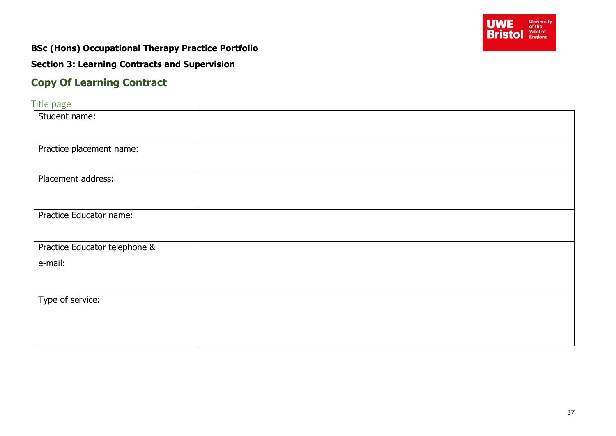

**Section 3: Learning Contracts and Supervision** 

## **Copy Of Learning Contract**

### Title page

| Student name:                 |  |
|-------------------------------|--|
| Practice placement name:      |  |
| Placement address:            |  |
| Practice Educator name:       |  |
| Practice Educator telephone & |  |
| e-mail:                       |  |
| Type of service:              |  |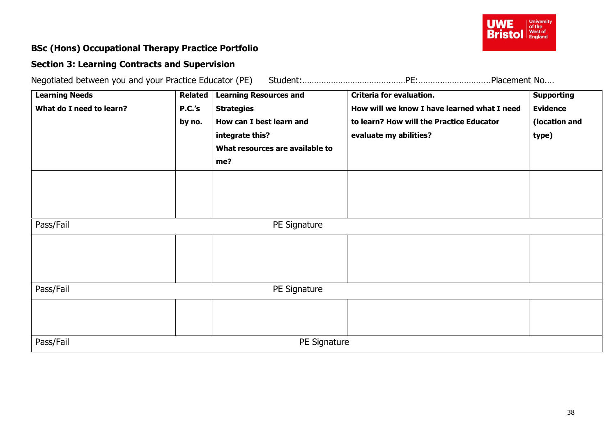

### **Section 3: Learning Contracts and Supervision**

|  | Negotiated between you and your Practice Educator (PE) |  | DE |  |
|--|--------------------------------------------------------|--|----|--|
|--|--------------------------------------------------------|--|----|--|

| <b>Learning Needs</b>    | <b>Related</b> | <b>Learning Resources and</b>   | <b>Criteria for evaluation.</b>             | <b>Supporting</b> |
|--------------------------|----------------|---------------------------------|---------------------------------------------|-------------------|
| What do I need to learn? | P.C.'s         | <b>Strategies</b>               | How will we know I have learned what I need | <b>Evidence</b>   |
|                          | by no.         | How can I best learn and        | to learn? How will the Practice Educator    | (location and     |
|                          |                | integrate this?                 | evaluate my abilities?                      | type)             |
|                          |                | What resources are available to |                                             |                   |
|                          |                | me?                             |                                             |                   |
|                          |                |                                 |                                             |                   |
|                          |                |                                 |                                             |                   |
|                          |                |                                 |                                             |                   |
| Pass/Fail                |                | PE Signature                    |                                             |                   |
|                          |                |                                 |                                             |                   |
|                          |                |                                 |                                             |                   |
|                          |                |                                 |                                             |                   |
| Pass/Fail                |                | PE Signature                    |                                             |                   |
|                          |                |                                 |                                             |                   |
|                          |                |                                 |                                             |                   |
|                          |                |                                 |                                             |                   |
| Pass/Fail                |                | PE Signature                    |                                             |                   |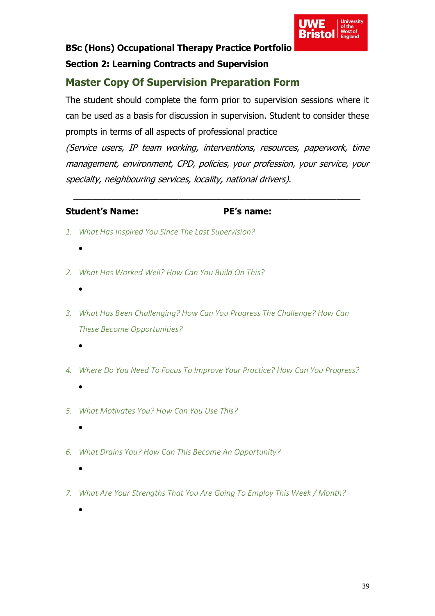

#### **Section 2: Learning Contracts and Supervision**

## **Master Copy Of Supervision Preparation Form**

The student should complete the form prior to supervision sessions where it can be used as a basis for discussion in supervision. Student to consider these prompts in terms of all aspects of professional practice

(Service users, IP team working, interventions, resources, paperwork, time management, environment, CPD, policies, your profession, your service, your specialty, neighbouring services, locality, national drivers).

\_\_\_\_\_\_\_\_\_\_\_\_\_\_\_\_\_\_\_\_\_\_\_\_\_\_\_\_\_\_\_\_\_\_\_\_\_\_\_\_\_\_\_\_\_\_\_\_\_\_\_\_\_\_\_\_\_\_\_\_

#### **Student's Name: PE's name:**

- *1. What Has Inspired You Since The Last Supervision?*
	- •
- *2. What Has Worked Well? How Can You Build On This?*
	- •
- *3. What Has Been Challenging? How Can You Progress The Challenge? How Can These Become Opportunities?*
	- •
- *4. Where Do You Need To Focus To Improve Your Practice? How Can You Progress?*
	- •

•

- *5. What Motivates You? How Can You Use This?*
	- •
- *6. What Drains You? How Can This Become An Opportunity?*
- •
- *7. What Are Your Strengths That You Are Going To Employ This Week / Month?*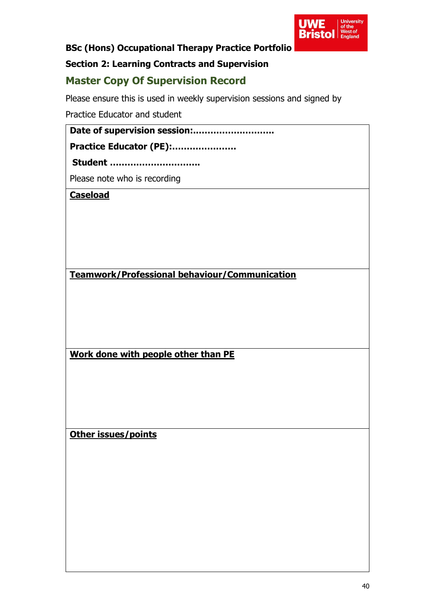

**Section 2: Learning Contracts and Supervision** 

## **Master Copy Of Supervision Record**

Please ensure this is used in weekly supervision sessions and signed by

Practice Educator and student

**Date of supervision session:..……………………..**

**Practice Educator (PE):………………….**

**Student ………………………….**

Please note who is recording

**Caseload**

**Teamwork/Professional behaviour/Communication**

**Work done with people other than PE**

**Other issues/points**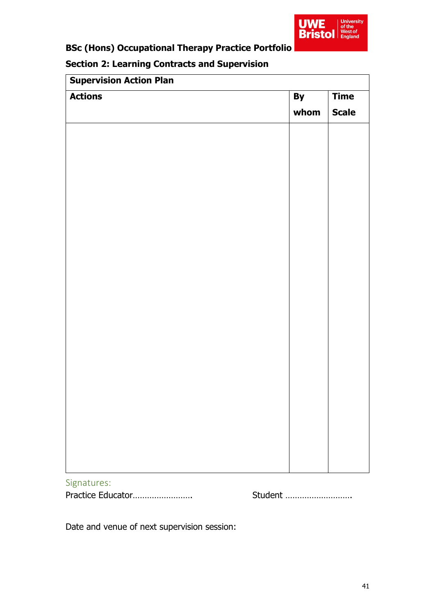

### **Section 2: Learning Contracts and Supervision**

| <b>Supervision Action Plan</b> |      |              |
|--------------------------------|------|--------------|
| <b>Actions</b>                 | By   | <b>Time</b>  |
|                                | whom | <b>Scale</b> |
|                                |      |              |
|                                |      |              |
|                                |      |              |
|                                |      |              |
|                                |      |              |
|                                |      |              |
|                                |      |              |
|                                |      |              |
|                                |      |              |
|                                |      |              |
|                                |      |              |
|                                |      |              |
|                                |      |              |
|                                |      |              |
|                                |      |              |
|                                |      |              |
|                                |      |              |
|                                |      |              |
|                                |      |              |
|                                |      |              |
|                                |      |              |
|                                |      |              |
|                                |      |              |
|                                |      |              |
|                                |      |              |
|                                |      |              |

Signatures: Practice Educator……………………. Student ……………………….

Date and venue of next supervision session: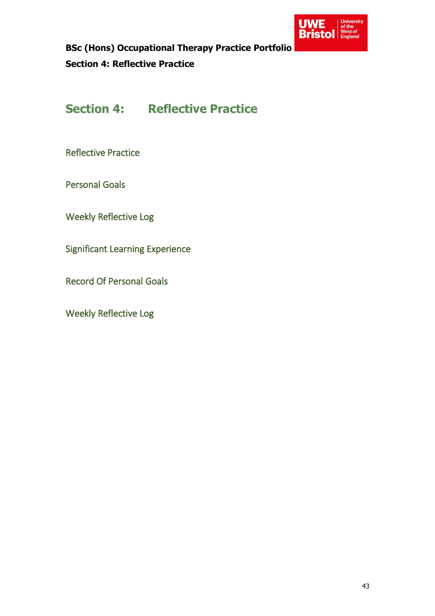

**BSc (Hons) Occupational Therapy Practice Portfolio Section 4: Reflective Practice** 

## **Section 4: Reflective Practice**

Reflective Practice

Personal Goals

Weekly Reflective Log

Significant Learning Experience

Record Of Personal Goals

Weekly Reflective Log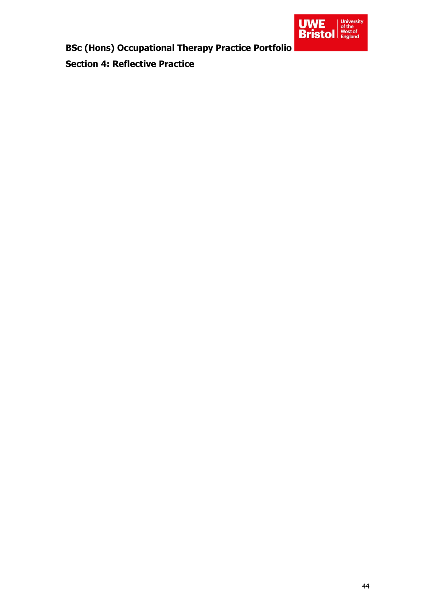

**BSc (Hons) Occupational Therapy Practice Portfolio Section 4: Reflective Practice**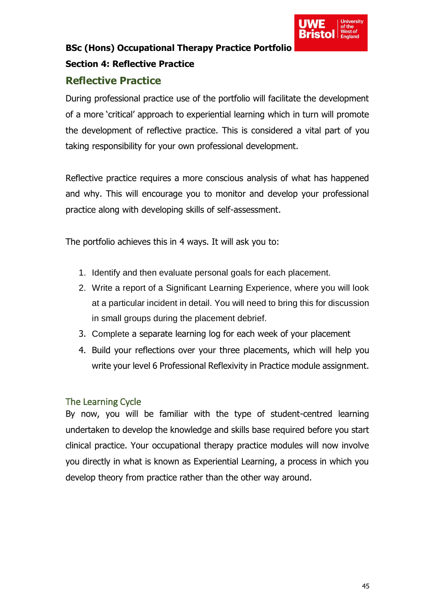

### **Section 4: Reflective Practice**

## **Reflective Practice**

During professional practice use of the portfolio will facilitate the development of a more 'critical' approach to experiential learning which in turn will promote the development of reflective practice. This is considered a vital part of you taking responsibility for your own professional development.

Reflective practice requires a more conscious analysis of what has happened and why. This will encourage you to monitor and develop your professional practice along with developing skills of self-assessment.

The portfolio achieves this in 4 ways. It will ask you to:

- 1. Identify and then evaluate personal goals for each placement.
- 2. Write a report of a Significant Learning Experience, where you will look at a particular incident in detail. You will need to bring this for discussion in small groups during the placement debrief.
- 3. Complete a separate learning log for each week of your placement
- 4. Build your reflections over your three placements, which will help you write your level 6 Professional Reflexivity in Practice module assignment.

### The Learning Cycle

By now, you will be familiar with the type of student-centred learning undertaken to develop the knowledge and skills base required before you start clinical practice. Your occupational therapy practice modules will now involve you directly in what is known as Experiential Learning, a process in which you develop theory from practice rather than the other way around.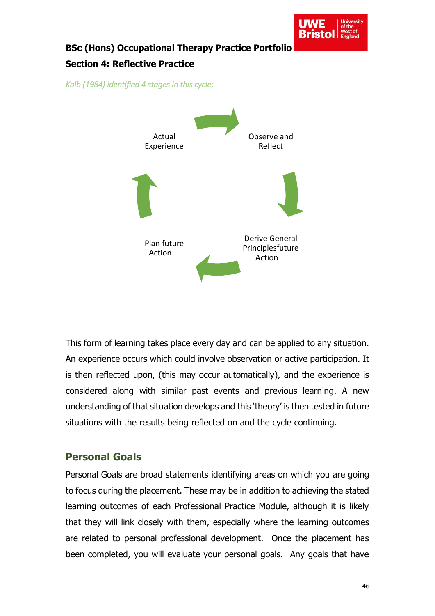

## **Section 4: Reflective Practice**

*Kolb (1984) identified 4 stages in this cycle:* 



This form of learning takes place every day and can be applied to any situation. An experience occurs which could involve observation or active participation. It is then reflected upon, (this may occur automatically), and the experience is considered along with similar past events and previous learning. A new understanding of that situation develops and this 'theory' is then tested in future situations with the results being reflected on and the cycle continuing.

## **Personal Goals**

Personal Goals are broad statements identifying areas on which you are going to focus during the placement. These may be in addition to achieving the stated learning outcomes of each Professional Practice Module, although it is likely that they will link closely with them, especially where the learning outcomes are related to personal professional development. Once the placement has been completed, you will evaluate your personal goals. Any goals that have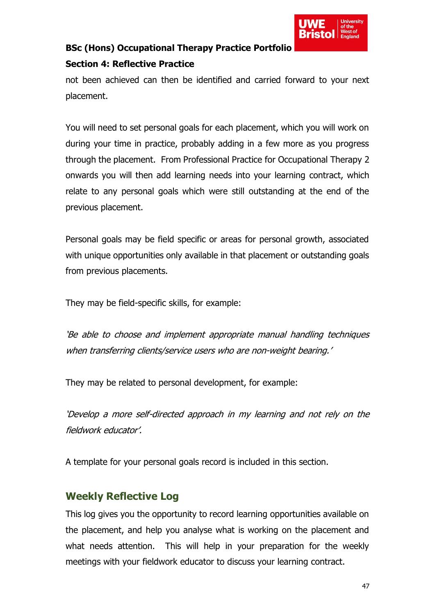

#### **Section 4: Reflective Practice**

not been achieved can then be identified and carried forward to your next placement.

You will need to set personal goals for each placement, which you will work on during your time in practice, probably adding in a few more as you progress through the placement. From Professional Practice for Occupational Therapy 2 onwards you will then add learning needs into your learning contract, which relate to any personal goals which were still outstanding at the end of the previous placement.

Personal goals may be field specific or areas for personal growth, associated with unique opportunities only available in that placement or outstanding goals from previous placements.

They may be field-specific skills, for example:

'Be able to choose and implement appropriate manual handling techniques when transferring clients/service users who are non-weight bearing.'

They may be related to personal development, for example:

'Develop a more self-directed approach in my learning and not rely on the fieldwork educator'.

A template for your personal goals record is included in this section.

## **Weekly Reflective Log**

This log gives you the opportunity to record learning opportunities available on the placement, and help you analyse what is working on the placement and what needs attention. This will help in your preparation for the weekly meetings with your fieldwork educator to discuss your learning contract.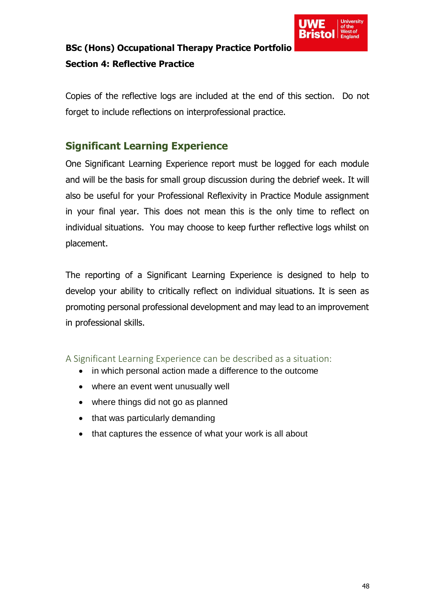

## **BSc (Hons) Occupational Therapy Practice Portfolio Section 4: Reflective Practice**

Copies of the reflective logs are included at the end of this section. Do not forget to include reflections on interprofessional practice.

## **Significant Learning Experience**

One Significant Learning Experience report must be logged for each module and will be the basis for small group discussion during the debrief week. It will also be useful for your Professional Reflexivity in Practice Module assignment in your final year. This does not mean this is the only time to reflect on individual situations. You may choose to keep further reflective logs whilst on placement.

The reporting of a Significant Learning Experience is designed to help to develop your ability to critically reflect on individual situations. It is seen as promoting personal professional development and may lead to an improvement in professional skills.

A Significant Learning Experience can be described as a situation:

- in which personal action made a difference to the outcome
- where an event went unusually well
- where things did not go as planned
- that was particularly demanding
- that captures the essence of what your work is all about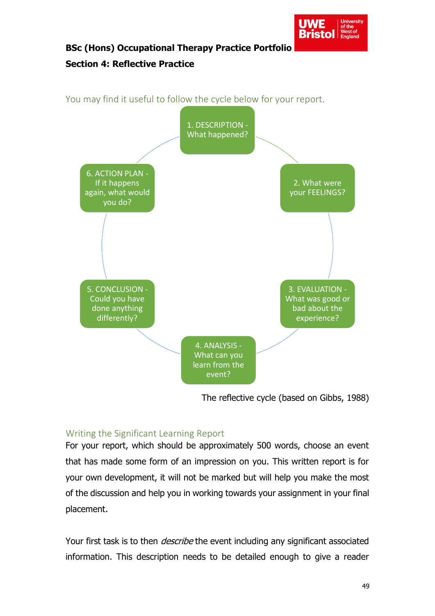

### **BSc (Hons) Occupational Therapy Practice Portfolio Section 4: Reflective Practice**



You may find it useful to follow the cycle below for your report.

The reflective cycle (based on Gibbs, 1988)

#### Writing the Significant Learning Report

For your report, which should be approximately 500 words, choose an event that has made some form of an impression on you. This written report is for your own development, it will not be marked but will help you make the most of the discussion and help you in working towards your assignment in your final placement.

Your first task is to then *describe* the event including any significant associated information. This description needs to be detailed enough to give a reader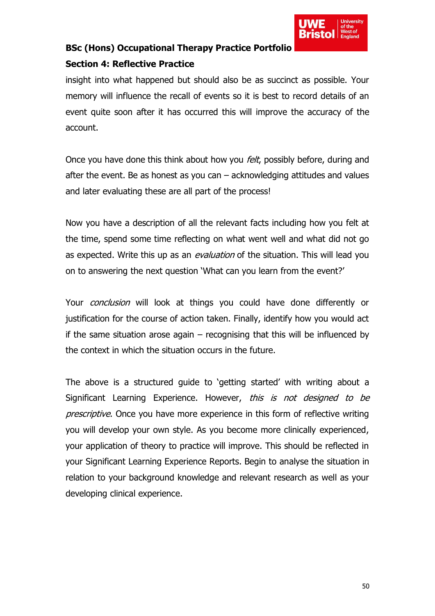

#### **Section 4: Reflective Practice**

insight into what happened but should also be as succinct as possible. Your memory will influence the recall of events so it is best to record details of an event quite soon after it has occurred this will improve the accuracy of the account.

Once you have done this think about how you *felt*, possibly before, during and after the event. Be as honest as you can – acknowledging attitudes and values and later evaluating these are all part of the process!

Now you have a description of all the relevant facts including how you felt at the time, spend some time reflecting on what went well and what did not go as expected. Write this up as an *evaluation* of the situation. This will lead you on to answering the next question 'What can you learn from the event?'

Your *conclusion* will look at things you could have done differently or justification for the course of action taken. Finally, identify how you would act if the same situation arose again  $-$  recognising that this will be influenced by the context in which the situation occurs in the future.

The above is a structured guide to 'getting started' with writing about a Significant Learning Experience. However, this is not designed to be prescriptive. Once you have more experience in this form of reflective writing you will develop your own style. As you become more clinically experienced, your application of theory to practice will improve. This should be reflected in your Significant Learning Experience Reports. Begin to analyse the situation in relation to your background knowledge and relevant research as well as your developing clinical experience.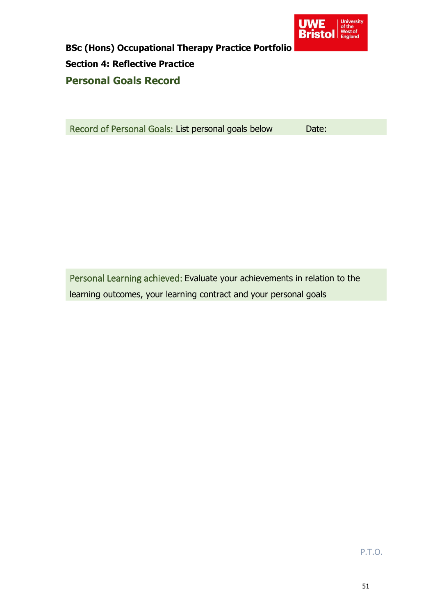

**BSc (Hons) Occupational Therapy Practice Portfolio Section 4: Reflective Practice Personal Goals Record**

Record of Personal Goals: List personal goals below Date:

Personal Learning achieved: Evaluate your achievements in relation to the learning outcomes, your learning contract and your personal goals

P.T.O.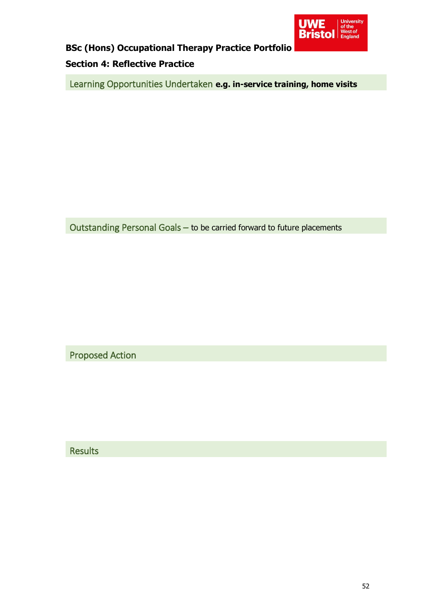

## **Section 4: Reflective Practice**

Learning Opportunities Undertaken **e.g. in-service training, home visits**

Outstanding Personal Goals – to be carried forward to future placements

Proposed Action

Results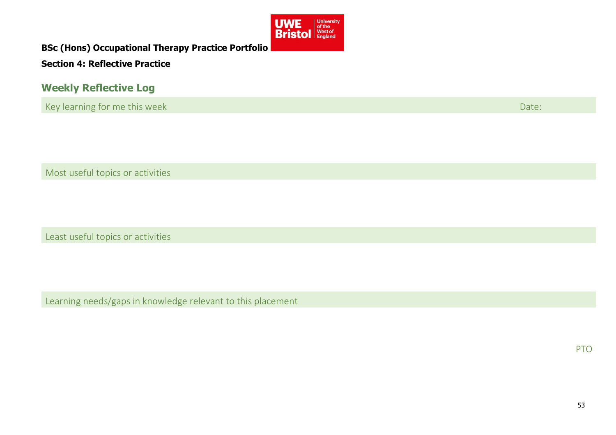

#### **Section 4: Reflective Practice**

## **Weekly Reflective Log**

Key learning for me this week and the contract of the contract of the contract of the contract of the Date:

Most useful topics or activities

Least useful topics or activities

Learning needs/gaps in knowledge relevant to this placement

PTO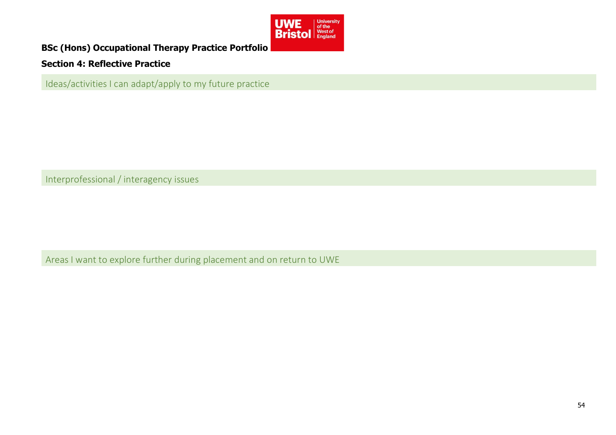

#### **Section 4: Reflective Practice**

Ideas/activities I can adapt/apply to my future practice

Interprofessional / interagency issues

Areas I want to explore further during placement and on return to UWE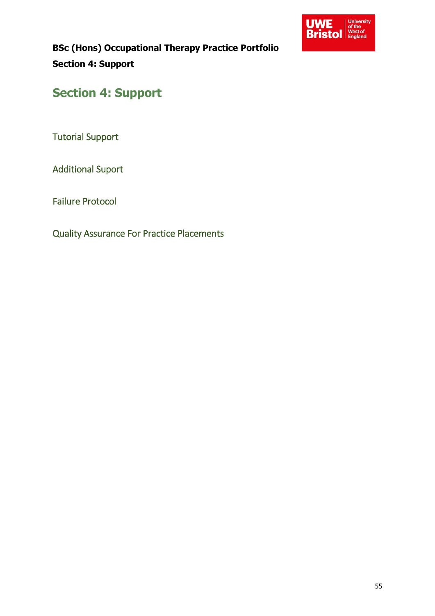

## **Section 4: Support**

Tutorial Support

Additional Suport

Failure Protocol

Quality Assurance For Practice Placements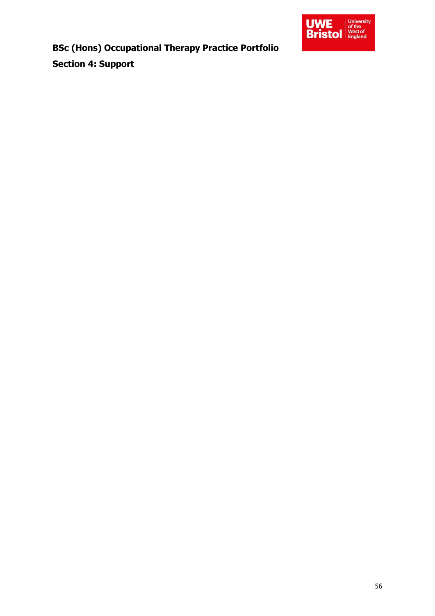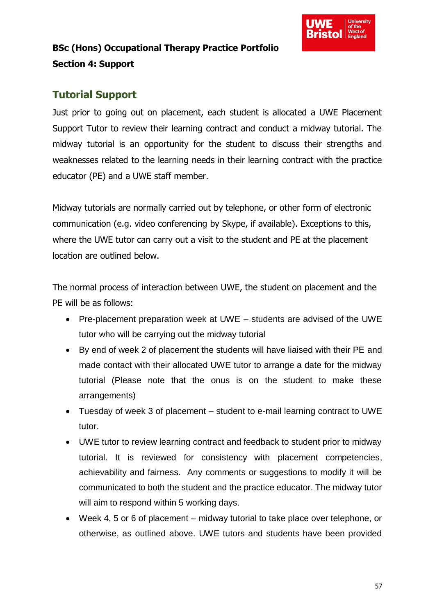

## **Tutorial Support**

Just prior to going out on placement, each student is allocated a UWE Placement Support Tutor to review their learning contract and conduct a midway tutorial. The midway tutorial is an opportunity for the student to discuss their strengths and weaknesses related to the learning needs in their learning contract with the practice educator (PE) and a UWE staff member.

Midway tutorials are normally carried out by telephone, or other form of electronic communication (e.g. video conferencing by Skype, if available). Exceptions to this, where the UWE tutor can carry out a visit to the student and PE at the placement location are outlined below.

The normal process of interaction between UWE, the student on placement and the PE will be as follows:

- Pre-placement preparation week at UWE students are advised of the UWE tutor who will be carrying out the midway tutorial
- By end of week 2 of placement the students will have liaised with their PE and made contact with their allocated UWE tutor to arrange a date for the midway tutorial (Please note that the onus is on the student to make these arrangements)
- Tuesday of week 3 of placement student to e-mail learning contract to UWE tutor.
- UWE tutor to review learning contract and feedback to student prior to midway tutorial. It is reviewed for consistency with placement competencies, achievability and fairness. Any comments or suggestions to modify it will be communicated to both the student and the practice educator. The midway tutor will aim to respond within 5 working days.
- Week 4, 5 or 6 of placement midway tutorial to take place over telephone, or otherwise, as outlined above. UWE tutors and students have been provided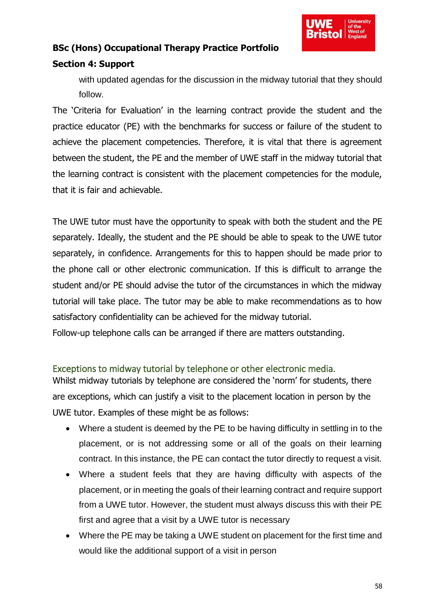

#### **Section 4: Support**

with updated agendas for the discussion in the midway tutorial that they should follow.

The 'Criteria for Evaluation' in the learning contract provide the student and the practice educator (PE) with the benchmarks for success or failure of the student to achieve the placement competencies. Therefore, it is vital that there is agreement between the student, the PE and the member of UWE staff in the midway tutorial that the learning contract is consistent with the placement competencies for the module, that it is fair and achievable.

The UWE tutor must have the opportunity to speak with both the student and the PE separately. Ideally, the student and the PE should be able to speak to the UWE tutor separately, in confidence. Arrangements for this to happen should be made prior to the phone call or other electronic communication. If this is difficult to arrange the student and/or PE should advise the tutor of the circumstances in which the midway tutorial will take place. The tutor may be able to make recommendations as to how satisfactory confidentiality can be achieved for the midway tutorial.

Follow-up telephone calls can be arranged if there are matters outstanding.

### Exceptions to midway tutorial by telephone or other electronic media.

Whilst midway tutorials by telephone are considered the 'norm' for students, there are exceptions, which can justify a visit to the placement location in person by the UWE tutor. Examples of these might be as follows:

- Where a student is deemed by the PE to be having difficulty in settling in to the placement, or is not addressing some or all of the goals on their learning contract. In this instance, the PE can contact the tutor directly to request a visit.
- Where a student feels that they are having difficulty with aspects of the placement, or in meeting the goals of their learning contract and require support from a UWE tutor. However, the student must always discuss this with their PE first and agree that a visit by a UWE tutor is necessary
- Where the PE may be taking a UWE student on placement for the first time and would like the additional support of a visit in person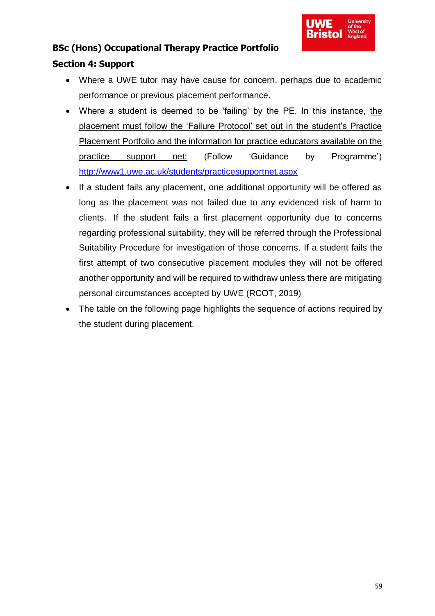

#### **Section 4: Support**

- Where a UWE tutor may have cause for concern, perhaps due to academic performance or previous placement performance.
- Where a student is deemed to be 'failing' by the PE. In this instance, the placement must follow the 'Failure Protocol' set out in the student's Practice Placement Portfolio and the information for practice educators available on the practice support net: (Follow 'Guidance by Programme') <http://www1.uwe.ac.uk/students/practicesupportnet.aspx>
- If a student fails any placement, one additional opportunity will be offered as long as the placement was not failed due to any evidenced risk of harm to clients. If the student fails a first placement opportunity due to concerns regarding professional suitability, they will be referred through the Professional Suitability Procedure for investigation of those concerns. If a student fails the first attempt of two consecutive placement modules they will not be offered another opportunity and will be required to withdraw unless there are mitigating personal circumstances accepted by UWE (RCOT, 2019)
- The table on the following page highlights the sequence of actions required by the student during placement.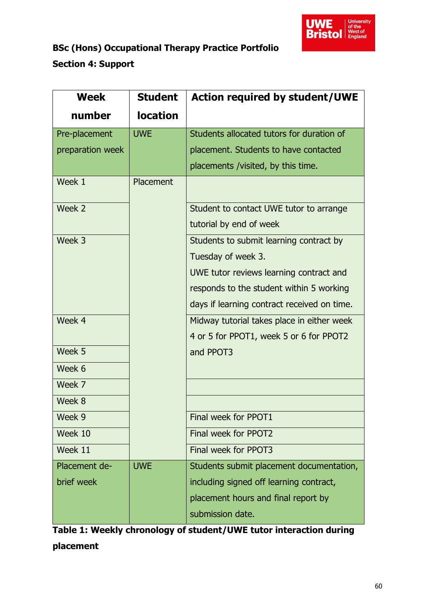

| Week             | <b>Student</b>  | <b>Action required by student/UWE</b>       |
|------------------|-----------------|---------------------------------------------|
| number           | <b>location</b> |                                             |
| Pre-placement    | <b>UWE</b>      | Students allocated tutors for duration of   |
| preparation week |                 | placement. Students to have contacted       |
|                  |                 | placements / visited, by this time.         |
| Week 1           | Placement       |                                             |
| Week 2           |                 | Student to contact UWE tutor to arrange     |
|                  |                 | tutorial by end of week                     |
| Week 3           |                 | Students to submit learning contract by     |
|                  |                 | Tuesday of week 3.                          |
|                  |                 | UWE tutor reviews learning contract and     |
|                  |                 | responds to the student within 5 working    |
|                  |                 | days if learning contract received on time. |
| Week 4           |                 | Midway tutorial takes place in either week  |
|                  |                 | 4 or 5 for PPOT1, week 5 or 6 for PPOT2     |
| Week 5           |                 | and PPOT3                                   |
| Week 6           |                 |                                             |
| Week 7           |                 |                                             |
| Week 8           |                 |                                             |
| Week 9           |                 | Final week for PPOT1                        |
| Week 10          |                 | Final week for PPOT2                        |
| Week 11          |                 | Final week for PPOT3                        |
| Placement de-    | <b>UWE</b>      | Students submit placement documentation,    |
| brief week       |                 | including signed off learning contract,     |
|                  |                 | placement hours and final report by         |
|                  |                 | submission date.                            |

**Table 1: Weekly chronology of student/UWE tutor interaction during placement**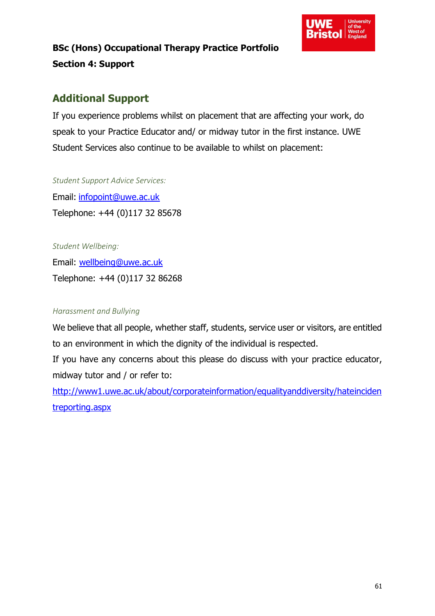

## **Additional Support**

If you experience problems whilst on placement that are affecting your work, do speak to your Practice Educator and/ or midway tutor in the first instance. UWE Student Services also continue to be available to whilst on placement:

*Student Support Advice Services:*  Email: [infopoint@uwe.ac.uk](mailto:infopoint@uwe.ac.uk) Telephone: +44 (0)117 32 85678

*Student Wellbeing:* 

Email: [wellbeing@uwe.ac.uk](mailto:wellbeing@uwe.ac.uk) Telephone: +44 (0)117 32 86268

#### *Harassment and Bullying*

We believe that all people, whether staff, students, service user or visitors, are entitled to an environment in which the dignity of the individual is respected.

If you have any concerns about this please do discuss with your practice educator, midway tutor and / or refer to:

[http://www1.uwe.ac.uk/about/corporateinformation/equalityanddiversity/hateinciden](http://www1.uwe.ac.uk/about/corporateinformation/equalityanddiversity/hateincidentreporting.aspx) [treporting.aspx](http://www1.uwe.ac.uk/about/corporateinformation/equalityanddiversity/hateincidentreporting.aspx)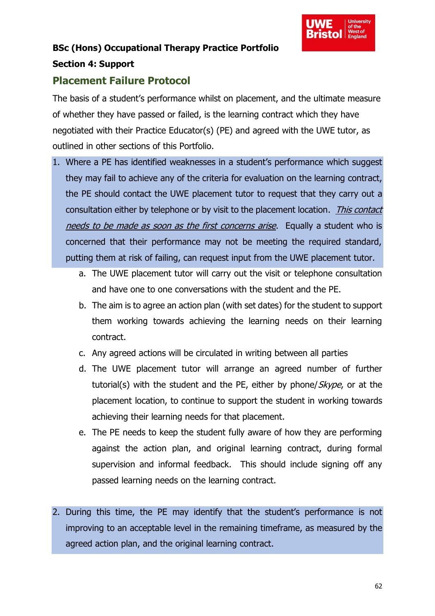

#### **Section 4: Support**

## **Placement Failure Protocol**

The basis of a student's performance whilst on placement, and the ultimate measure of whether they have passed or failed, is the learning contract which they have negotiated with their Practice Educator(s) (PE) and agreed with the UWE tutor, as outlined in other sections of this Portfolio.

- 1. Where a PE has identified weaknesses in a student's performance which suggest they may fail to achieve any of the criteria for evaluation on the learning contract, the PE should contact the UWE placement tutor to request that they carry out a consultation either by telephone or by visit to the placement location. *This contact* needs to be made as soon as the first concerns arise. Equally a student who is concerned that their performance may not be meeting the required standard, putting them at risk of failing, can request input from the UWE placement tutor.
	- a. The UWE placement tutor will carry out the visit or telephone consultation and have one to one conversations with the student and the PE.
	- b. The aim is to agree an action plan (with set dates) for the student to support them working towards achieving the learning needs on their learning contract.
	- c. Any agreed actions will be circulated in writing between all parties
	- d. The UWE placement tutor will arrange an agreed number of further tutorial(s) with the student and the PE, either by phone/ Skype, or at the placement location, to continue to support the student in working towards achieving their learning needs for that placement.
	- e. The PE needs to keep the student fully aware of how they are performing against the action plan, and original learning contract, during formal supervision and informal feedback. This should include signing off any passed learning needs on the learning contract.
- 2. During this time, the PE may identify that the student's performance is not improving to an acceptable level in the remaining timeframe, as measured by the agreed action plan, and the original learning contract.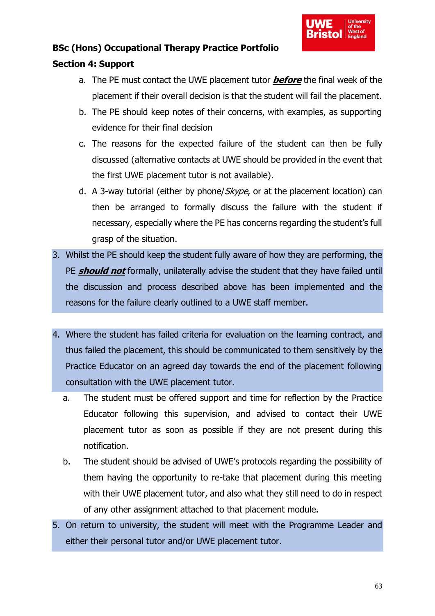

#### **Section 4: Support**

- a. The PE must contact the UWE placement tutor **before** the final week of the placement if their overall decision is that the student will fail the placement.
- b. The PE should keep notes of their concerns, with examples, as supporting evidence for their final decision
- c. The reasons for the expected failure of the student can then be fully discussed (alternative contacts at UWE should be provided in the event that the first UWE placement tutor is not available).
- d. A 3-way tutorial (either by phone/*Skype*, or at the placement location) can then be arranged to formally discuss the failure with the student if necessary, especially where the PE has concerns regarding the student's full grasp of the situation.
- 3. Whilst the PE should keep the student fully aware of how they are performing, the PE **should not** formally, unilaterally advise the student that they have failed until the discussion and process described above has been implemented and the reasons for the failure clearly outlined to a UWE staff member.
- 4. Where the student has failed criteria for evaluation on the learning contract, and thus failed the placement, this should be communicated to them sensitively by the Practice Educator on an agreed day towards the end of the placement following consultation with the UWE placement tutor.
	- a. The student must be offered support and time for reflection by the Practice Educator following this supervision, and advised to contact their UWE placement tutor as soon as possible if they are not present during this notification.
	- b. The student should be advised of UWE's protocols regarding the possibility of them having the opportunity to re-take that placement during this meeting with their UWE placement tutor, and also what they still need to do in respect of any other assignment attached to that placement module.
- 5. On return to university, the student will meet with the Programme Leader and either their personal tutor and/or UWE placement tutor.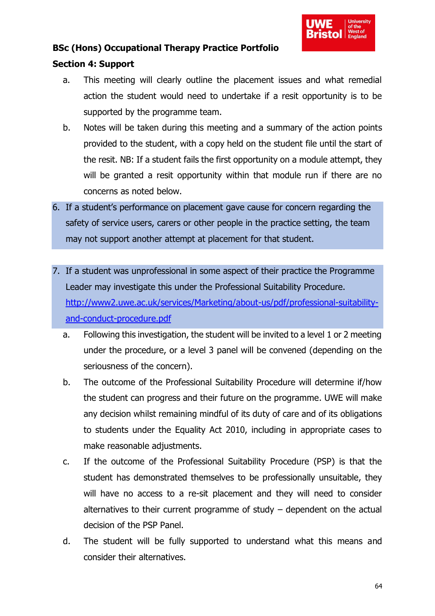

#### **Section 4: Support**

- a. This meeting will clearly outline the placement issues and what remedial action the student would need to undertake if a resit opportunity is to be supported by the programme team.
- b. Notes will be taken during this meeting and a summary of the action points provided to the student, with a copy held on the student file until the start of the resit. NB: If a student fails the first opportunity on a module attempt, they will be granted a resit opportunity within that module run if there are no concerns as noted below.
- 6. If a student's performance on placement gave cause for concern regarding the safety of service users, carers or other people in the practice setting, the team may not support another attempt at placement for that student.
- 7. If a student was unprofessional in some aspect of their practice the Programme Leader may investigate this under the Professional Suitability Procedure. [http://www2.uwe.ac.uk/services/Marketing/about-us/pdf/professional-suitability](http://www2.uwe.ac.uk/services/Marketing/about-us/pdf/professional-suitability-and-conduct-procedure.pdf)[and-conduct-procedure.pdf](http://www2.uwe.ac.uk/services/Marketing/about-us/pdf/professional-suitability-and-conduct-procedure.pdf) 
	- a. Following this investigation, the student will be invited to a level 1 or 2 meeting under the procedure, or a level 3 panel will be convened (depending on the seriousness of the concern).
	- b. The outcome of the Professional Suitability Procedure will determine if/how the student can progress and their future on the programme. UWE will make any decision whilst remaining mindful of its duty of care and of its obligations to students under the Equality Act 2010, including in appropriate cases to make reasonable adjustments.
	- c. If the outcome of the Professional Suitability Procedure (PSP) is that the student has demonstrated themselves to be professionally unsuitable, they will have no access to a re-sit placement and they will need to consider alternatives to their current programme of study – dependent on the actual decision of the PSP Panel.
	- d. The student will be fully supported to understand what this means and consider their alternatives.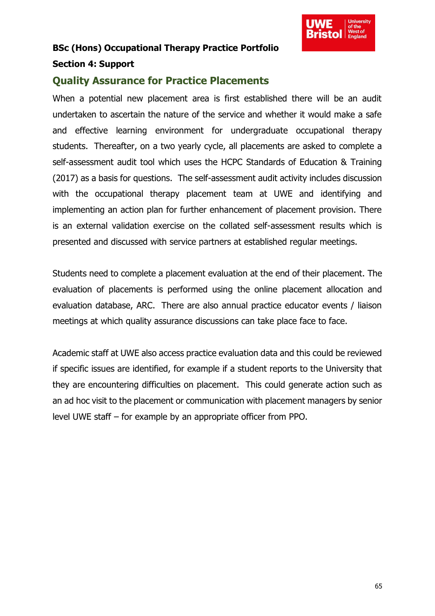

#### **Section 4: Support**

## **Quality Assurance for Practice Placements**

When a potential new placement area is first established there will be an audit undertaken to ascertain the nature of the service and whether it would make a safe and effective learning environment for undergraduate occupational therapy students. Thereafter, on a two yearly cycle, all placements are asked to complete a self-assessment audit tool which uses the HCPC Standards of Education & Training (2017) as a basis for questions. The self-assessment audit activity includes discussion with the occupational therapy placement team at UWE and identifying and implementing an action plan for further enhancement of placement provision. There is an external validation exercise on the collated self-assessment results which is presented and discussed with service partners at established regular meetings.

Students need to complete a placement evaluation at the end of their placement. The evaluation of placements is performed using the online placement allocation and evaluation database, ARC. There are also annual practice educator events / liaison meetings at which quality assurance discussions can take place face to face.

Academic staff at UWE also access practice evaluation data and this could be reviewed if specific issues are identified, for example if a student reports to the University that they are encountering difficulties on placement. This could generate action such as an ad hoc visit to the placement or communication with placement managers by senior level UWE staff – for example by an appropriate officer from PPO.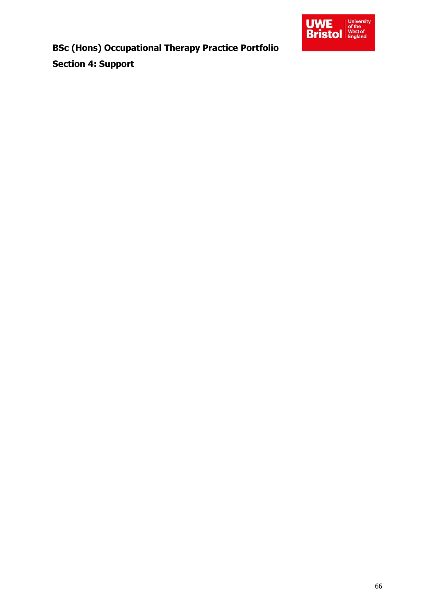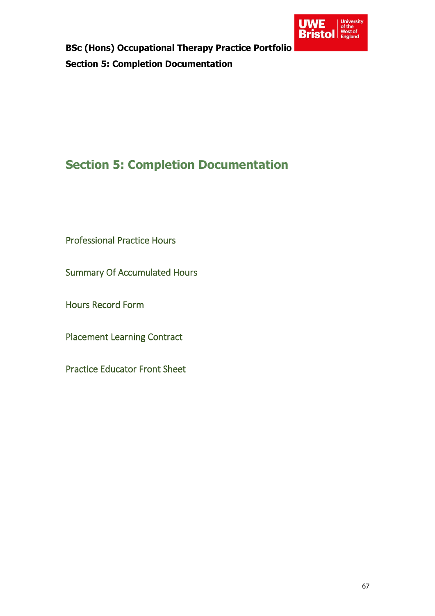

## **Section 5: Completion Documentation**

Professional Practice Hours

Summary Of Accumulated Hours

Hours Record Form

Placement Learning Contract

Practice Educator Front Sheet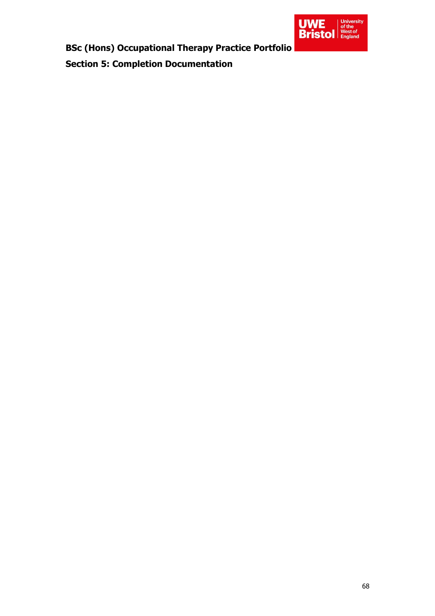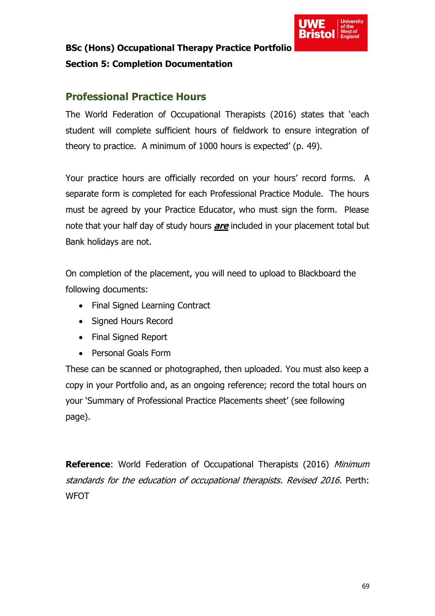

## **Professional Practice Hours**

The World Federation of Occupational Therapists (2016) states that 'each student will complete sufficient hours of fieldwork to ensure integration of theory to practice. A minimum of 1000 hours is expected' (p. 49).

Your practice hours are officially recorded on your hours' record forms. A separate form is completed for each Professional Practice Module. The hours must be agreed by your Practice Educator, who must sign the form. Please note that your half day of study hours **are** included in your placement total but Bank holidays are not.

On completion of the placement, you will need to upload to Blackboard the following documents:

- Final Signed Learning Contract
- Signed Hours Record
- Final Signed Report
- Personal Goals Form

These can be scanned or photographed, then uploaded. You must also keep a copy in your Portfolio and, as an ongoing reference; record the total hours on your 'Summary of Professional Practice Placements sheet' (see following page).

**Reference**: World Federation of Occupational Therapists (2016) Minimum standards for the education of occupational therapists. Revised 2016. Perth: WFOT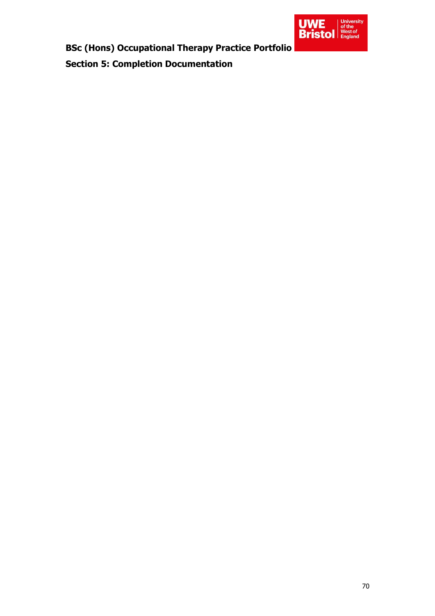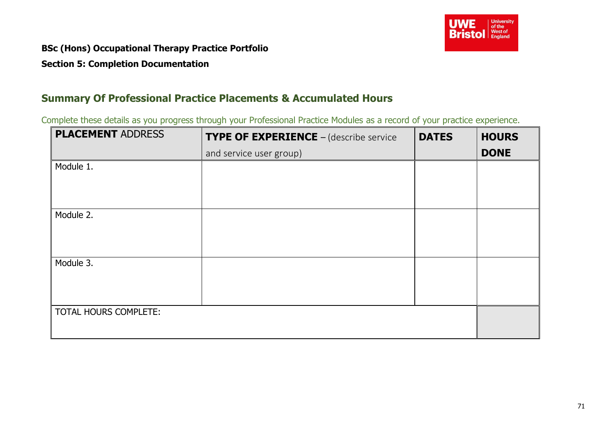

**Section 5: Completion Documentation**

### **Summary Of Professional Practice Placements & Accumulated Hours**

Complete these details as you progress through your Professional Practice Modules as a record of your practice experience.

| <b>PLACEMENT ADDRESS</b> | <b>TYPE OF EXPERIENCE - (describe service)</b> | <b>DATES</b> | <b>HOURS</b> |
|--------------------------|------------------------------------------------|--------------|--------------|
|                          | and service user group)                        |              | <b>DONE</b>  |
| Module 1.                |                                                |              |              |
|                          |                                                |              |              |
|                          |                                                |              |              |
| Module 2.                |                                                |              |              |
|                          |                                                |              |              |
|                          |                                                |              |              |
| Module 3.                |                                                |              |              |
|                          |                                                |              |              |
|                          |                                                |              |              |
| TOTAL HOURS COMPLETE:    |                                                |              |              |
|                          |                                                |              |              |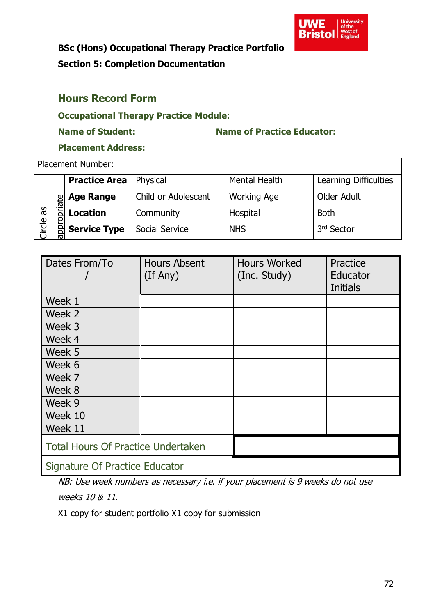

#### **Section 5: Completion Documentation**

### **Hours Record Form**

#### **Occupational Therapy Practice Module**:

**Name of Student: Name of Practice Educator:**

#### **Placement Address:**

|             |                  | <b>Placement Number:</b> |                       |               |                       |
|-------------|------------------|--------------------------|-----------------------|---------------|-----------------------|
|             |                  | <b>Practice Area</b>     | Physical              | Mental Health | Learning Difficulties |
| riate<br>SΡ | <b>Age Range</b> | Child or Adolescent      | <b>Working Age</b>    | Older Adult   |                       |
|             | <b>Location</b>  | Community                | Hospital              | <b>Both</b>   |                       |
| Tircle      |                  | <b>Service Type</b>      | <b>Social Service</b> | <b>NHS</b>    | 3rd Sector            |

| Dates From/To                             | <b>Hours Absent</b><br>$($ If Any $)$ | <b>Hours Worked</b><br>(Inc. Study) | Practice<br>Educator<br><b>Initials</b> |
|-------------------------------------------|---------------------------------------|-------------------------------------|-----------------------------------------|
| Week 1                                    |                                       |                                     |                                         |
| Week 2                                    |                                       |                                     |                                         |
| Week 3                                    |                                       |                                     |                                         |
| Week 4                                    |                                       |                                     |                                         |
| Week 5                                    |                                       |                                     |                                         |
| Week 6                                    |                                       |                                     |                                         |
| Week 7                                    |                                       |                                     |                                         |
| Week 8                                    |                                       |                                     |                                         |
| Week 9                                    |                                       |                                     |                                         |
| Week 10                                   |                                       |                                     |                                         |
| Week 11                                   |                                       |                                     |                                         |
| <b>Total Hours Of Practice Undertaken</b> |                                       |                                     |                                         |
| Signature Of Practice Educator            |                                       |                                     |                                         |

NB: Use week numbers as necessary i.e. if your placement is 9 weeks do not use

weeks 10 & 11.

X1 copy for student portfolio X1 copy for submission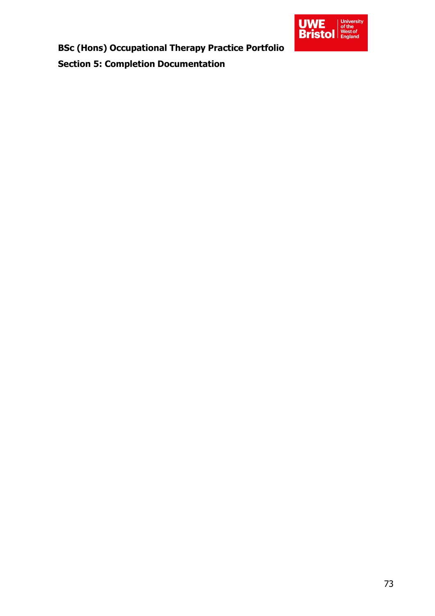

**BSc (Hons) Occupational Therapy Practice Portfolio Section 5: Completion Documentation**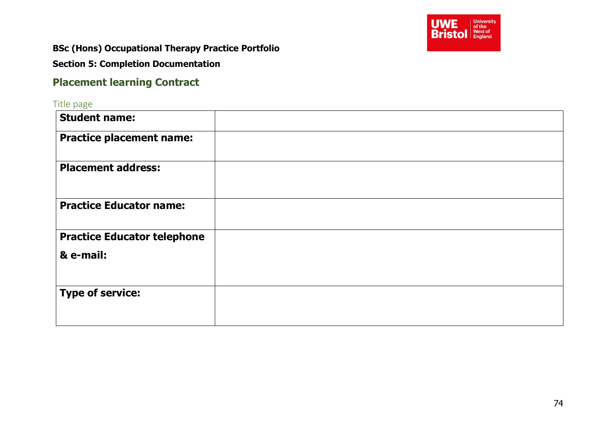

**Section 5: Completion Documentation**

## **Placement learning Contract**

#### Title page

| <b>Student name:</b>               |  |
|------------------------------------|--|
| <b>Practice placement name:</b>    |  |
| <b>Placement address:</b>          |  |
| <b>Practice Educator name:</b>     |  |
| <b>Practice Educator telephone</b> |  |
| & e-mail:                          |  |
| <b>Type of service:</b>            |  |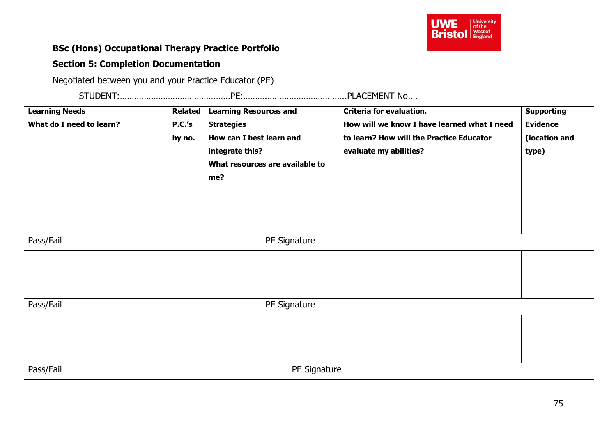

#### **Section 5: Completion Documentation**

Negotiated between you and your Practice Educator (PE)

STUDENT:………………………………….……PE:……….…….……………………..PLACEMENT No.…

| <b>Learning Needs</b>    | <b>Related</b> | <b>Learning Resources and</b>   | <b>Criteria for evaluation.</b>             | <b>Supporting</b> |
|--------------------------|----------------|---------------------------------|---------------------------------------------|-------------------|
| What do I need to learn? | P.C.'s         | <b>Strategies</b>               | How will we know I have learned what I need | <b>Evidence</b>   |
|                          | by no.         | How can I best learn and        | to learn? How will the Practice Educator    | (location and     |
|                          |                | integrate this?                 | evaluate my abilities?                      | type)             |
|                          |                | What resources are available to |                                             |                   |
|                          |                | me?                             |                                             |                   |
|                          |                |                                 |                                             |                   |
|                          |                |                                 |                                             |                   |
|                          |                |                                 |                                             |                   |
| Pass/Fail                |                | PE Signature                    |                                             |                   |
|                          |                |                                 |                                             |                   |
|                          |                |                                 |                                             |                   |
|                          |                |                                 |                                             |                   |
|                          |                |                                 |                                             |                   |
| Pass/Fail                |                | PE Signature                    |                                             |                   |
|                          |                |                                 |                                             |                   |
|                          |                |                                 |                                             |                   |
|                          |                |                                 |                                             |                   |
|                          |                |                                 |                                             |                   |
| Pass/Fail                |                | PE Signature                    |                                             |                   |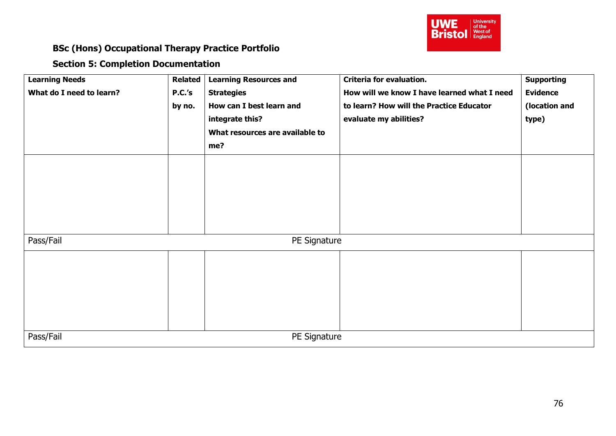

#### **Section 5: Completion Documentation**

| <b>Learning Needs</b>    | <b>Related</b> | <b>Learning Resources and</b>   | <b>Criteria for evaluation.</b>             | <b>Supporting</b> |
|--------------------------|----------------|---------------------------------|---------------------------------------------|-------------------|
| What do I need to learn? | P.C.'s         | <b>Strategies</b>               | How will we know I have learned what I need | <b>Evidence</b>   |
|                          | by no.         | How can I best learn and        | to learn? How will the Practice Educator    | (location and     |
|                          |                | integrate this?                 | evaluate my abilities?                      | type)             |
|                          |                | What resources are available to |                                             |                   |
|                          |                | me?                             |                                             |                   |
|                          |                |                                 |                                             |                   |
|                          |                |                                 |                                             |                   |
|                          |                |                                 |                                             |                   |
|                          |                |                                 |                                             |                   |
|                          |                |                                 |                                             |                   |
|                          |                |                                 |                                             |                   |
| Pass/Fail                |                | PE Signature                    |                                             |                   |
|                          |                |                                 |                                             |                   |
|                          |                |                                 |                                             |                   |
|                          |                |                                 |                                             |                   |
|                          |                |                                 |                                             |                   |
|                          |                |                                 |                                             |                   |
|                          |                |                                 |                                             |                   |
| Pass/Fail                |                | PE Signature                    |                                             |                   |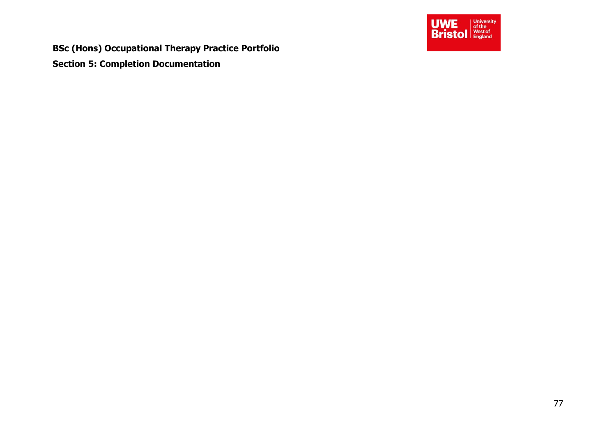

**BSc (Hons) Occupational Therapy Practice Portfolio Section 5: Completion Documentation**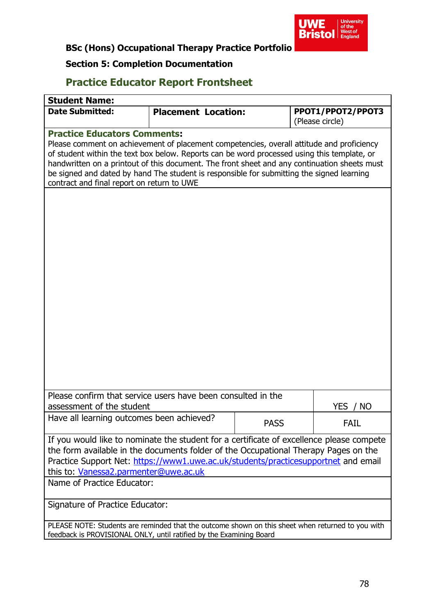

### **Section 5: Completion Documentation**

### **Practice Educator Report Frontsheet**

| <b>Student Name:</b>                                                                              |                            |             |                                      |
|---------------------------------------------------------------------------------------------------|----------------------------|-------------|--------------------------------------|
| <b>Date Submitted:</b>                                                                            | <b>Placement Location:</b> |             | PPOT1/PPOT2/PPOT3<br>(Please circle) |
| <b>Practice Educators Comments:</b>                                                               |                            |             |                                      |
| Please comment on achievement of placement competencies, overall attitude and proficiency         |                            |             |                                      |
| of student within the text box below. Reports can be word processed using this template, or       |                            |             |                                      |
| handwritten on a printout of this document. The front sheet and any continuation sheets must      |                            |             |                                      |
| be signed and dated by hand The student is responsible for submitting the signed learning         |                            |             |                                      |
| contract and final report on return to UWE                                                        |                            |             |                                      |
|                                                                                                   |                            |             |                                      |
|                                                                                                   |                            |             |                                      |
|                                                                                                   |                            |             |                                      |
|                                                                                                   |                            |             |                                      |
|                                                                                                   |                            |             |                                      |
|                                                                                                   |                            |             |                                      |
|                                                                                                   |                            |             |                                      |
|                                                                                                   |                            |             |                                      |
|                                                                                                   |                            |             |                                      |
|                                                                                                   |                            |             |                                      |
|                                                                                                   |                            |             |                                      |
|                                                                                                   |                            |             |                                      |
|                                                                                                   |                            |             |                                      |
|                                                                                                   |                            |             |                                      |
|                                                                                                   |                            |             |                                      |
|                                                                                                   |                            |             |                                      |
|                                                                                                   |                            |             |                                      |
|                                                                                                   |                            |             |                                      |
|                                                                                                   |                            |             |                                      |
| Please confirm that service users have been consulted in the                                      |                            |             |                                      |
| assessment of the student                                                                         |                            |             | YES / NO                             |
| Have all learning outcomes been achieved?                                                         |                            |             |                                      |
|                                                                                                   |                            | <b>PASS</b> | FAIL                                 |
|                                                                                                   |                            |             |                                      |
| If you would like to nominate the student for a certificate of excellence please compete          |                            |             |                                      |
| the form available in the documents folder of the Occupational Therapy Pages on the               |                            |             |                                      |
| Practice Support Net: https://www1.uwe.ac.uk/students/practicesupportnet and email                |                            |             |                                      |
| this to: Vanessa2.parmenter@uwe.ac.uk                                                             |                            |             |                                      |
| Name of Practice Educator:                                                                        |                            |             |                                      |
|                                                                                                   |                            |             |                                      |
| Signature of Practice Educator:                                                                   |                            |             |                                      |
|                                                                                                   |                            |             |                                      |
| PLEASE NOTE: Students are reminded that the outcome shown on this sheet when returned to you with |                            |             |                                      |
| feedback is PROVISIONAL ONLY, until ratified by the Examining Board                               |                            |             |                                      |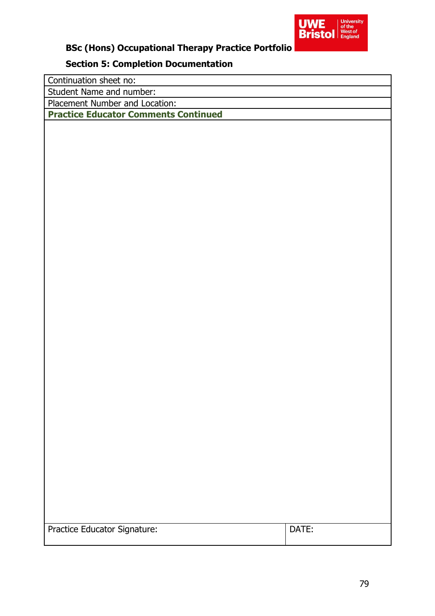

#### **Section 5: Completion Documentation**

Continuation sheet no: Student Name and number:

Placement Number and Location:

**Practice Educator Comments Continued**

| Practice Educator Signature: | DATE: |
|------------------------------|-------|
|                              |       |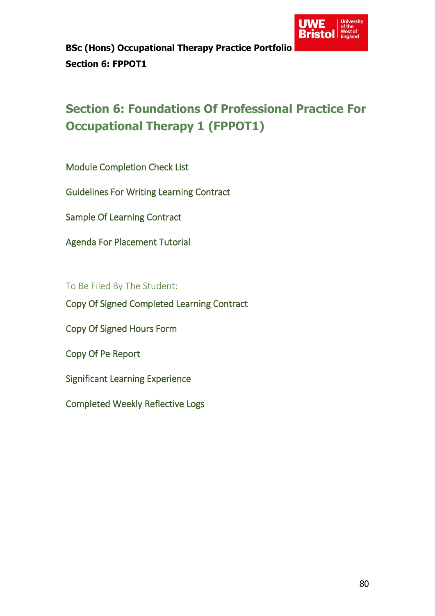

# **Section 6: Foundations Of Professional Practice For Occupational Therapy 1 (FPPOT1)**

Module Completion Check List

Guidelines For Writing Learning Contract

Sample Of Learning Contract

Agenda For Placement Tutorial

To Be Filed By The Student:

Copy Of Signed Completed Learning Contract

Copy Of Signed Hours Form

Copy Of Pe Report

Significant Learning Experience

Completed Weekly Reflective Logs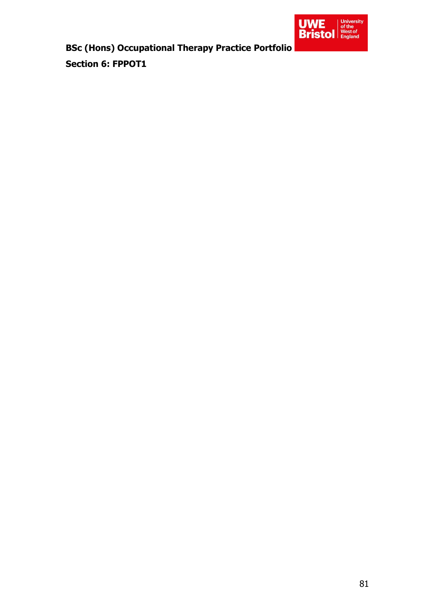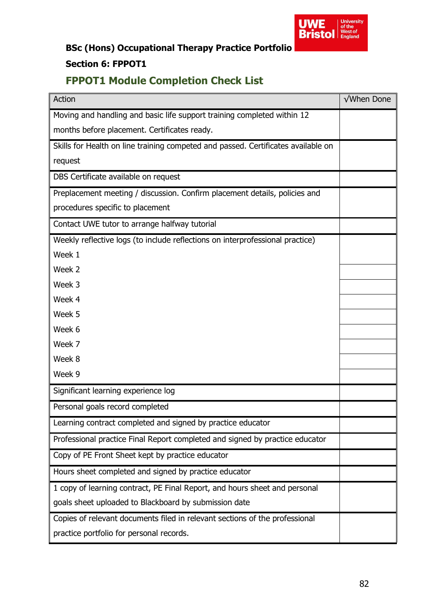

### **Section 6: FPPOT1**

# **FPPOT1 Module Completion Check List**

| Action                                                                            | $\sqrt{\text{When} \text{Done}}$ |
|-----------------------------------------------------------------------------------|----------------------------------|
| Moving and handling and basic life support training completed within 12           |                                  |
| months before placement. Certificates ready.                                      |                                  |
| Skills for Health on line training competed and passed. Certificates available on |                                  |
| request                                                                           |                                  |
| DBS Certificate available on request                                              |                                  |
| Preplacement meeting / discussion. Confirm placement details, policies and        |                                  |
| procedures specific to placement                                                  |                                  |
| Contact UWE tutor to arrange halfway tutorial                                     |                                  |
| Weekly reflective logs (to include reflections on interprofessional practice)     |                                  |
| Week 1                                                                            |                                  |
| Week 2                                                                            |                                  |
| Week 3                                                                            |                                  |
| Week 4                                                                            |                                  |
| Week 5                                                                            |                                  |
| Week 6                                                                            |                                  |
| Week 7                                                                            |                                  |
| Week 8                                                                            |                                  |
| Week 9                                                                            |                                  |
| Significant learning experience log                                               |                                  |
| Personal goals record completed                                                   |                                  |
| Learning contract completed and signed by practice educator                       |                                  |
| Professional practice Final Report completed and signed by practice educator      |                                  |
| Copy of PE Front Sheet kept by practice educator                                  |                                  |
| Hours sheet completed and signed by practice educator                             |                                  |
| 1 copy of learning contract, PE Final Report, and hours sheet and personal        |                                  |
| goals sheet uploaded to Blackboard by submission date                             |                                  |
| Copies of relevant documents filed in relevant sections of the professional       |                                  |
| practice portfolio for personal records.                                          |                                  |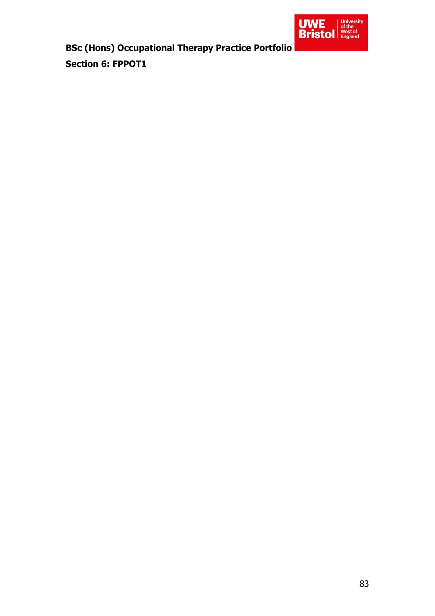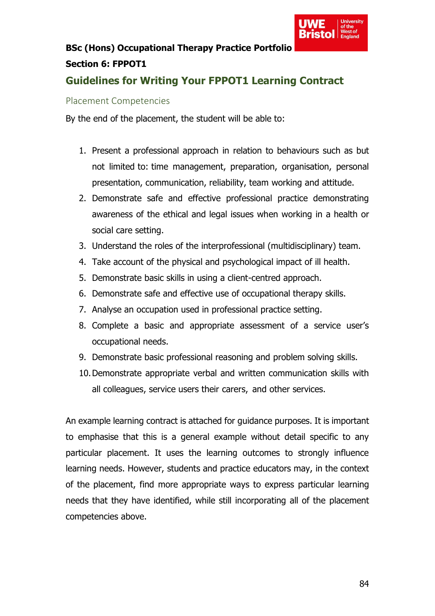

### **Guidelines for Writing Your FPPOT1 Learning Contract**

#### Placement Competencies

By the end of the placement, the student will be able to:

- 1. Present a professional approach in relation to behaviours such as but not limited to: time management, preparation, organisation, personal presentation, communication, reliability, team working and attitude.
- 2. Demonstrate safe and effective professional practice demonstrating awareness of the ethical and legal issues when working in a health or social care setting.
- 3. Understand the roles of the interprofessional (multidisciplinary) team.
- 4. Take account of the physical and psychological impact of ill health.
- 5. Demonstrate basic skills in using a client-centred approach.
- 6. Demonstrate safe and effective use of occupational therapy skills.
- 7. Analyse an occupation used in professional practice setting.
- 8. Complete a basic and appropriate assessment of a service user's occupational needs.
- 9. Demonstrate basic professional reasoning and problem solving skills.
- 10.Demonstrate appropriate verbal and written communication skills with all colleagues, service users their carers,  and other services.

An example learning contract is attached for guidance purposes. It is important to emphasise that this is a general example without detail specific to any particular placement. It uses the learning outcomes to strongly influence learning needs. However, students and practice educators may, in the context of the placement, find more appropriate ways to express particular learning needs that they have identified, while still incorporating all of the placement competencies above.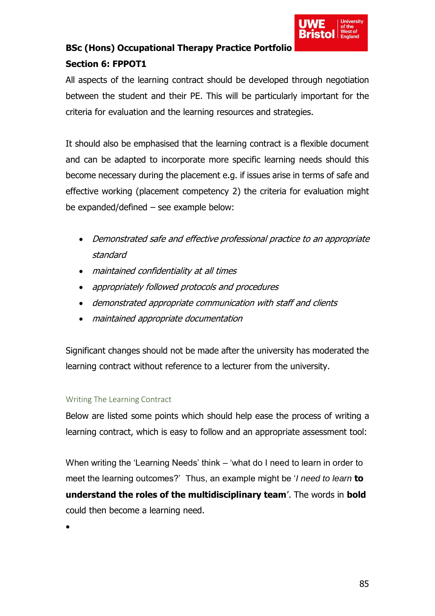

All aspects of the learning contract should be developed through negotiation between the student and their PE. This will be particularly important for the criteria for evaluation and the learning resources and strategies.

It should also be emphasised that the learning contract is a flexible document and can be adapted to incorporate more specific learning needs should this become necessary during the placement e.g. if issues arise in terms of safe and effective working (placement competency 2) the criteria for evaluation might be expanded/defined – see example below:

- Demonstrated safe and effective professional practice to an appropriate standard
- maintained confidentiality at all times
- appropriately followed protocols and procedures
- demonstrated appropriate communication with staff and clients
- maintained appropriate documentation

Significant changes should not be made after the university has moderated the learning contract without reference to a lecturer from the university.

#### Writing The Learning Contract

Below are listed some points which should help ease the process of writing a learning contract, which is easy to follow and an appropriate assessment tool:

When writing the 'Learning Needs' think – 'what do I need to learn in order to meet the learning outcomes?' Thus, an example might be '*I need to learn* **to understand the roles of the multidisciplinary team**'. The words in **bold** could then become a learning need.

•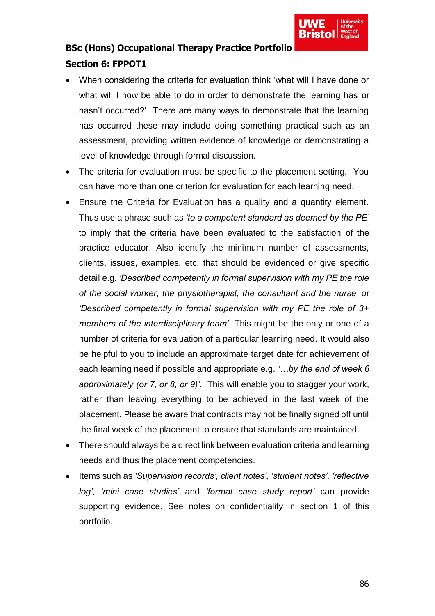

- When considering the criteria for evaluation think 'what will I have done or what will I now be able to do in order to demonstrate the learning has or hasn't occurred?' There are many ways to demonstrate that the learning has occurred these may include doing something practical such as an assessment, providing written evidence of knowledge or demonstrating a level of knowledge through formal discussion.
- The criteria for evaluation must be specific to the placement setting. You can have more than one criterion for evaluation for each learning need.
- Ensure the Criteria for Evaluation has a quality and a quantity element. Thus use a phrase such as *'to a competent standard as deemed by the PE'* to imply that the criteria have been evaluated to the satisfaction of the practice educator. Also identify the minimum number of assessments, clients, issues, examples, etc. that should be evidenced or give specific detail e.g. *'Described competently in formal supervision with my PE the role of the social worker, the physiotherapist, the consultant and the nurse'* or *'Described competently in formal supervision with my PE the role of 3+ members of the interdisciplinary team'.* This might be the only or one of a number of criteria for evaluation of a particular learning need. It would also be helpful to you to include an approximate target date for achievement of each learning need if possible and appropriate e.g. *'…by the end of week 6 approximately (or 7, or 8, or 9)'.* This will enable you to stagger your work, rather than leaving everything to be achieved in the last week of the placement. Please be aware that contracts may not be finally signed off until the final week of the placement to ensure that standards are maintained.
- There should always be a direct link between evaluation criteria and learning needs and thus the placement competencies.
- Items such as *'Supervision records', client notes', 'student notes', 'reflective log', 'mini case studies'* and *'formal case study report'* can provide supporting evidence. See notes on confidentiality in section 1 of this portfolio.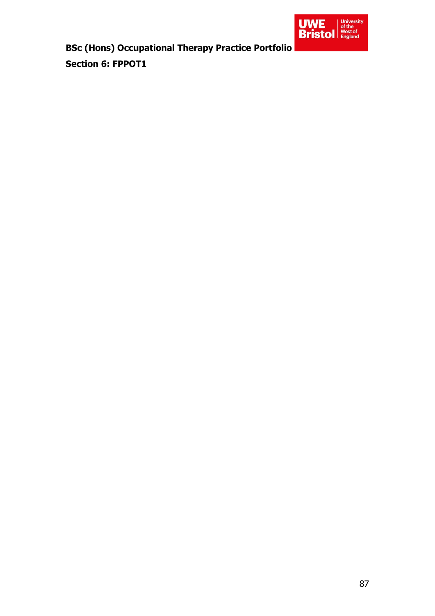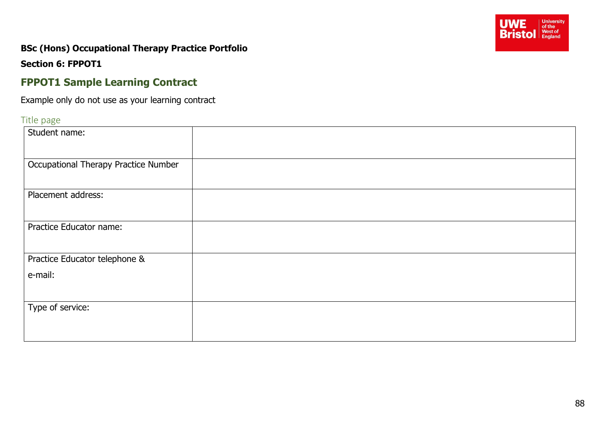

**Section 6: FPPOT1**

### **FPPOT1 Sample Learning Contract**

Example only do not use as your learning contract

#### Title page

| $\sim$                                   |  |
|------------------------------------------|--|
| Student name:                            |  |
| Occupational Therapy Practice Number     |  |
| Placement address:                       |  |
| Practice Educator name:                  |  |
| Practice Educator telephone &<br>e-mail: |  |
| Type of service:                         |  |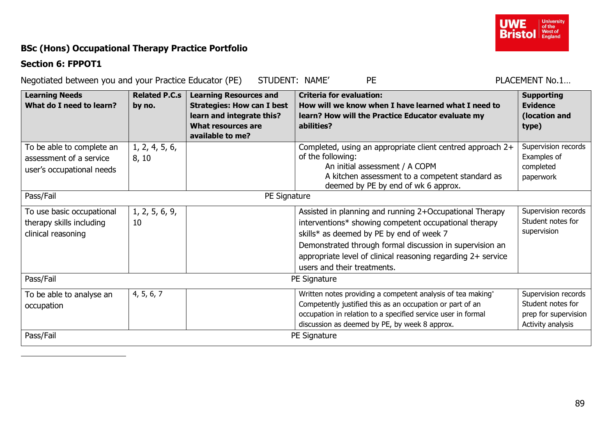

#### **Section 6: FPPOT1**

 $\overline{a}$ 

Negotiated between you and your Practice Educator (PE) STUDENT: NAME' PE PLACEMENT No.1...

| <b>Learning Needs</b><br>What do I need to learn?                                 | <b>Related P.C.s</b><br>by no. | <b>Learning Resources and</b><br><b>Strategies: How can I best</b><br>learn and integrate this?<br><b>What resources are</b><br>available to me? | <b>Criteria for evaluation:</b><br>How will we know when I have learned what I need to<br>learn? How will the Practice Educator evaluate my<br>abilities?                                                                                                                                                               | <b>Supporting</b><br><b>Evidence</b><br>(location and<br>type)                        |
|-----------------------------------------------------------------------------------|--------------------------------|--------------------------------------------------------------------------------------------------------------------------------------------------|-------------------------------------------------------------------------------------------------------------------------------------------------------------------------------------------------------------------------------------------------------------------------------------------------------------------------|---------------------------------------------------------------------------------------|
| To be able to complete an<br>assessment of a service<br>user's occupational needs | 1, 2, 4, 5, 6,<br>8, 10        |                                                                                                                                                  | Completed, using an appropriate client centred approach 2+<br>of the following:<br>An initial assessment / A COPM<br>A kitchen assessment to a competent standard as<br>deemed by PE by end of wk 6 approx.                                                                                                             | Supervision records<br>Examples of<br>completed<br>paperwork                          |
| Pass/Fail                                                                         |                                | PE Signature                                                                                                                                     |                                                                                                                                                                                                                                                                                                                         |                                                                                       |
| To use basic occupational<br>therapy skills including<br>clinical reasoning       | 1, 2, 5, 6, 9,<br>10           |                                                                                                                                                  | Assisted in planning and running 2+Occupational Therapy<br>interventions* showing competent occupational therapy<br>skills* as deemed by PE by end of week 7<br>Demonstrated through formal discussion in supervision an<br>appropriate level of clinical reasoning regarding 2+ service<br>users and their treatments. | Supervision records<br>Student notes for<br>supervision                               |
| Pass/Fail                                                                         |                                |                                                                                                                                                  | PE Signature                                                                                                                                                                                                                                                                                                            |                                                                                       |
| To be able to analyse an<br>occupation                                            | 4, 5, 6, 7                     |                                                                                                                                                  | Written notes providing a competent analysis of tea making*<br>Competently justified this as an occupation or part of an<br>occupation in relation to a specified service user in formal<br>discussion as deemed by PE, by week 8 approx.                                                                               | Supervision records<br>Student notes for<br>prep for supervision<br>Activity analysis |
| Pass/Fail                                                                         |                                |                                                                                                                                                  | PE Signature                                                                                                                                                                                                                                                                                                            |                                                                                       |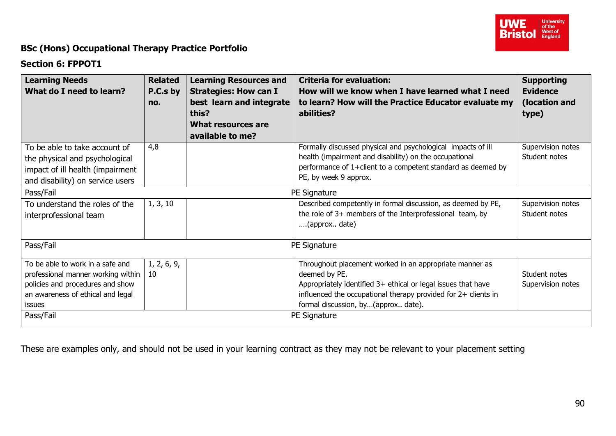

#### **Section 6: FPPOT1**

| <b>Learning Needs</b>              | <b>Related</b> | <b>Learning Resources and</b> | <b>Criteria for evaluation:</b>                                | <b>Supporting</b> |
|------------------------------------|----------------|-------------------------------|----------------------------------------------------------------|-------------------|
| What do I need to learn?           | P.C.s by       | <b>Strategies: How can I</b>  | How will we know when I have learned what I need               | <b>Evidence</b>   |
|                                    | no.            | best learn and integrate      | to learn? How will the Practice Educator evaluate my           | (location and     |
|                                    |                | this?                         | abilities?                                                     | type)             |
|                                    |                | What resources are            |                                                                |                   |
|                                    |                | available to me?              |                                                                |                   |
| To be able to take account of      | 4,8            |                               | Formally discussed physical and psychological impacts of ill   | Supervision notes |
| the physical and psychological     |                |                               | health (impairment and disability) on the occupational         | Student notes     |
| impact of ill health (impairment   |                |                               | performance of 1+client to a competent standard as deemed by   |                   |
| and disability) on service users   |                |                               | PE, by week 9 approx.                                          |                   |
| Pass/Fail                          |                |                               | PE Signature                                                   |                   |
| To understand the roles of the     | 1, 3, 10       |                               | Described competently in formal discussion, as deemed by PE,   | Supervision notes |
| interprofessional team             |                |                               | the role of 3+ members of the Interprofessional team, by       | Student notes     |
|                                    |                |                               | (approx date)                                                  |                   |
| Pass/Fail                          |                |                               | PE Signature                                                   |                   |
|                                    |                |                               |                                                                |                   |
| To be able to work in a safe and   | 1, 2, 6, 9,    |                               | Throughout placement worked in an appropriate manner as        |                   |
| professional manner working within | 10             |                               | deemed by PE.                                                  | Student notes     |
| policies and procedures and show   |                |                               | Appropriately identified 3+ ethical or legal issues that have  | Supervision notes |
| an awareness of ethical and legal  |                |                               | influenced the occupational therapy provided for 2+ clients in |                   |
| <b>issues</b>                      |                |                               | formal discussion, by(approx date).                            |                   |
| Pass/Fail                          |                |                               | PE Signature                                                   |                   |

These are examples only, and should not be used in your learning contract as they may not be relevant to your placement setting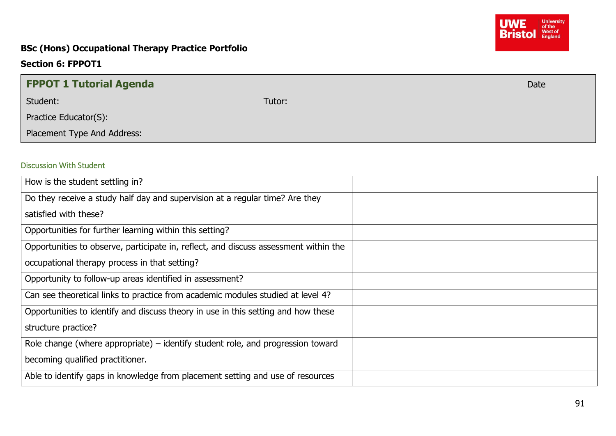

#### **Section 6: FPPOT1**

| <b>FPPOT 1 Tutorial Agenda</b> |        | Date |
|--------------------------------|--------|------|
| Student:                       | Tutor: |      |
| Practice Educator(S):          |        |      |
| Placement Type And Address:    |        |      |

#### Discussion With Student

| How is the student settling in?                                                      |  |
|--------------------------------------------------------------------------------------|--|
| Do they receive a study half day and supervision at a regular time? Are they         |  |
| satisfied with these?                                                                |  |
| Opportunities for further learning within this setting?                              |  |
| Opportunities to observe, participate in, reflect, and discuss assessment within the |  |
| occupational therapy process in that setting?                                        |  |
| Opportunity to follow-up areas identified in assessment?                             |  |
| Can see theoretical links to practice from academic modules studied at level 4?      |  |
| Opportunities to identify and discuss theory in use in this setting and how these    |  |
| structure practice?                                                                  |  |
| Role change (where appropriate) $-$ identify student role, and progression toward    |  |
| becoming qualified practitioner.                                                     |  |
| Able to identify gaps in knowledge from placement setting and use of resources       |  |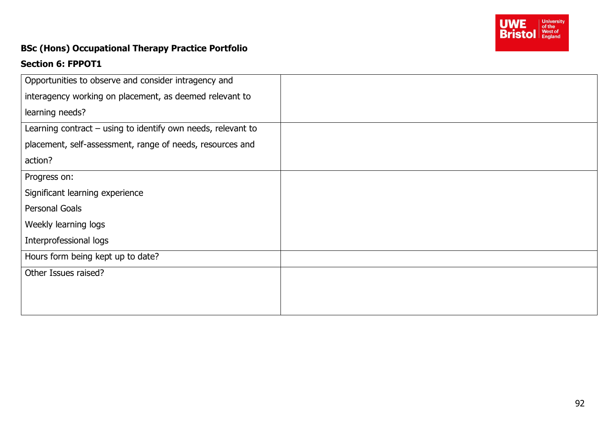

| Opportunities to observe and consider intragency and         |  |
|--------------------------------------------------------------|--|
| interagency working on placement, as deemed relevant to      |  |
| learning needs?                                              |  |
| Learning contract - using to identify own needs, relevant to |  |
| placement, self-assessment, range of needs, resources and    |  |
| action?                                                      |  |
| Progress on:                                                 |  |
| Significant learning experience                              |  |
| Personal Goals                                               |  |
| Weekly learning logs                                         |  |
| Interprofessional logs                                       |  |
| Hours form being kept up to date?                            |  |
| Other Issues raised?                                         |  |
|                                                              |  |
|                                                              |  |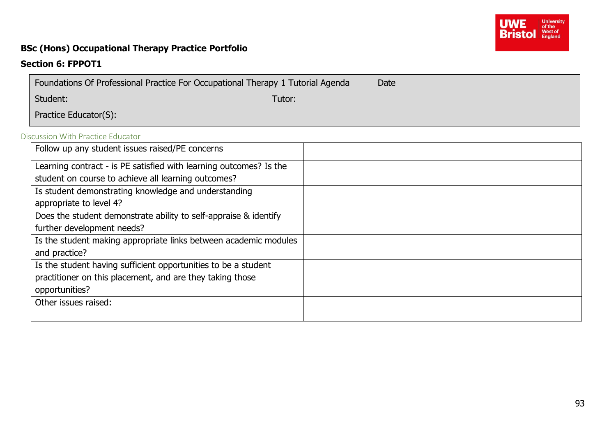

#### **Section 6: FPPOT1**

| Foundations Of Professional Practice For Occupational Therapy 1 Tutorial Agenda |        | Date |
|---------------------------------------------------------------------------------|--------|------|
| Student:                                                                        | Tutor: |      |
| Practice Educator(S):                                                           |        |      |

#### Discussion With Practice Educator PLACEMENT TYPE AND ADDRESS:

| Follow up any student issues raised/PE concerns                    |  |
|--------------------------------------------------------------------|--|
| Learning contract - is PE satisfied with learning outcomes? Is the |  |
| student on course to achieve all learning outcomes?                |  |
| Is student demonstrating knowledge and understanding               |  |
| appropriate to level 4?                                            |  |
| Does the student demonstrate ability to self-appraise & identify   |  |
| further development needs?                                         |  |
| Is the student making appropriate links between academic modules   |  |
| and practice?                                                      |  |
| Is the student having sufficient opportunities to be a student     |  |
| practitioner on this placement, and are they taking those          |  |
| opportunities?                                                     |  |
| Other issues raised:                                               |  |
|                                                                    |  |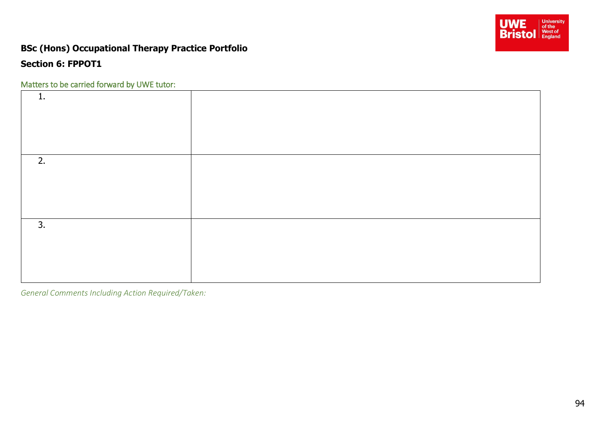

Matters to be carried forward by UWE tutor:

| 1. |  |
|----|--|
|    |  |
|    |  |
|    |  |
| 2. |  |
|    |  |
|    |  |
|    |  |
| 3. |  |
|    |  |
|    |  |
|    |  |

*General Comments Including Action Required/Taken:*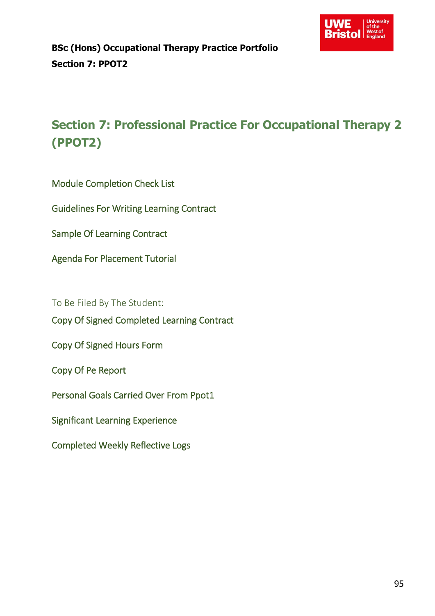

# **Section 7: Professional Practice For Occupational Therapy 2 (PPOT2)**

Module Completion Check List

Guidelines For Writing Learning Contract

Sample Of Learning Contract

Agenda For Placement Tutorial

To Be Filed By The Student:

Copy Of Signed Completed Learning Contract

Copy Of Signed Hours Form

Copy Of Pe Report

Personal Goals Carried Over From Ppot1

Significant Learning Experience

Completed Weekly Reflective Logs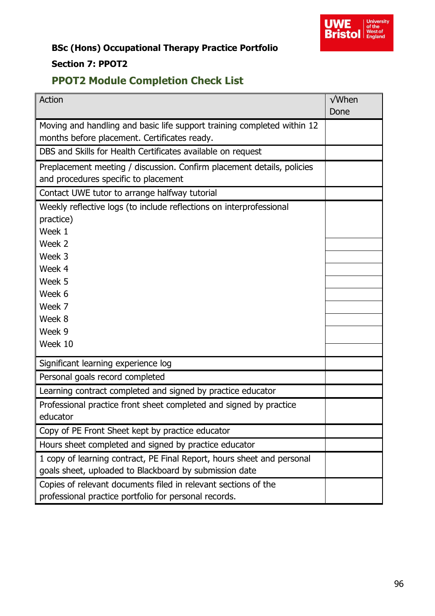

### **Section 7: PPOT2**

# **PPOT2 Module Completion Check List**

| Action                                                                  | $\sqrt{\text{When}}$ |
|-------------------------------------------------------------------------|----------------------|
|                                                                         | Done                 |
| Moving and handling and basic life support training completed within 12 |                      |
| months before placement. Certificates ready.                            |                      |
| DBS and Skills for Health Certificates available on request             |                      |
| Preplacement meeting / discussion. Confirm placement details, policies  |                      |
| and procedures specific to placement                                    |                      |
| Contact UWE tutor to arrange halfway tutorial                           |                      |
| Weekly reflective logs (to include reflections on interprofessional     |                      |
| practice)                                                               |                      |
| Week 1                                                                  |                      |
| Week 2                                                                  |                      |
| Week 3                                                                  |                      |
| Week 4                                                                  |                      |
| Week 5                                                                  |                      |
| Week 6                                                                  |                      |
| Week 7                                                                  |                      |
| Week 8                                                                  |                      |
| Week 9                                                                  |                      |
| Week 10                                                                 |                      |
| Significant learning experience log                                     |                      |
| Personal goals record completed                                         |                      |
| Learning contract completed and signed by practice educator             |                      |
| Professional practice front sheet completed and signed by practice      |                      |
| educator                                                                |                      |
| Copy of PE Front Sheet kept by practice educator                        |                      |
| Hours sheet completed and signed by practice educator                   |                      |
| 1 copy of learning contract, PE Final Report, hours sheet and personal  |                      |
| goals sheet, uploaded to Blackboard by submission date                  |                      |
| Copies of relevant documents filed in relevant sections of the          |                      |
| professional practice portfolio for personal records.                   |                      |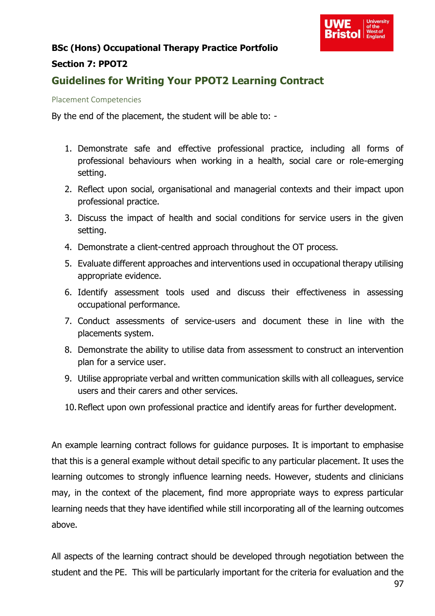

### **Guidelines for Writing Your PPOT2 Learning Contract**

Placement Competencies

By the end of the placement, the student will be able to: -

- 1. Demonstrate safe and effective professional practice, including all forms of professional behaviours when working in a health, social care or role-emerging setting.
- 2. Reflect upon social, organisational and managerial contexts and their impact upon professional practice.
- 3. Discuss the impact of health and social conditions for service users in the given setting.
- 4. Demonstrate a client-centred approach throughout the OT process.
- 5. Evaluate different approaches and interventions used in occupational therapy utilising appropriate evidence.
- 6. Identify assessment tools used and discuss their effectiveness in assessing occupational performance.
- 7. Conduct assessments of service-users and document these in line with the placements system.
- 8. Demonstrate the ability to utilise data from assessment to construct an intervention plan for a service user.
- 9. Utilise appropriate verbal and written communication skills with all colleagues, service users and their carers and other services.
- 10.Reflect upon own professional practice and identify areas for further development.

An example learning contract follows for guidance purposes. It is important to emphasise that this is a general example without detail specific to any particular placement. It uses the learning outcomes to strongly influence learning needs. However, students and clinicians may, in the context of the placement, find more appropriate ways to express particular learning needs that they have identified while still incorporating all of the learning outcomes above.

All aspects of the learning contract should be developed through negotiation between the student and the PE. This will be particularly important for the criteria for evaluation and the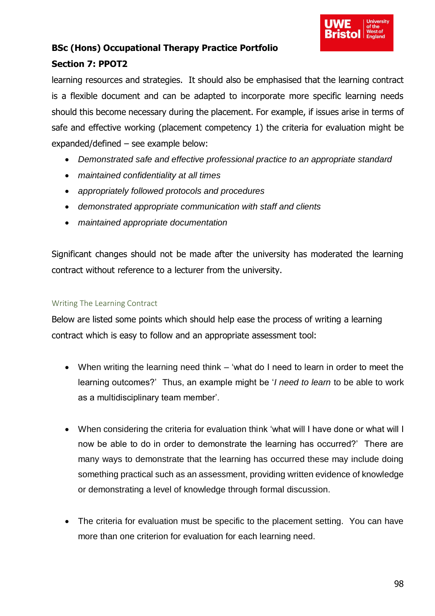

learning resources and strategies. It should also be emphasised that the learning contract is a flexible document and can be adapted to incorporate more specific learning needs should this become necessary during the placement. For example, if issues arise in terms of safe and effective working (placement competency 1) the criteria for evaluation might be expanded/defined – see example below:

- *Demonstrated safe and effective professional practice to an appropriate standard*
- *maintained confidentiality at all times*
- *appropriately followed protocols and procedures*
- *demonstrated appropriate communication with staff and clients*
- *maintained appropriate documentation*

Significant changes should not be made after the university has moderated the learning contract without reference to a lecturer from the university.

#### Writing The Learning Contract

Below are listed some points which should help ease the process of writing a learning contract which is easy to follow and an appropriate assessment tool:

- When writing the learning need think 'what do I need to learn in order to meet the learning outcomes?' Thus, an example might be '*I need to learn* to be able to work as a multidisciplinary team member'.
- When considering the criteria for evaluation think 'what will I have done or what will I now be able to do in order to demonstrate the learning has occurred?' There are many ways to demonstrate that the learning has occurred these may include doing something practical such as an assessment, providing written evidence of knowledge or demonstrating a level of knowledge through formal discussion.
- The criteria for evaluation must be specific to the placement setting. You can have more than one criterion for evaluation for each learning need.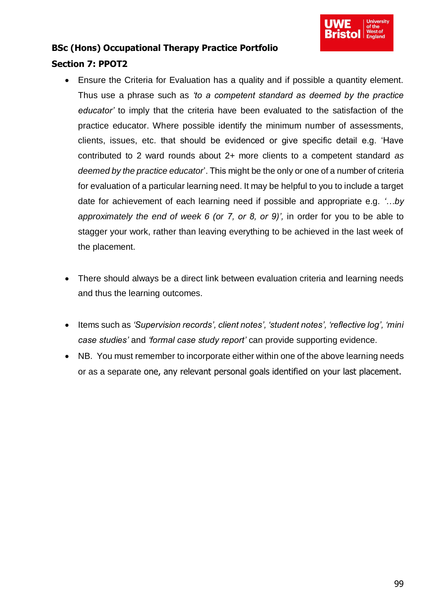

- Ensure the Criteria for Evaluation has a quality and if possible a quantity element. Thus use a phrase such as *'to a competent standard as deemed by the practice educator'* to imply that the criteria have been evaluated to the satisfaction of the practice educator. Where possible identify the minimum number of assessments, clients, issues, etc. that should be evidenced or give specific detail e.g. 'Have contributed to 2 ward rounds about 2+ more clients to a competent standard *as deemed by the practice educator*'. This might be the only or one of a number of criteria for evaluation of a particular learning need. It may be helpful to you to include a target date for achievement of each learning need if possible and appropriate e.g. *'…by approximately the end of week 6 (or 7, or 8, or 9)',* in order for you to be able to stagger your work, rather than leaving everything to be achieved in the last week of the placement.
- There should always be a direct link between evaluation criteria and learning needs and thus the learning outcomes.
- Items such as *'Supervision records', client notes', 'student notes', 'reflective log', 'mini case studies'* and *'formal case study report'* can provide supporting evidence.
- NB. You must remember to incorporate either within one of the above learning needs or as a separate one, any relevant personal goals identified on your last placement.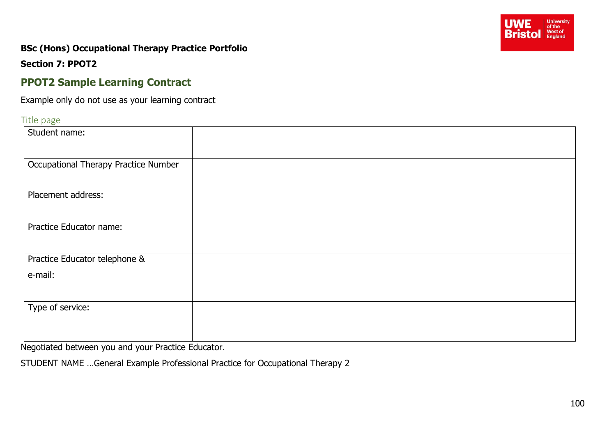

**Section 7: PPOT2**

### **PPOT2 Sample Learning Contract**

Example only do not use as your learning contract

#### Title page

| $\sim$                               |  |
|--------------------------------------|--|
| Student name:                        |  |
|                                      |  |
| Occupational Therapy Practice Number |  |
|                                      |  |
| Placement address:                   |  |
|                                      |  |
| Practice Educator name:              |  |
|                                      |  |
| Practice Educator telephone &        |  |
| e-mail:                              |  |
|                                      |  |
| Type of service:                     |  |
|                                      |  |
|                                      |  |

Negotiated between you and your Practice Educator.

STUDENT NAME …General Example Professional Practice for Occupational Therapy 2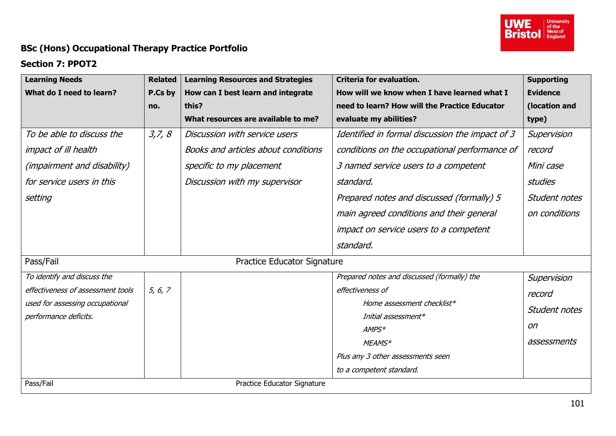

| <b>Learning Needs</b>              | <b>Related</b> | <b>Learning Resources and Strategies</b> | <b>Criteria for evaluation.</b>                 | <b>Supporting</b> |
|------------------------------------|----------------|------------------------------------------|-------------------------------------------------|-------------------|
| What do I need to learn?           | P.Cs by        | How can I best learn and integrate       | How will we know when I have learned what I     | <b>Evidence</b>   |
|                                    | no.            | this?                                    | need to learn? How will the Practice Educator   | (location and     |
|                                    |                | What resources are available to me?      | evaluate my abilities?                          | type)             |
| To be able to discuss the          | 3,7,8          | Discussion with service users            | Identified in formal discussion the impact of 3 | Supervision       |
| impact of ill health               |                | Books and articles about conditions      | conditions on the occupational performance of   | record            |
| <i>(impairment and disability)</i> |                | specific to my placement                 | 3 named service users to a competent            | Mini case         |
| for service users in this          |                | Discussion with my supervisor            | standard.                                       | studies           |
| setting                            |                |                                          | Prepared notes and discussed (formally) 5       | Student notes     |
|                                    |                |                                          | main agreed conditions and their general        | on conditions     |
|                                    |                |                                          | impact on service users to a competent          |                   |
|                                    |                |                                          | standard.                                       |                   |
| Pass/Fail                          |                | Practice Educator Signature              |                                                 |                   |
| To identify and discuss the        |                |                                          | Prepared notes and discussed (formally) the     | Supervision       |
| effectiveness of assessment tools  | 5, 6, 7        |                                          | effectiveness of                                | record            |
| used for assessing occupational    |                |                                          | Home assessment checklist*                      | Student notes     |
| performance deficits.              |                |                                          | Initial assessment*                             |                   |
|                                    |                |                                          | $AMPS*$                                         | on.               |
|                                    |                |                                          | MEAMS*                                          | assessments       |
|                                    |                |                                          | Plus any 3 other assessments seen               |                   |
|                                    |                |                                          | to a competent standard.                        |                   |
| Pass/Fail                          |                | Practice Educator Signature              |                                                 |                   |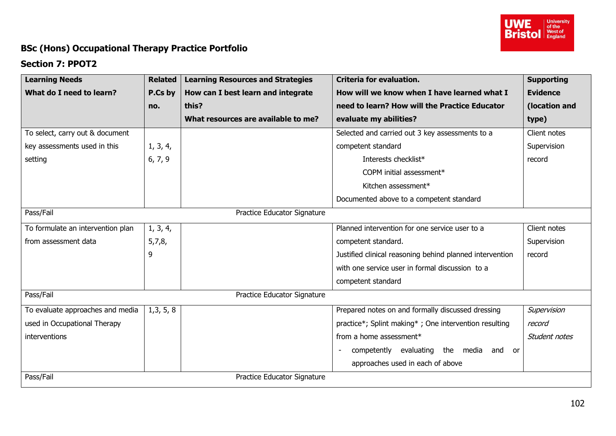

| <b>Learning Needs</b>             | <b>Related</b> | <b>Learning Resources and Strategies</b> | <b>Criteria for evaluation.</b>                          | <b>Supporting</b> |
|-----------------------------------|----------------|------------------------------------------|----------------------------------------------------------|-------------------|
| What do I need to learn?          | P.Cs by        | How can I best learn and integrate       | How will we know when I have learned what I              | <b>Evidence</b>   |
|                                   | no.            | this?                                    | need to learn? How will the Practice Educator            | (location and     |
|                                   |                | What resources are available to me?      | evaluate my abilities?                                   | type)             |
| To select, carry out & document   |                |                                          | Selected and carried out 3 key assessments to a          | Client notes      |
| key assessments used in this      | 1, 3, 4,       |                                          | competent standard                                       | Supervision       |
| setting                           | 6, 7, 9        |                                          | Interests checklist*                                     | record            |
|                                   |                |                                          | COPM initial assessment*                                 |                   |
|                                   |                |                                          | Kitchen assessment*                                      |                   |
|                                   |                |                                          | Documented above to a competent standard                 |                   |
| Pass/Fail                         |                | Practice Educator Signature              |                                                          |                   |
| To formulate an intervention plan | 1, 3, 4,       |                                          | Planned intervention for one service user to a           | Client notes      |
| from assessment data              | 5,7,8,         |                                          | competent standard.                                      | Supervision       |
|                                   | 9              |                                          | Justified clinical reasoning behind planned intervention | record            |
|                                   |                |                                          | with one service user in formal discussion to a          |                   |
|                                   |                |                                          | competent standard                                       |                   |
| Pass/Fail                         |                | Practice Educator Signature              |                                                          |                   |
| To evaluate approaches and media  | 1, 3, 5, 8     |                                          | Prepared notes on and formally discussed dressing        | Supervision       |
| used in Occupational Therapy      |                |                                          | practice*; Splint making*; One intervention resulting    | record            |
| interventions                     |                |                                          | from a home assessment*                                  | Student notes     |
|                                   |                |                                          | competently evaluating the media<br>and or               |                   |
|                                   |                |                                          | approaches used in each of above                         |                   |
| Pass/Fail                         |                | Practice Educator Signature              |                                                          |                   |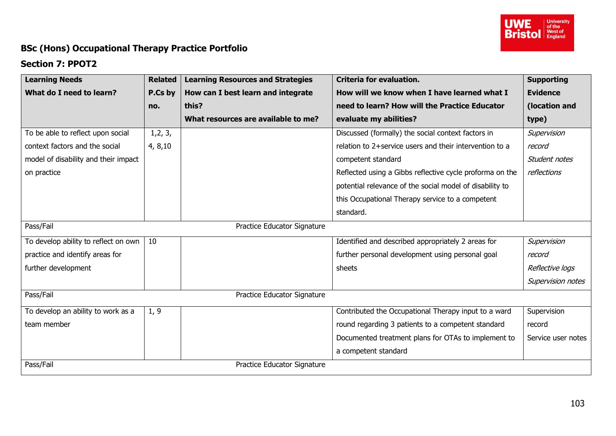

| <b>Learning Needs</b>                | <b>Related</b> | <b>Learning Resources and Strategies</b> | <b>Criteria for evaluation.</b>                          | <b>Supporting</b>  |
|--------------------------------------|----------------|------------------------------------------|----------------------------------------------------------|--------------------|
| What do I need to learn?             | P.Cs by        | How can I best learn and integrate       | How will we know when I have learned what I              | <b>Evidence</b>    |
|                                      | no.            | this?                                    | need to learn? How will the Practice Educator            | (location and      |
|                                      |                | What resources are available to me?      | evaluate my abilities?                                   | type)              |
| To be able to reflect upon social    | 1, 2, 3,       |                                          | Discussed (formally) the social context factors in       | Supervision        |
| context factors and the social       | 4, 8, 10       |                                          | relation to 2+service users and their intervention to a  | record             |
| model of disability and their impact |                |                                          | competent standard                                       | Student notes      |
| on practice                          |                |                                          | Reflected using a Gibbs reflective cycle proforma on the | reflections        |
|                                      |                |                                          | potential relevance of the social model of disability to |                    |
|                                      |                |                                          | this Occupational Therapy service to a competent         |                    |
|                                      |                |                                          | standard.                                                |                    |
| Pass/Fail                            |                | Practice Educator Signature              |                                                          |                    |
| To develop ability to reflect on own | 10             |                                          | Identified and described appropriately 2 areas for       | Supervision        |
| practice and identify areas for      |                |                                          | further personal development using personal goal         | record             |
| further development                  |                |                                          | sheets                                                   | Reflective logs    |
|                                      |                |                                          |                                                          | Supervision notes  |
| Pass/Fail                            |                | Practice Educator Signature              |                                                          |                    |
| To develop an ability to work as a   | 1, 9           |                                          | Contributed the Occupational Therapy input to a ward     | Supervision        |
| team member                          |                |                                          | round regarding 3 patients to a competent standard       | record             |
|                                      |                |                                          | Documented treatment plans for OTAs to implement to      | Service user notes |
|                                      |                |                                          | a competent standard                                     |                    |
| Pass/Fail                            |                | Practice Educator Signature              |                                                          |                    |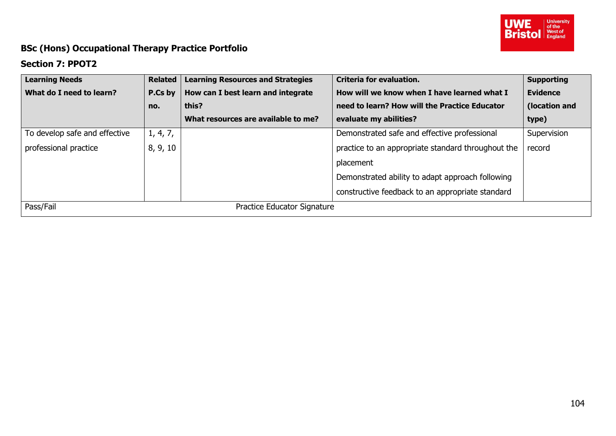

| <b>Learning Needs</b>         | <b>Related</b> | <b>Learning Resources and Strategies</b> | <b>Criteria for evaluation.</b>                    | <b>Supporting</b> |
|-------------------------------|----------------|------------------------------------------|----------------------------------------------------|-------------------|
| What do I need to learn?      | P.Cs by        | How can I best learn and integrate       | How will we know when I have learned what I        | <b>Evidence</b>   |
|                               | no.            | this?                                    | need to learn? How will the Practice Educator      | (location and     |
|                               |                | What resources are available to me?      | evaluate my abilities?                             | type)             |
| To develop safe and effective | 1, 4, 7,       |                                          | Demonstrated safe and effective professional       | Supervision       |
| professional practice         | 8, 9, 10       |                                          | practice to an appropriate standard throughout the | record            |
|                               |                |                                          | placement                                          |                   |
|                               |                |                                          | Demonstrated ability to adapt approach following   |                   |
|                               |                |                                          | constructive feedback to an appropriate standard   |                   |
| Pass/Fail                     |                | Practice Educator Signature              |                                                    |                   |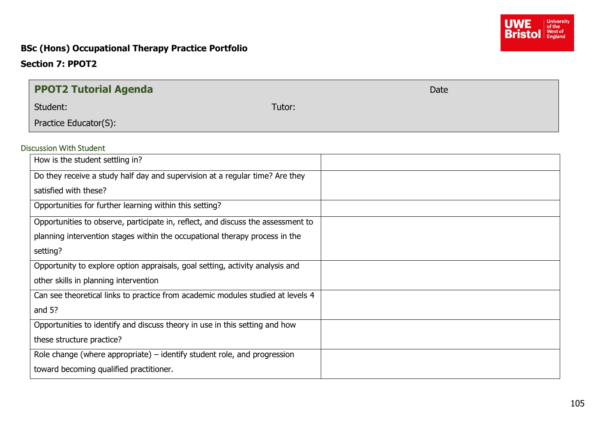

#### **Section 7: PPOT2**

| <b>PPOT2 Tutorial Agenda</b> |        | Date |
|------------------------------|--------|------|
| Student:                     | Tutor: |      |
| Practice Educator(S):        |        |      |

#### Discussion With Student

| How is the student settling in?                                                  |  |
|----------------------------------------------------------------------------------|--|
| Do they receive a study half day and supervision at a regular time? Are they     |  |
| satisfied with these?                                                            |  |
| Opportunities for further learning within this setting?                          |  |
| Opportunities to observe, participate in, reflect, and discuss the assessment to |  |
| planning intervention stages within the occupational therapy process in the      |  |
| setting?                                                                         |  |
| Opportunity to explore option appraisals, goal setting, activity analysis and    |  |
| other skills in planning intervention                                            |  |
| Can see theoretical links to practice from academic modules studied at levels 4  |  |
| and $5$ ?                                                                        |  |
| Opportunities to identify and discuss theory in use in this setting and how      |  |
| these structure practice?                                                        |  |
| Role change (where appropriate) $-$ identify student role, and progression       |  |
| toward becoming qualified practitioner.                                          |  |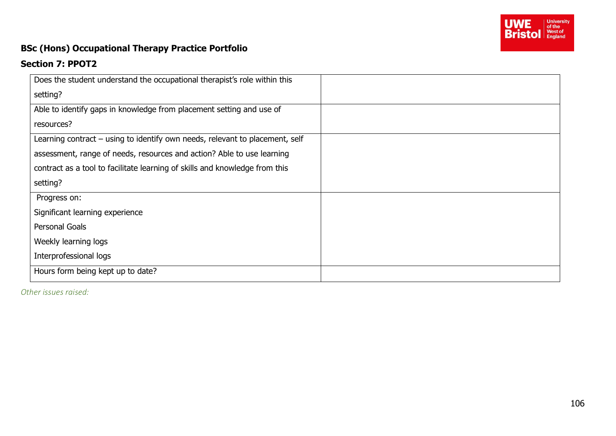

#### **Section 7: PPOT2**

| Does the student understand the occupational therapist's role within this    |  |
|------------------------------------------------------------------------------|--|
| setting?                                                                     |  |
| Able to identify gaps in knowledge from placement setting and use of         |  |
| resources?                                                                   |  |
| Learning contract - using to identify own needs, relevant to placement, self |  |
| assessment, range of needs, resources and action? Able to use learning       |  |
| contract as a tool to facilitate learning of skills and knowledge from this  |  |
| setting?                                                                     |  |
| Progress on:                                                                 |  |
| Significant learning experience                                              |  |
| Personal Goals                                                               |  |
| Weekly learning logs                                                         |  |
| Interprofessional logs                                                       |  |
| Hours form being kept up to date?                                            |  |

*Other issues raised:*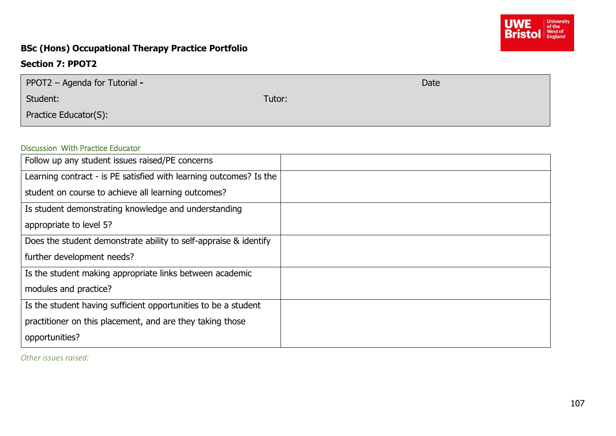

#### **Section 7: PPOT2**

| PPOT2 - Agenda for Tutorial - |        | Date |
|-------------------------------|--------|------|
| Student:                      | Tutor: |      |
| Practice Educator(S):         |        |      |

#### Discussion With Practice Educator

| Follow up any student issues raised/PE concerns                    |  |
|--------------------------------------------------------------------|--|
| Learning contract - is PE satisfied with learning outcomes? Is the |  |
| student on course to achieve all learning outcomes?                |  |
| Is student demonstrating knowledge and understanding               |  |
| appropriate to level 5?                                            |  |
| Does the student demonstrate ability to self-appraise & identify   |  |
| further development needs?                                         |  |
| Is the student making appropriate links between academic           |  |
| modules and practice?                                              |  |
| Is the student having sufficient opportunities to be a student     |  |
| practitioner on this placement, and are they taking those          |  |
| opportunities?                                                     |  |

*Other issues raised:*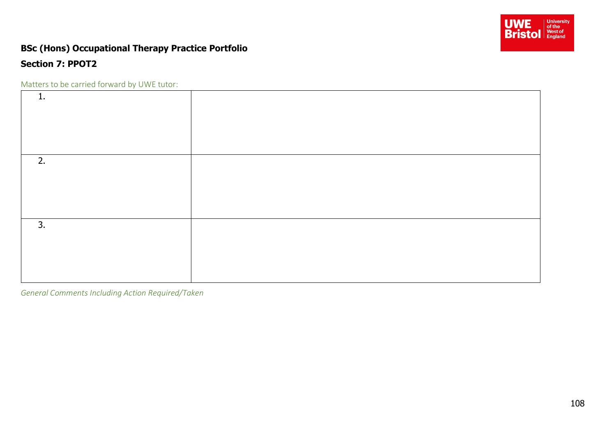

Matters to be carried forward by UWE tutor:

| ı. |  |
|----|--|
|    |  |
|    |  |
|    |  |
| 2. |  |
|    |  |
|    |  |
|    |  |
| 3. |  |
|    |  |
|    |  |
|    |  |

*General Comments Including Action Required/Taken*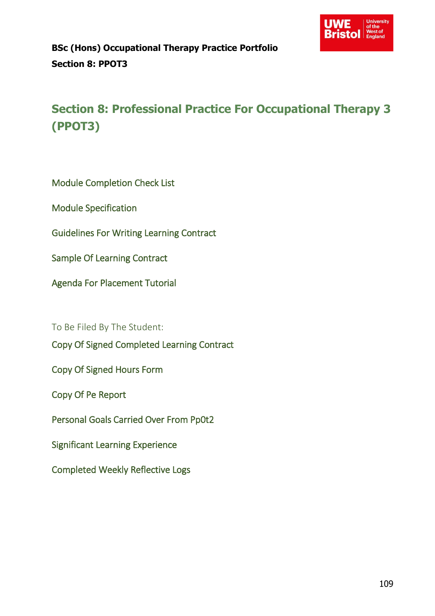

# **Section 8: Professional Practice For Occupational Therapy 3 (PPOT3)**

Module Completion Check List

Module Specification

Guidelines For Writing Learning Contract

Sample Of Learning Contract

Agenda For Placement Tutorial

To Be Filed By The Student:

Copy Of Signed Completed Learning Contract

Copy Of Signed Hours Form

Copy Of Pe Report

Personal Goals Carried Over From Pp0t2

Significant Learning Experience

Completed Weekly Reflective Logs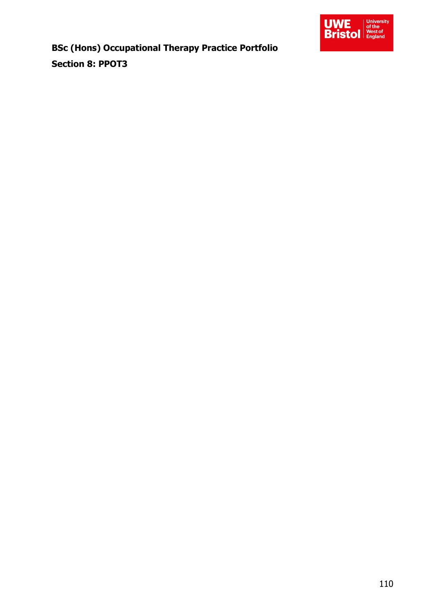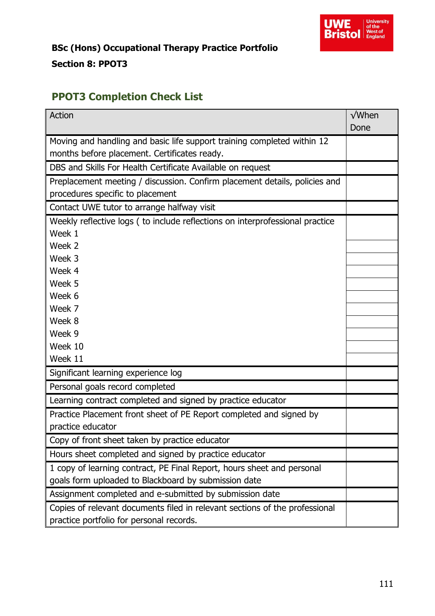

# **PPOT3 Completion Check List**

| Action                                                                       | $\sqrt{\text{When}}$ |
|------------------------------------------------------------------------------|----------------------|
|                                                                              | Done                 |
| Moving and handling and basic life support training completed within 12      |                      |
| months before placement. Certificates ready.                                 |                      |
| DBS and Skills For Health Certificate Available on request                   |                      |
| Preplacement meeting / discussion. Confirm placement details, policies and   |                      |
| procedures specific to placement                                             |                      |
| Contact UWE tutor to arrange halfway visit                                   |                      |
| Weekly reflective logs (to include reflections on interprofessional practice |                      |
| Week 1                                                                       |                      |
| Week 2                                                                       |                      |
| Week 3                                                                       |                      |
| Week 4                                                                       |                      |
| Week 5                                                                       |                      |
| Week 6                                                                       |                      |
| Week 7                                                                       |                      |
| Week 8                                                                       |                      |
| Week 9                                                                       |                      |
| Week 10                                                                      |                      |
| Week 11                                                                      |                      |
| Significant learning experience log                                          |                      |
| Personal goals record completed                                              |                      |
| Learning contract completed and signed by practice educator                  |                      |
| Practice Placement front sheet of PE Report completed and signed by          |                      |
| practice educator                                                            |                      |
| Copy of front sheet taken by practice educator                               |                      |
| Hours sheet completed and signed by practice educator                        |                      |
| 1 copy of learning contract, PE Final Report, hours sheet and personal       |                      |
| goals form uploaded to Blackboard by submission date                         |                      |
| Assignment completed and e-submitted by submission date                      |                      |
| Copies of relevant documents filed in relevant sections of the professional  |                      |
| practice portfolio for personal records.                                     |                      |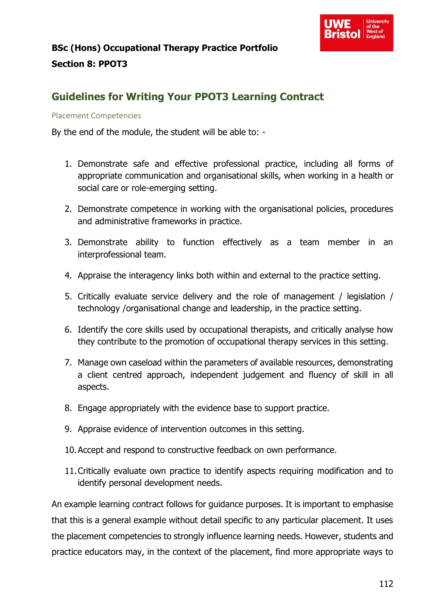

### **Guidelines for Writing Your PPOT3 Learning Contract**

#### Placement Competencies

By the end of the module, the student will be able to: -

- 1. Demonstrate safe and effective professional practice, including all forms of appropriate communication and organisational skills, when working in a health or social care or role-emerging setting.
- 2. Demonstrate competence in working with the organisational policies, procedures and administrative frameworks in practice.
- 3. Demonstrate ability to function effectively as a team member in an interprofessional team.
- 4. Appraise the interagency links both within and external to the practice setting.
- 5. Critically evaluate service delivery and the role of management / legislation / technology /organisational change and leadership, in the practice setting.
- 6. Identify the core skills used by occupational therapists, and critically analyse how they contribute to the promotion of occupational therapy services in this setting.
- 7. Manage own caseload within the parameters of available resources, demonstrating a client centred approach, independent judgement and fluency of skill in all aspects.
- 8. Engage appropriately with the evidence base to support practice.
- 9. Appraise evidence of intervention outcomes in this setting.
- 10.Accept and respond to constructive feedback on own performance.
- 11.Critically evaluate own practice to identify aspects requiring modification and to identify personal development needs.

An example learning contract follows for guidance purposes. It is important to emphasise that this is a general example without detail specific to any particular placement. It uses the placement competencies to strongly influence learning needs. However, students and practice educators may, in the context of the placement, find more appropriate ways to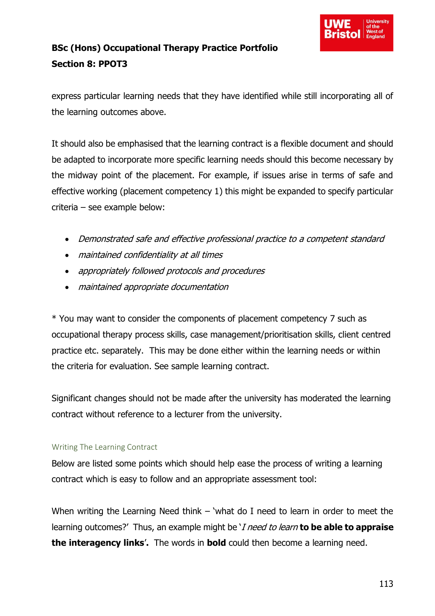

express particular learning needs that they have identified while still incorporating all of the learning outcomes above.

It should also be emphasised that the learning contract is a flexible document and should be adapted to incorporate more specific learning needs should this become necessary by the midway point of the placement. For example, if issues arise in terms of safe and effective working (placement competency 1) this might be expanded to specify particular criteria – see example below:

- Demonstrated safe and effective professional practice to a competent standard
- maintained confidentiality at all times
- appropriately followed protocols and procedures
- maintained appropriate documentation

\* You may want to consider the components of placement competency 7 such as occupational therapy process skills, case management/prioritisation skills, client centred practice etc. separately. This may be done either within the learning needs or within the criteria for evaluation. See sample learning contract.

Significant changes should not be made after the university has moderated the learning contract without reference to a lecturer from the university.

#### Writing The Learning Contract

Below are listed some points which should help ease the process of writing a learning contract which is easy to follow and an appropriate assessment tool:

When writing the Learning Need think – 'what do I need to learn in order to meet the learning outcomes?' Thus, an example might be 'I need to learn **to be able to appraise the interagency links**'**.** The words in **bold** could then become a learning need.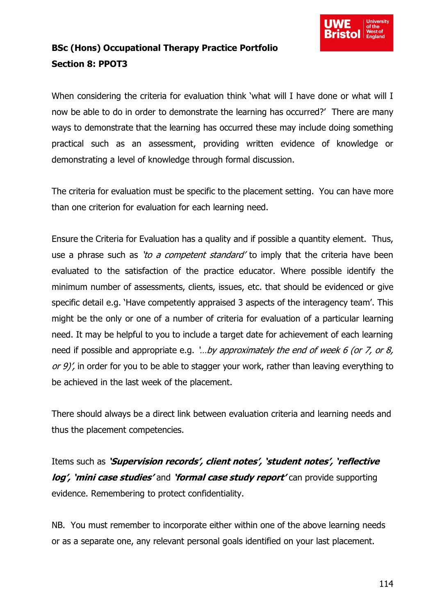

When considering the criteria for evaluation think 'what will I have done or what will I now be able to do in order to demonstrate the learning has occurred?' There are many ways to demonstrate that the learning has occurred these may include doing something practical such as an assessment, providing written evidence of knowledge or demonstrating a level of knowledge through formal discussion.

The criteria for evaluation must be specific to the placement setting. You can have more than one criterion for evaluation for each learning need.

Ensure the Criteria for Evaluation has a quality and if possible a quantity element. Thus, use a phrase such as 'to a competent standard' to imply that the criteria have been evaluated to the satisfaction of the practice educator. Where possible identify the minimum number of assessments, clients, issues, etc. that should be evidenced or give specific detail e.g. 'Have competently appraised 3 aspects of the interagency team'. This might be the only or one of a number of criteria for evaluation of a particular learning need. It may be helpful to you to include a target date for achievement of each learning need if possible and appropriate e.g. '...by approximately the end of week 6 (or 7, or 8, or  $9$ )', in order for you to be able to stagger your work, rather than leaving everything to be achieved in the last week of the placement.

There should always be a direct link between evaluation criteria and learning needs and thus the placement competencies.

Items such as **'Supervision records', client notes', 'student notes', 'reflective log', 'mini case studies'** and **'formal case study report'** can provide supporting evidence. Remembering to protect confidentiality.

NB. You must remember to incorporate either within one of the above learning needs or as a separate one, any relevant personal goals identified on your last placement.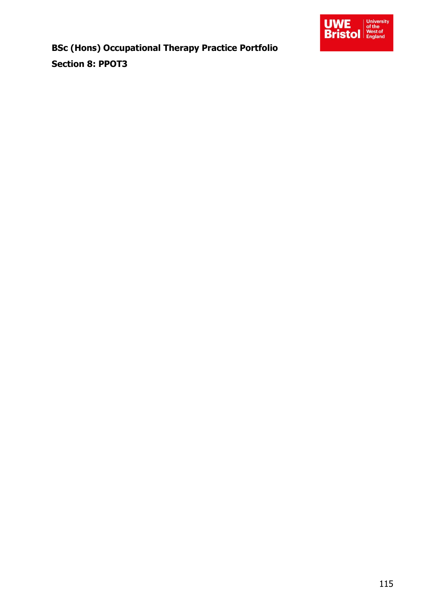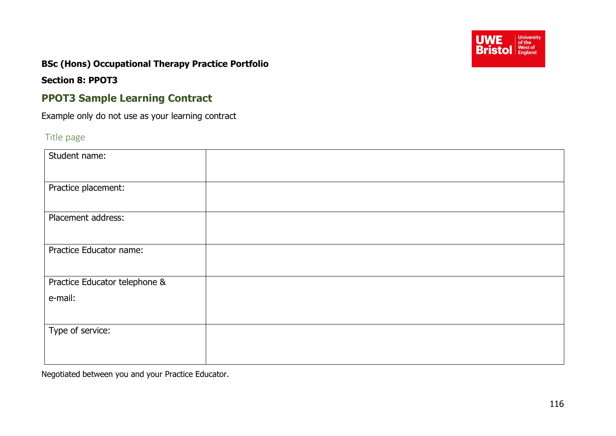

#### **Section 8: PPOT3**

### **PPOT3 Sample Learning Contract**

Example only do not use as your learning contract

### Title page

| Student name:                 |  |
|-------------------------------|--|
| Practice placement:           |  |
| Placement address:            |  |
| Practice Educator name:       |  |
| Practice Educator telephone & |  |
| e-mail:                       |  |
| Type of service:              |  |

Negotiated between you and your Practice Educator.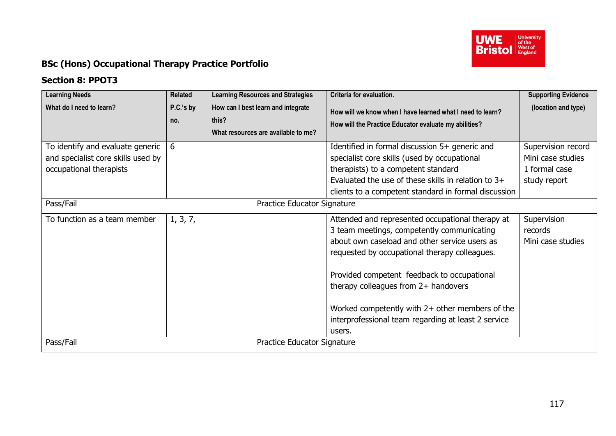

| <b>Learning Needs</b>                                                                             | <b>Related</b>   | <b>Learning Resources and Strategies</b>                                           | Criteria for evaluation.                                                                                                                                                                                                                                                                                                                                                                                      | <b>Supporting Evidence</b>                                               |
|---------------------------------------------------------------------------------------------------|------------------|------------------------------------------------------------------------------------|---------------------------------------------------------------------------------------------------------------------------------------------------------------------------------------------------------------------------------------------------------------------------------------------------------------------------------------------------------------------------------------------------------------|--------------------------------------------------------------------------|
| What do I need to learn?                                                                          | P.C.'s by<br>no. | How can I best learn and integrate<br>this?<br>What resources are available to me? | How will we know when I have learned what I need to learn?<br>How will the Practice Educator evaluate my abilities?                                                                                                                                                                                                                                                                                           | (location and type)                                                      |
| To identify and evaluate generic<br>and specialist core skills used by<br>occupational therapists | 6                |                                                                                    | Identified in formal discussion 5+ generic and<br>specialist core skills (used by occupational<br>therapists) to a competent standard<br>Evaluated the use of these skills in relation to 3+<br>clients to a competent standard in formal discussion                                                                                                                                                          | Supervision record<br>Mini case studies<br>1 formal case<br>study report |
| Pass/Fail<br>Practice Educator Signature                                                          |                  |                                                                                    |                                                                                                                                                                                                                                                                                                                                                                                                               |                                                                          |
| To function as a team member                                                                      | 1, 3, 7,         |                                                                                    | Attended and represented occupational therapy at<br>3 team meetings, competently communicating<br>about own caseload and other service users as<br>requested by occupational therapy colleagues.<br>Provided competent feedback to occupational<br>therapy colleagues from 2+ handovers<br>Worked competently with $2+$ other members of the<br>interprofessional team regarding at least 2 service<br>users. | Supervision<br>records<br>Mini case studies                              |
| Pass/Fail                                                                                         |                  | Practice Educator Signature                                                        |                                                                                                                                                                                                                                                                                                                                                                                                               |                                                                          |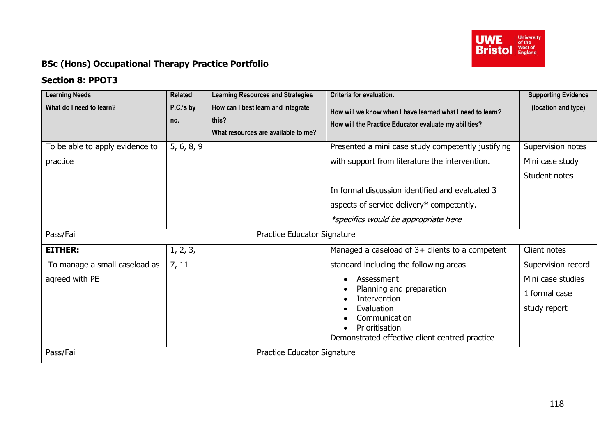

| <b>Learning Needs</b>                    | <b>Related</b>   | <b>Learning Resources and Strategies</b>                                           | Criteria for evaluation.                                                                                            | <b>Supporting Evidence</b> |
|------------------------------------------|------------------|------------------------------------------------------------------------------------|---------------------------------------------------------------------------------------------------------------------|----------------------------|
| What do I need to learn?                 | P.C.'s by<br>no. | How can I best learn and integrate<br>this?<br>What resources are available to me? | How will we know when I have learned what I need to learn?<br>How will the Practice Educator evaluate my abilities? | (location and type)        |
| To be able to apply evidence to          | 5, 6, 8, 9       |                                                                                    | Presented a mini case study competently justifying                                                                  | Supervision notes          |
| practice                                 |                  |                                                                                    | with support from literature the intervention.                                                                      | Mini case study            |
|                                          |                  |                                                                                    |                                                                                                                     | Student notes              |
|                                          |                  |                                                                                    | In formal discussion identified and evaluated 3                                                                     |                            |
|                                          |                  |                                                                                    | aspects of service delivery* competently.                                                                           |                            |
|                                          |                  |                                                                                    | *specifics would be appropriate here                                                                                |                            |
| Pass/Fail<br>Practice Educator Signature |                  |                                                                                    |                                                                                                                     |                            |
| <b>EITHER:</b>                           | 1, 2, 3,         |                                                                                    | Managed a caseload of 3+ clients to a competent                                                                     | Client notes               |
| To manage a small caseload as            | 7, 11            |                                                                                    | standard including the following areas                                                                              | Supervision record         |
| agreed with PE                           |                  |                                                                                    | Assessment                                                                                                          | Mini case studies          |
|                                          |                  |                                                                                    | Planning and preparation<br>Intervention                                                                            | 1 formal case              |
|                                          |                  |                                                                                    | Evaluation                                                                                                          | study report               |
|                                          |                  |                                                                                    | Communication<br>Prioritisation                                                                                     |                            |
|                                          |                  |                                                                                    | Demonstrated effective client centred practice                                                                      |                            |
| Pass/Fail                                |                  | Practice Educator Signature                                                        |                                                                                                                     |                            |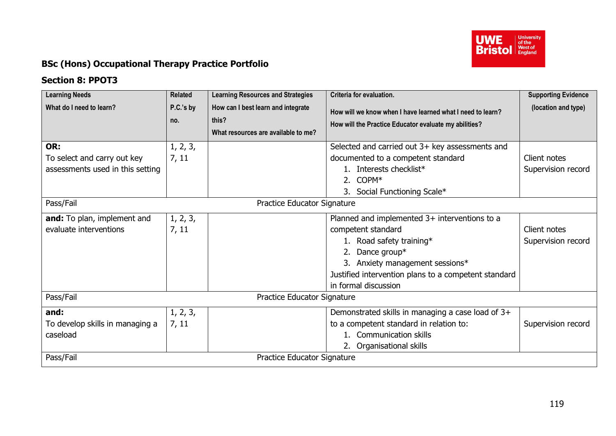

| <b>Learning Needs</b>                                                  | <b>Related</b>              | <b>Learning Resources and Strategies</b>                                           | Criteria for evaluation.                                                                                                                                                                                                                    | <b>Supporting Evidence</b>         |
|------------------------------------------------------------------------|-----------------------------|------------------------------------------------------------------------------------|---------------------------------------------------------------------------------------------------------------------------------------------------------------------------------------------------------------------------------------------|------------------------------------|
| What do I need to learn?                                               | P.C.'s by<br>no.            | How can I best learn and integrate<br>this?<br>What resources are available to me? | How will we know when I have learned what I need to learn?<br>How will the Practice Educator evaluate my abilities?                                                                                                                         | (location and type)                |
| OR:<br>To select and carry out key<br>assessments used in this setting | 1, 2, 3,<br>7, 11           |                                                                                    | Selected and carried out 3+ key assessments and<br>documented to a competent standard<br>1. Interests checklist*<br>COPM*<br>2.<br>3. Social Functioning Scale*                                                                             | Client notes<br>Supervision record |
| Pass/Fail                                                              | Practice Educator Signature |                                                                                    |                                                                                                                                                                                                                                             |                                    |
| and: To plan, implement and<br>evaluate interventions                  | 1, 2, 3,<br>7, 11           |                                                                                    | Planned and implemented 3+ interventions to a<br>competent standard<br>1. Road safety training $*$<br>Dance group*<br>2.<br>3. Anxiety management sessions*<br>Justified intervention plans to a competent standard<br>in formal discussion | Client notes<br>Supervision record |
| Pass/Fail<br>Practice Educator Signature                               |                             |                                                                                    |                                                                                                                                                                                                                                             |                                    |
| and:<br>To develop skills in managing a<br>caseload                    | 1, 2, 3,<br>7, 11           |                                                                                    | Demonstrated skills in managing a case load of 3+<br>to a competent standard in relation to:<br><b>Communication skills</b><br>Organisational skills                                                                                        | Supervision record                 |
| Pass/Fail<br>Practice Educator Signature                               |                             |                                                                                    |                                                                                                                                                                                                                                             |                                    |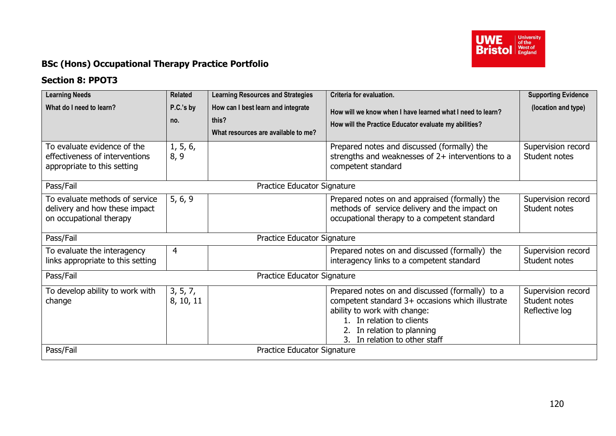

| <b>Learning Needs</b>                                                                        | <b>Related</b>              | <b>Learning Resources and Strategies</b>                                           | Criteria for evaluation.                                                                                                                                                                                                        | <b>Supporting Evidence</b>                            |
|----------------------------------------------------------------------------------------------|-----------------------------|------------------------------------------------------------------------------------|---------------------------------------------------------------------------------------------------------------------------------------------------------------------------------------------------------------------------------|-------------------------------------------------------|
| What do I need to learn?                                                                     | P.C.'s by<br>no.            | How can I best learn and integrate<br>this?<br>What resources are available to me? | How will we know when I have learned what I need to learn?<br>How will the Practice Educator evaluate my abilities?                                                                                                             | (location and type)                                   |
| To evaluate evidence of the<br>effectiveness of interventions<br>appropriate to this setting | 1, 5, 6,<br>8, 9            |                                                                                    | Prepared notes and discussed (formally) the<br>strengths and weaknesses of 2+ interventions to a<br>competent standard                                                                                                          | Supervision record<br>Student notes                   |
| Pass/Fail                                                                                    | Practice Educator Signature |                                                                                    |                                                                                                                                                                                                                                 |                                                       |
| To evaluate methods of service<br>delivery and how these impact<br>on occupational therapy   | 5, 6, 9                     |                                                                                    | Prepared notes on and appraised (formally) the<br>methods of service delivery and the impact on<br>occupational therapy to a competent standard                                                                                 | Supervision record<br>Student notes                   |
| Pass/Fail<br>Practice Educator Signature                                                     |                             |                                                                                    |                                                                                                                                                                                                                                 |                                                       |
| To evaluate the interagency<br>links appropriate to this setting                             | 4                           |                                                                                    | Prepared notes on and discussed (formally) the<br>interagency links to a competent standard                                                                                                                                     | Supervision record<br>Student notes                   |
| Pass/Fail<br>Practice Educator Signature                                                     |                             |                                                                                    |                                                                                                                                                                                                                                 |                                                       |
| To develop ability to work with<br>change                                                    | 3, 5, 7,<br>8, 10, 11       |                                                                                    | Prepared notes on and discussed (formally) to a<br>competent standard 3+ occasions which illustrate<br>ability to work with change:<br>1. In relation to clients<br>In relation to planning<br>3.<br>In relation to other staff | Supervision record<br>Student notes<br>Reflective log |
| Pass/Fail                                                                                    |                             | Practice Educator Signature                                                        |                                                                                                                                                                                                                                 |                                                       |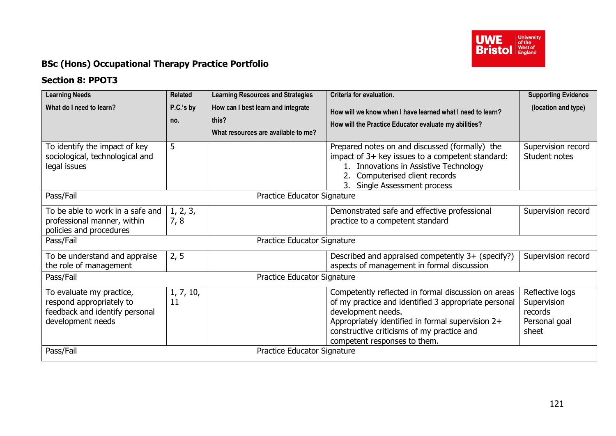

| <b>Learning Needs</b>                                                                                       | <b>Related</b>   | <b>Learning Resources and Strategies</b>                                           | Criteria for evaluation.                                                                                                                                                                                                                                             | <b>Supporting Evidence</b>                                          |
|-------------------------------------------------------------------------------------------------------------|------------------|------------------------------------------------------------------------------------|----------------------------------------------------------------------------------------------------------------------------------------------------------------------------------------------------------------------------------------------------------------------|---------------------------------------------------------------------|
| What do I need to learn?                                                                                    | P.C.'s by<br>no. | How can I best learn and integrate<br>this?<br>What resources are available to me? | How will we know when I have learned what I need to learn?<br>How will the Practice Educator evaluate my abilities?                                                                                                                                                  | (location and type)                                                 |
| To identify the impact of key<br>sociological, technological and<br>legal issues                            | 5                |                                                                                    | Prepared notes on and discussed (formally) the<br>impact of 3+ key issues to a competent standard:<br>Innovations in Assistive Technology<br>1.<br>Computerised client records<br>Single Assessment process<br>3.                                                    | Supervision record<br>Student notes                                 |
| Pass/Fail<br>Practice Educator Signature                                                                    |                  |                                                                                    |                                                                                                                                                                                                                                                                      |                                                                     |
| To be able to work in a safe and<br>professional manner, within<br>policies and procedures                  | 1, 2, 3,<br>7, 8 |                                                                                    | Demonstrated safe and effective professional<br>practice to a competent standard                                                                                                                                                                                     | Supervision record                                                  |
| Pass/Fail<br>Practice Educator Signature                                                                    |                  |                                                                                    |                                                                                                                                                                                                                                                                      |                                                                     |
| To be understand and appraise<br>the role of management                                                     | 2, 5             |                                                                                    | Described and appraised competently 3+ (specify?)<br>aspects of management in formal discussion                                                                                                                                                                      | Supervision record                                                  |
| Pass/Fail<br>Practice Educator Signature                                                                    |                  |                                                                                    |                                                                                                                                                                                                                                                                      |                                                                     |
| To evaluate my practice,<br>respond appropriately to<br>feedback and identify personal<br>development needs | 1, 7, 10,<br>11  |                                                                                    | Competently reflected in formal discussion on areas<br>of my practice and identified 3 appropriate personal<br>development needs.<br>Appropriately identified in formal supervision 2+<br>constructive criticisms of my practice and<br>competent responses to them. | Reflective logs<br>Supervision<br>records<br>Personal goal<br>sheet |
| Pass/Fail                                                                                                   |                  | Practice Educator Signature                                                        |                                                                                                                                                                                                                                                                      |                                                                     |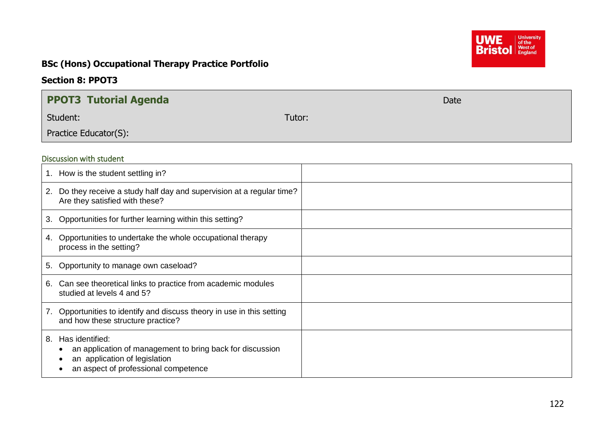

#### **Section 8: PPOT3**

| <b>PPOT3 Tutorial Agenda</b>                                                                                   | Date |
|----------------------------------------------------------------------------------------------------------------|------|
| Student:<br>Tutor:                                                                                             |      |
| Practice Educator(S):                                                                                          |      |
| Discussion with student                                                                                        |      |
| 1. How is the student settling in?                                                                             |      |
| Do they receive a study half day and supervision at a regular time?<br>2.<br>Are they satisfied with these?    |      |
| Opportunities for further learning within this setting?<br>3.                                                  |      |
| Opportunities to undertake the whole occupational therapy<br>4.<br>process in the setting?                     |      |
| Opportunity to manage own caseload?<br>5.                                                                      |      |
| Can see theoretical links to practice from academic modules<br>6.<br>studied at levels 4 and 5?                |      |
| Opportunities to identify and discuss theory in use in this setting<br>7.<br>and how these structure practice? |      |

• an application of legislation

• an aspect of professional competence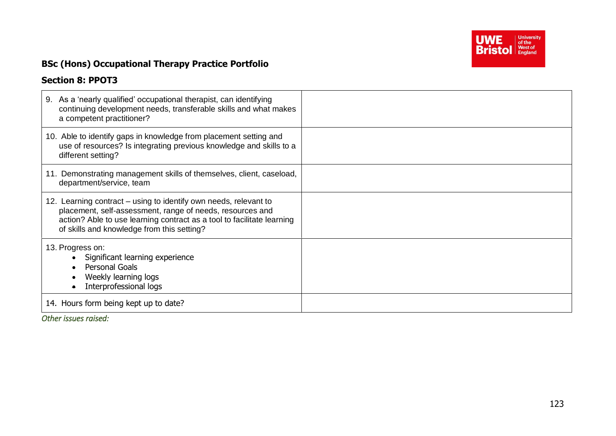

### **Section 8: PPOT3**

| As a 'nearly qualified' occupational therapist, can identifying<br>9.<br>continuing development needs, transferable skills and what makes<br>a competent practitioner?                                                                                |  |
|-------------------------------------------------------------------------------------------------------------------------------------------------------------------------------------------------------------------------------------------------------|--|
| 10. Able to identify gaps in knowledge from placement setting and<br>use of resources? Is integrating previous knowledge and skills to a<br>different setting?                                                                                        |  |
| 11. Demonstrating management skills of themselves, client, caseload,<br>department/service, team                                                                                                                                                      |  |
| 12. Learning contract – using to identify own needs, relevant to<br>placement, self-assessment, range of needs, resources and<br>action? Able to use learning contract as a tool to facilitate learning<br>of skills and knowledge from this setting? |  |
| 13. Progress on:<br>Significant learning experience<br>Personal Goals<br>Weekly learning logs<br>Interprofessional logs                                                                                                                               |  |
| 14. Hours form being kept up to date?                                                                                                                                                                                                                 |  |

*Other issues raised:*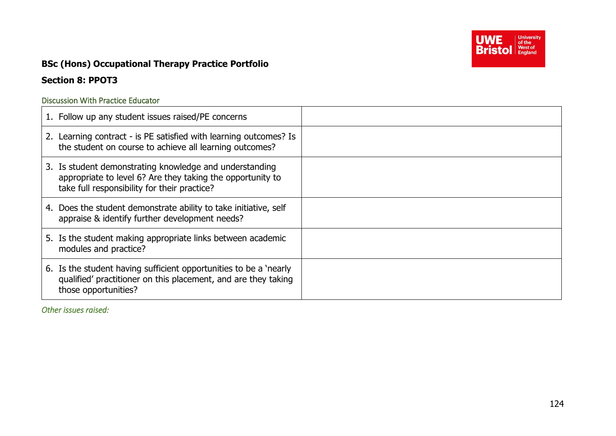

#### **Section 8: PPOT3**

#### Discussion With Practice Educator

| 1. Follow up any student issues raised/PE concerns                                                                                                                    |  |
|-----------------------------------------------------------------------------------------------------------------------------------------------------------------------|--|
| 2. Learning contract - is PE satisfied with learning outcomes? Is<br>the student on course to achieve all learning outcomes?                                          |  |
| 3. Is student demonstrating knowledge and understanding<br>appropriate to level 6? Are they taking the opportunity to<br>take full responsibility for their practice? |  |
| 4. Does the student demonstrate ability to take initiative, self<br>appraise & identify further development needs?                                                    |  |
| 5. Is the student making appropriate links between academic<br>modules and practice?                                                                                  |  |
| 6. Is the student having sufficient opportunities to be a 'nearly'<br>qualified' practitioner on this placement, and are they taking<br>those opportunities?          |  |

*Other issues raised:*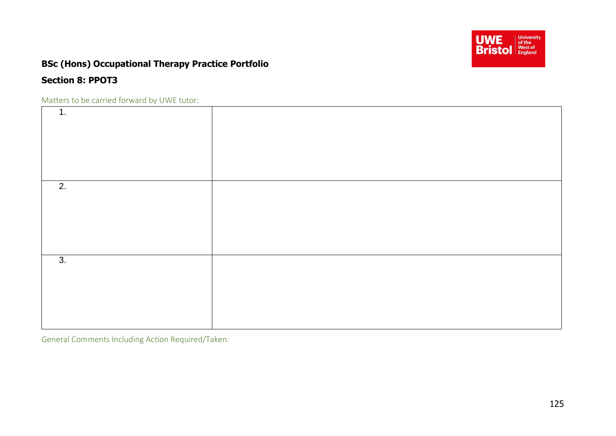

#### **Section 8: PPOT3**

Matters to be carried forward by UWE tutor:

General Comments Including Action Required/Taken: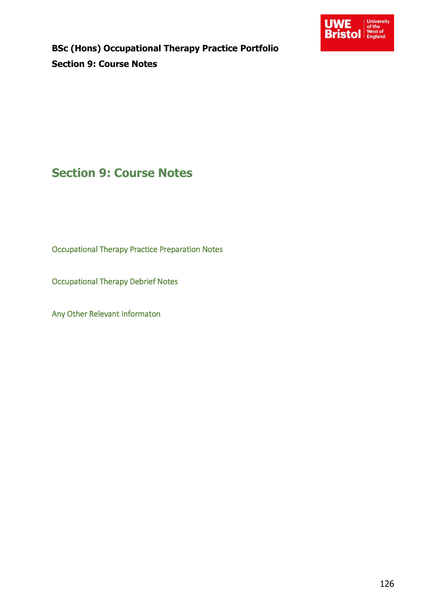

**BSc (Hons) Occupational Therapy Practice Portfolio Section 9: Course Notes**

# **Section 9: Course Notes**

Occupational Therapy Practice Preparation Notes

Occupational Therapy Debrief Notes

Any Other Relevant Informaton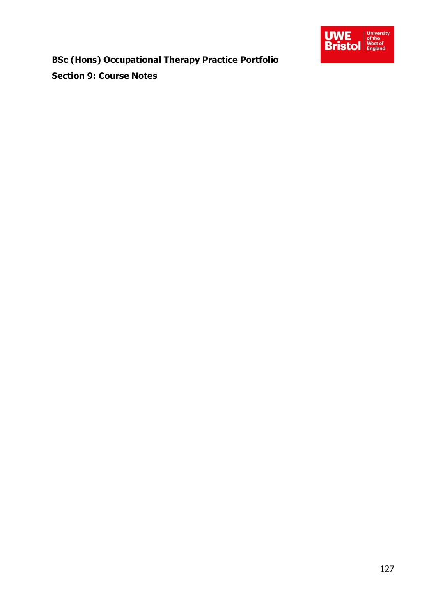

**BSc (Hons) Occupational Therapy Practice Portfolio Section 9: Course Notes**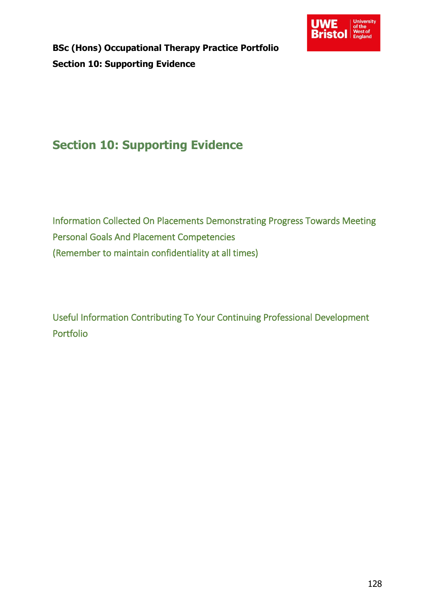

**BSc (Hons) Occupational Therapy Practice Portfolio Section 10: Supporting Evidence**

# **Section 10: Supporting Evidence**

Information Collected On Placements Demonstrating Progress Towards Meeting Personal Goals And Placement Competencies (Remember to maintain confidentiality at all times)

Useful Information Contributing To Your Continuing Professional Development Portfolio